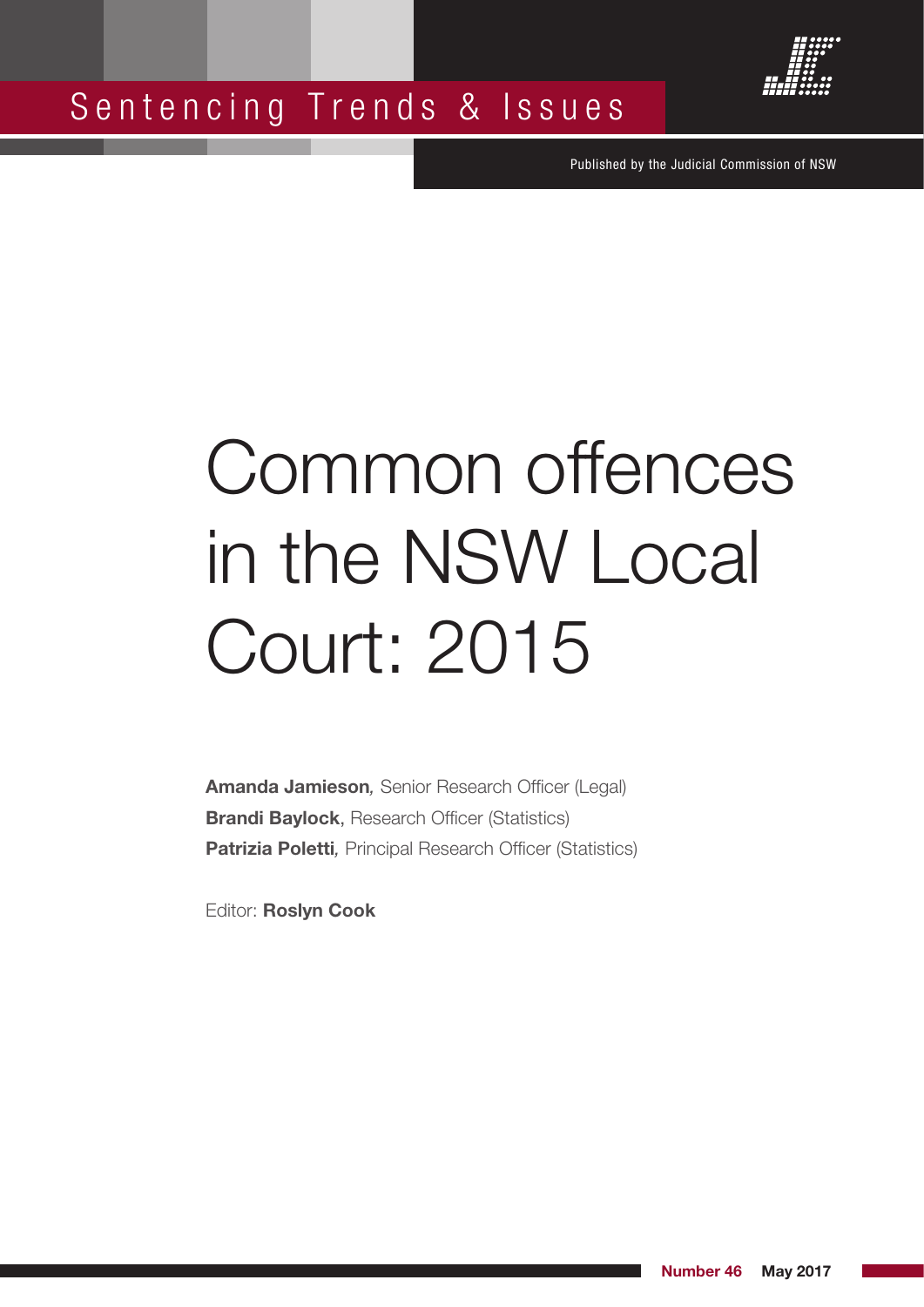



Published by the Judicial Commission of NSW

# Common offences in the NSW Local Court: 2015

**Amanda Jamieson***,* Senior Research Officer (Legal) **Brandi Baylock**, Research Officer (Statistics) **Patrizia Poletti***,* Principal Research Officer (Statistics)

Editor: **Roslyn Cook**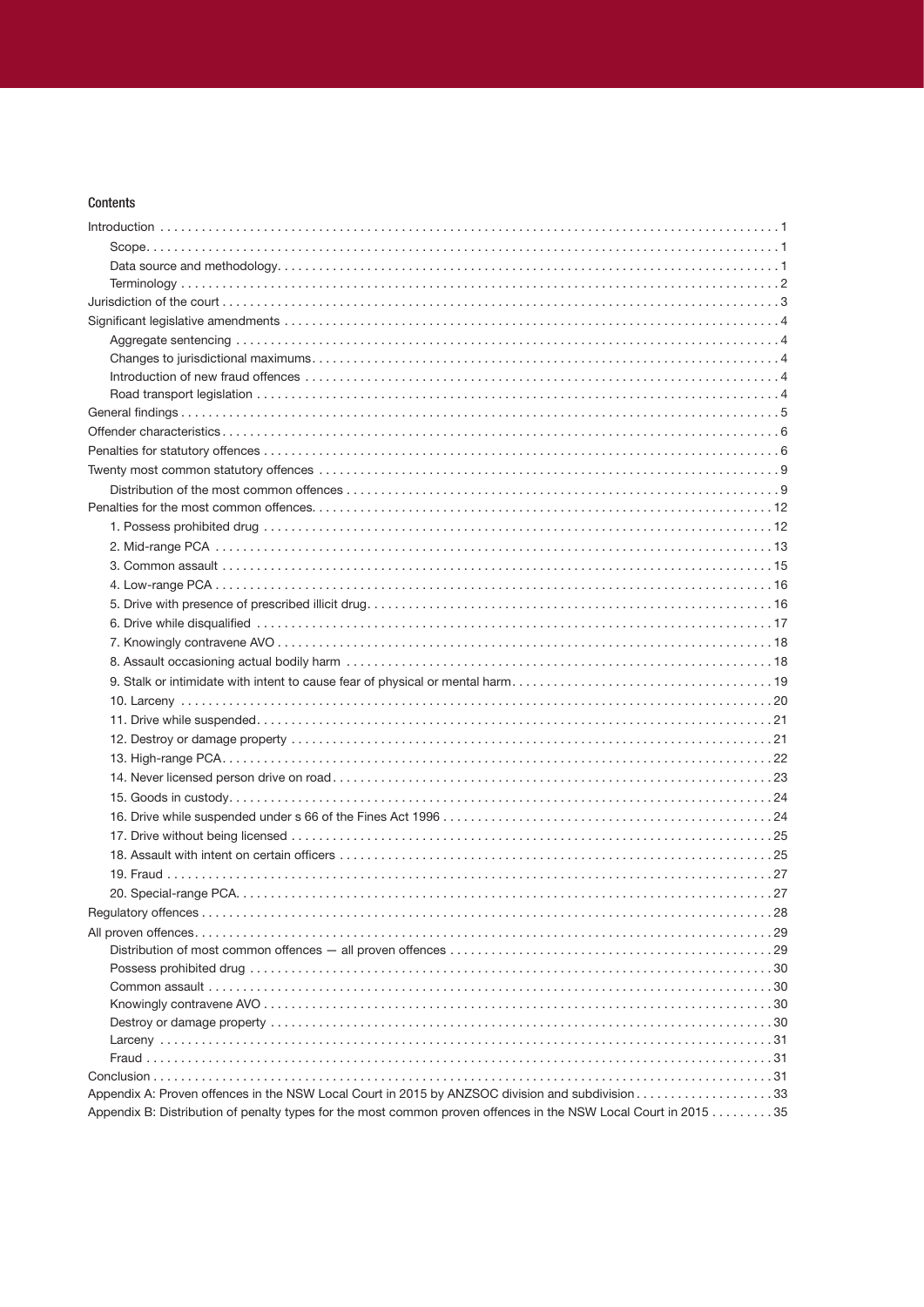# Contents

| Appendix B: Distribution of penalty types for the most common proven offences in the NSW Local Court in 2015 35 |  |
|-----------------------------------------------------------------------------------------------------------------|--|
|                                                                                                                 |  |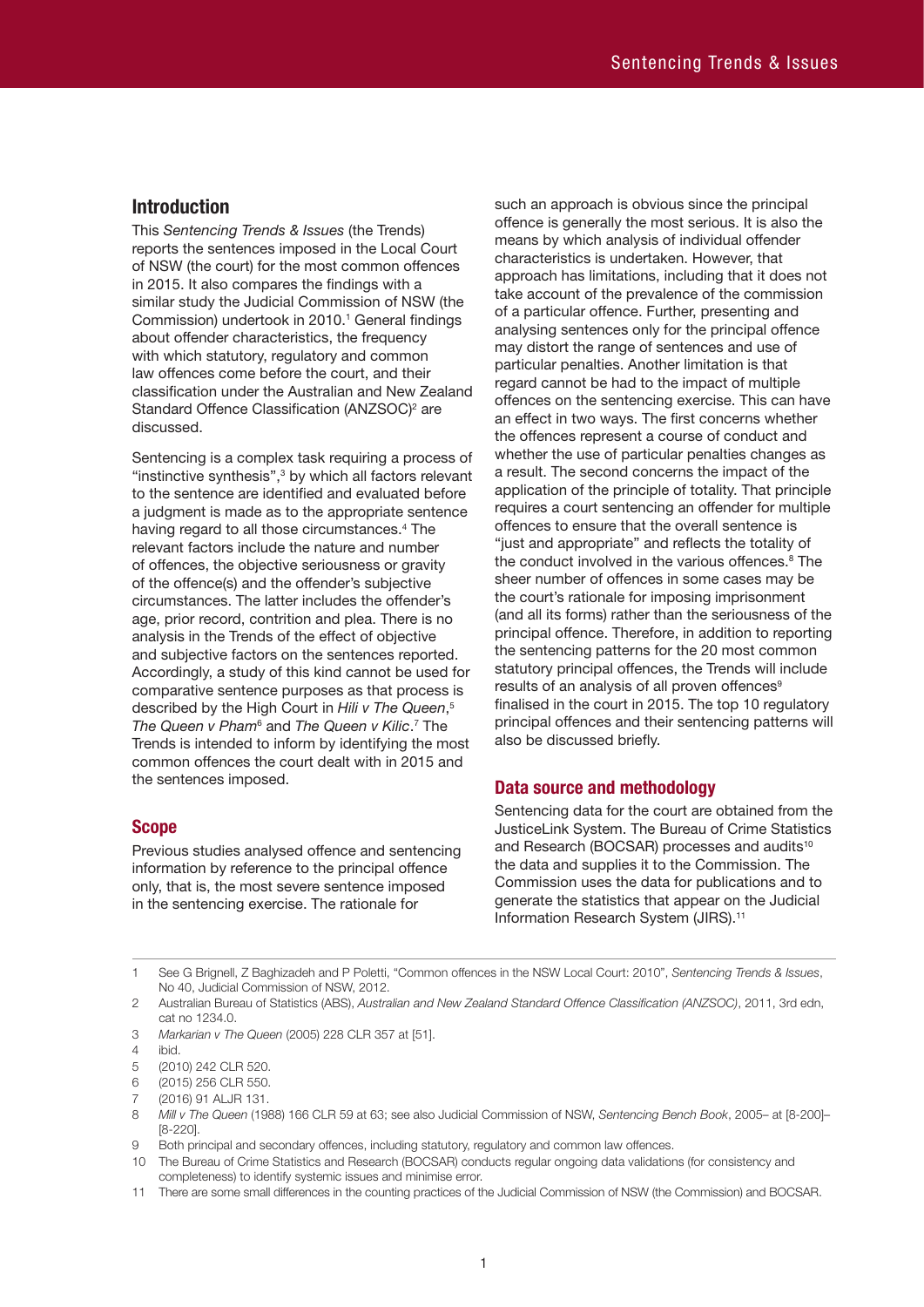# **Introduction**

This *Sentencing Trends & Issues* (the Trends) reports the sentences imposed in the Local Court of NSW (the court) for the most common offences in 2015. It also compares the findings with a similar study the Judicial Commission of NSW (the Commission) undertook in 2010. 1 General findings about offender characteristics, the frequency with which statutory, regulatory and common law offences come before the court, and their classification under the Australian and New Zealand Standard Offence Classification (ANZSOC)<sup>2</sup> are discussed.

Sentencing is a complex task requiring a process of "instinctive synthesis",<sup>3</sup> by which all factors relevant to the sentence are identified and evaluated before a judgment is made as to the appropriate sentence having regard to all those circumstances.<sup>4</sup> The relevant factors include the nature and number of offences, the objective seriousness or gravity of the offence(s) and the offender's subjective circumstances. The latter includes the offender's age, prior record, contrition and plea. There is no analysis in the Trends of the effect of objective and subjective factors on the sentences reported. Accordingly, a study of this kind cannot be used for comparative sentence purposes as that process is described by the High Court in *Hili v The Queen*, 5 The Queen v Pham<sup>6</sup> and The Queen v Kilic.<sup>7</sup> The Trends is intended to inform by identifying the most common offences the court dealt with in 2015 and the sentences imposed.

# **Scope**

Previous studies analysed offence and sentencing information by reference to the principal offence only, that is, the most severe sentence imposed in the sentencing exercise. The rationale for

such an approach is obvious since the principal offence is generally the most serious. It is also the means by which analysis of individual offender characteristics is undertaken. However, that approach has limitations, including that it does not take account of the prevalence of the commission of a particular offence. Further, presenting and analysing sentences only for the principal offence may distort the range of sentences and use of particular penalties. Another limitation is that regard cannot be had to the impact of multiple offences on the sentencing exercise. This can have an effect in two ways. The first concerns whether the offences represent a course of conduct and whether the use of particular penalties changes as a result. The second concerns the impact of the application of the principle of totality. That principle requires a court sentencing an offender for multiple offences to ensure that the overall sentence is "just and appropriate" and reflects the totality of the conduct involved in the various offences. 8 The sheer number of offences in some cases may be the court's rationale for imposing imprisonment (and all its forms) rather than the seriousness of the principal offence. Therefore, in addition to reporting the sentencing patterns for the 20 most common statutory principal offences, the Trends will include results of an analysis of all proven offences<sup>9</sup> finalised in the court in 2015. The top 10 regulatory principal offences and their sentencing patterns will also be discussed briefly.

# **Data source and methodology**

Sentencing data for the court are obtained from the JusticeLink System. The Bureau of Crime Statistics and Research (BOCSAR) processes and audits<sup>10</sup> the data and supplies it to the Commission. The Commission uses the data for publications and to generate the statistics that appear on the Judicial Information Research System (JIRS). 11

1 See G Brignell, Z Baghizadeh and P Poletti, "Common offences in the NSW Local Court: 2010", *Sentencing Trends & Issues*, No 40, Judicial Commission of NSW, 2012.

- 2 Australian Bureau of Statistics (ABS), *Australian and New Zealand Standard Offence Classification (ANZSOC)*, 2011, 3rd edn, cat no 1234.0.
- 3 *Markarian v The Queen* (2005) 228 CLR 357 at [51].

<sup>4</sup> ibid.

<sup>5</sup> (2010) 242 CLR 520.

<sup>6</sup> (2015) 256 CLR 550.

<sup>7</sup> (2016) 91 ALJR 131.

<sup>8</sup> *Mill v The Queen* (1988) 166 CLR 59 at 63; see also Judicial Commission of NSW, *Sentencing Bench Book*, 2005– at [8-200]– [8-220].

<sup>9</sup> Both principal and secondary offences, including statutory, regulatory and common law offences.

<sup>10</sup> The Bureau of Crime Statistics and Research (BOCSAR) conducts regular ongoing data validations (for consistency and completeness) to identify systemic issues and minimise error.

<sup>11</sup> There are some small differences in the counting practices of the Judicial Commission of NSW (the Commission) and BOCSAR.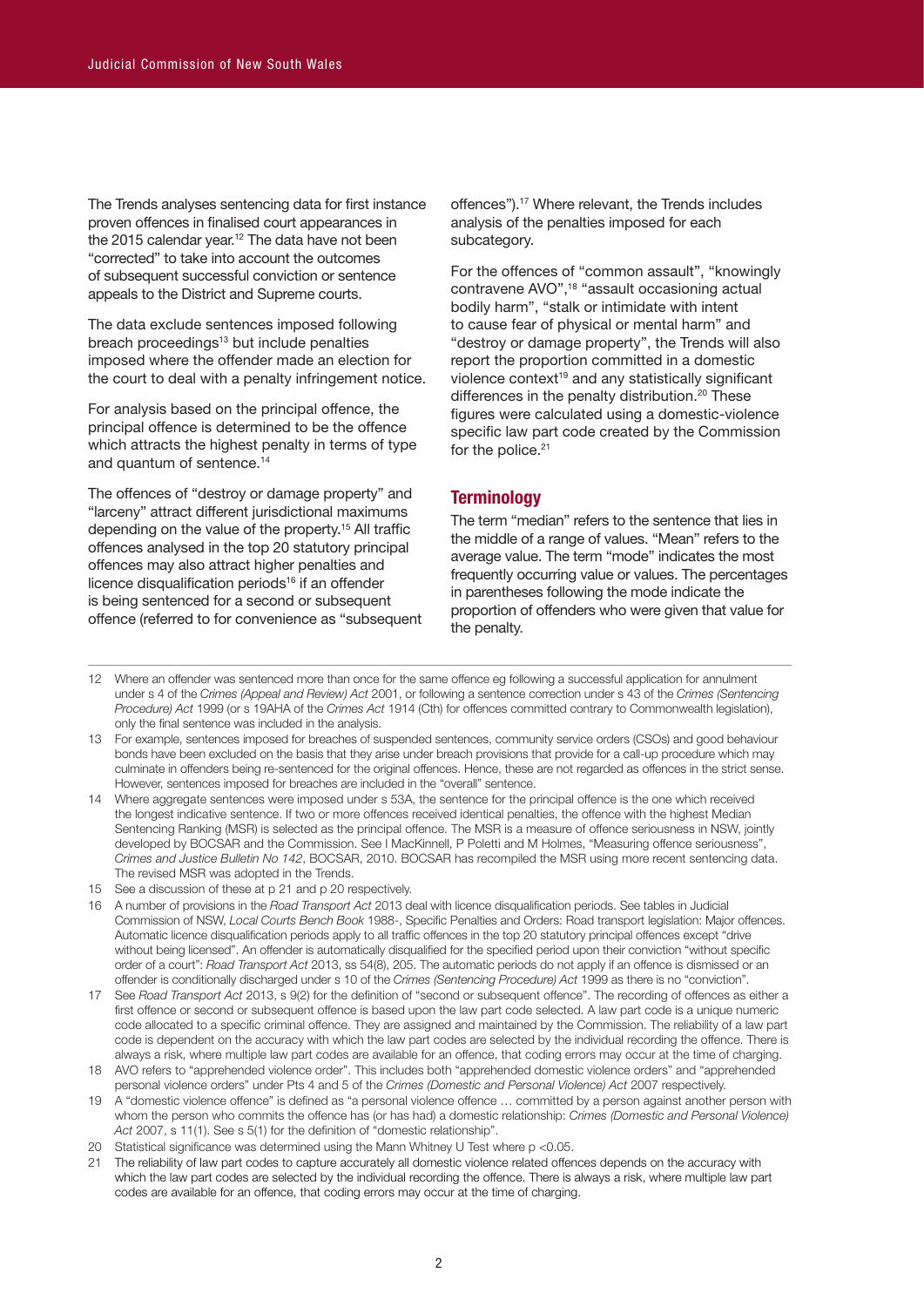The Trends analyses sentencing data for first instance proven offences in finalised court appearances in the 2015 calendar year.<sup>12</sup> The data have not been "corrected" to take into account the outcomes of subsequent successful conviction or sentence appeals to the District and Supreme courts.

The data exclude sentences imposed following breach proceedings<sup>13</sup> but include penalties imposed where the offender made an election for the court to deal with a penalty infringement notice.

For analysis based on the principal offence, the principal offence is determined to be the offence which attracts the highest penalty in terms of type and quantum of sentence. 14

The offences of "destroy or damage property" and "larceny" attract different jurisdictional maximums depending on the value of the property. 15 All traffic offences analysed in the top 20 statutory principal offences may also attract higher penalties and licence disqualification periods<sup>16</sup> if an offender is being sentenced for a second or subsequent offence (referred to for convenience as "subsequent

offences"). 17 Where relevant, the Trends includes analysis of the penalties imposed for each subcategory.

For the offences of "common assault", "knowingly contravene AVO",18 "assault occasioning actual bodily harm", "stalk or intimidate with intent to cause fear of physical or mental harm" and "destroy or damage property", the Trends will also report the proportion committed in a domestic violence context<sup>19</sup> and any statistically significant differences in the penalty distribution. 20 These figures were calculated using a domestic-violence specific law part code created by the Commission for the police.<sup>21</sup>

# **Terminology**

The term "median" refers to the sentence that lies in the middle of a range of values. "Mean" refers to the average value. The term "mode" indicates the most frequently occurring value or values. The percentages in parentheses following the mode indicate the proportion of offenders who were given that value for the penalty.

- 12 Where an offender was sentenced more than once for the same offence eg following a successful application for annulment under s 4 of the *Crimes (Appeal and Review) Act* 2001, or following a sentence correction under s 43 of the *Crimes (Sentencing Procedure) Act* 1999 (or s 19AHA of the *Crimes Act* 1914 (Cth) for offences committed contrary to Commonwealth legislation), only the final sentence was included in the analysis.
- 13 For example, sentences imposed for breaches of suspended sentences, community service orders (CSOs) and good behaviour bonds have been excluded on the basis that they arise under breach provisions that provide for a call-up procedure which may culminate in offenders being re-sentenced for the original offences. Hence, these are not regarded as offences in the strict sense. However, sentences imposed for breaches are included in the "overall" sentence.
- 14 Where aggregate sentences were imposed under s 53A, the sentence for the principal offence is the one which received the longest indicative sentence. If two or more offences received identical penalties, the offence with the highest Median Sentencing Ranking (MSR) is selected as the principal offence. The MSR is a measure of offence seriousness in NSW, jointly developed by BOCSAR and the Commission. See I MacKinnell, P Poletti and M Holmes, "Measuring offence seriousness", *Crimes and Justice Bulletin No 142*, BOCSAR, 2010. BOCSAR has recompiled the MSR using more recent sentencing data. The revised MSR was adopted in the Trends.
- 15 See a discussion of these at p 21 and p 20 respectively.
- 16 A number of provisions in the *Road Transport Act* 2013 deal with licence disqualification periods. See tables in Judicial Commission of NSW, *Local Courts Bench Book* 1988-, Specific Penalties and Orders: Road transport legislation: Major offences. Automatic licence disqualification periods apply to all traffic offences in the top 20 statutory principal offences except "drive without being licensed". An offender is automatically disqualified for the specified period upon their conviction "without specific order of a court": *Road Transport Act* 2013, ss 54(8), 205. The automatic periods do not apply if an offence is dismissed or an offender is conditionally discharged under s 10 of the *Crimes (Sentencing Procedure) Act* 1999 as there is no "conviction".
- 17 See *Road Transport Act* 2013, s 9(2) for the definition of "second or subsequent offence". The recording of offences as either a first offence or second or subsequent offence is based upon the law part code selected. A law part code is a unique numeric code allocated to a specific criminal offence. They are assigned and maintained by the Commission. The reliability of a law part code is dependent on the accuracy with which the law part codes are selected by the individual recording the offence. There is always a risk, where multiple law part codes are available for an offence, that coding errors may occur at the time of charging.
- 18 AVO refers to "apprehended violence order". This includes both "apprehended domestic violence orders" and "apprehended personal violence orders" under Pts 4 and 5 of the *Crimes (Domestic and Personal Violence) Act* 2007 respectively.
- 19 A "domestic violence offence" is defined as "a personal violence offence … committed by a person against another person with whom the person who commits the offence has (or has had) a domestic relationship: *Crimes (Domestic and Personal Violence) Act* 2007, s 11(1). See s 5(1) for the definition of "domestic relationship".
- 20 Statistical significance was determined using the Mann Whitney U Test where p <0.05.
- 21 The reliability of law part codes to capture accurately all domestic violence related offences depends on the accuracy with which the law part codes are selected by the individual recording the offence. There is always a risk, where multiple law part codes are available for an offence, that coding errors may occur at the time of charging.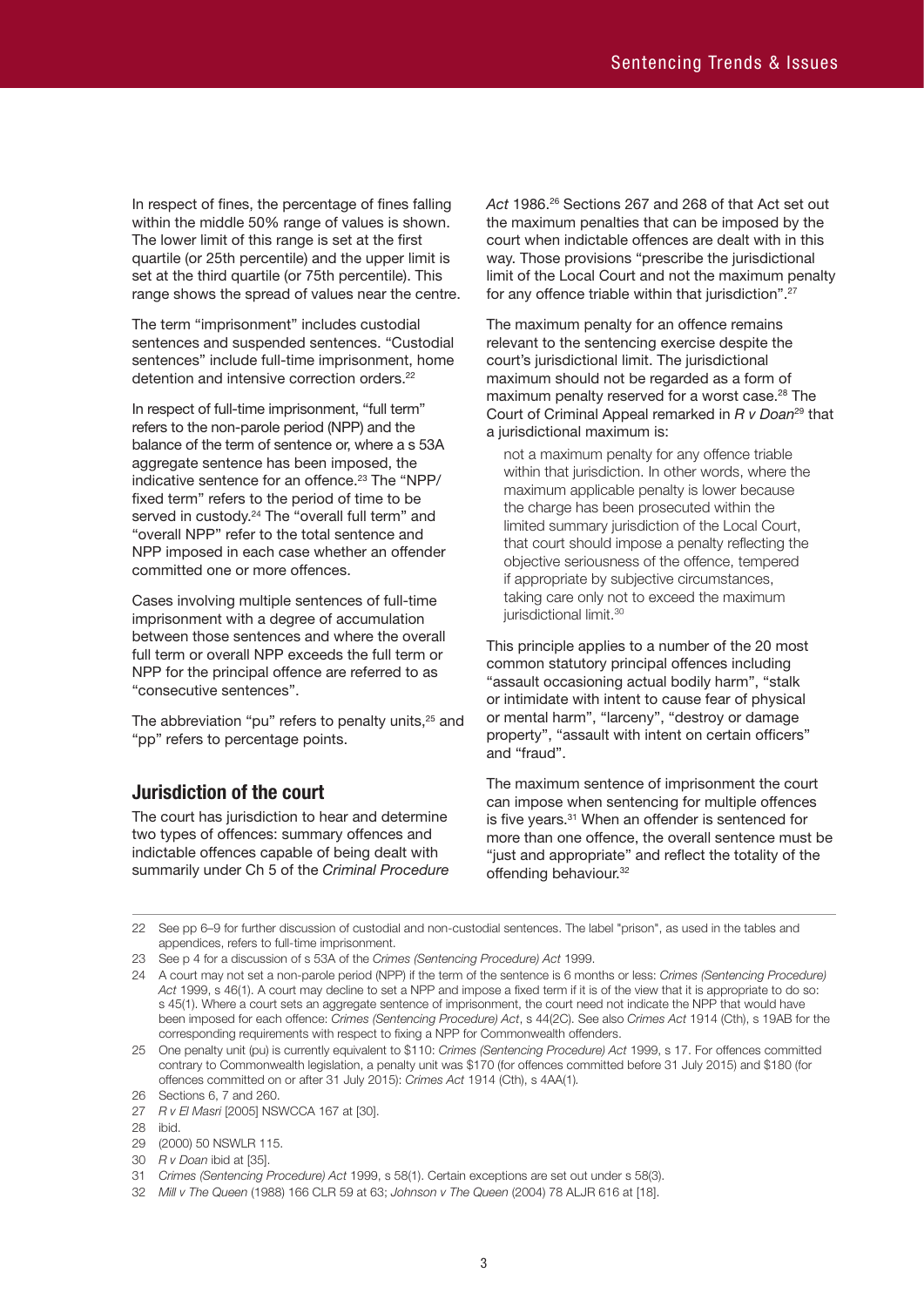In respect of fines, the percentage of fines falling within the middle 50% range of values is shown. The lower limit of this range is set at the first quartile (or 25th percentile) and the upper limit is set at the third quartile (or 75th percentile). This range shows the spread of values near the centre.

The term "imprisonment" includes custodial sentences and suspended sentences. "Custodial sentences" include full-time imprisonment, home detention and intensive correction orders.<sup>22</sup>

In respect of full-time imprisonment, "full term" refers to the non-parole period (NPP) and the balance of the term of sentence or, where a s 53A aggregate sentence has been imposed, the indicative sentence for an offence. 23 The "NPP/ fixed term" refers to the period of time to be served in custody.<sup>24</sup> The "overall full term" and "overall NPP" refer to the total sentence and NPP imposed in each case whether an offender committed one or more offences.

Cases involving multiple sentences of full-time imprisonment with a degree of accumulation between those sentences and where the overall full term or overall NPP exceeds the full term or NPP for the principal offence are referred to as "consecutive sentences".

The abbreviation "pu" refers to penalty units,<sup>25</sup> and "pp" refers to percentage points.

# **Jurisdiction of the court**

The court has jurisdiction to hear and determine two types of offences: summary offences and indictable offences capable of being dealt with summarily under Ch 5 of the *Criminal Procedure*  *Act* 1986. 26 Sections 267 and 268 of that Act set out the maximum penalties that can be imposed by the court when indictable offences are dealt with in this way. Those provisions "prescribe the jurisdictional limit of the Local Court and not the maximum penalty for any offence triable within that jurisdiction". 27

The maximum penalty for an offence remains relevant to the sentencing exercise despite the court's jurisdictional limit. The jurisdictional maximum should not be regarded as a form of maximum penalty reserved for a worst case. 28 The Court of Criminal Appeal remarked in *R v Doan*29 that a jurisdictional maximum is:

not a maximum penalty for any offence triable within that jurisdiction. In other words, where the maximum applicable penalty is lower because the charge has been prosecuted within the limited summary jurisdiction of the Local Court, that court should impose a penalty reflecting the objective seriousness of the offence, tempered if appropriate by subjective circumstances, taking care only not to exceed the maximum jurisdictional limit.<sup>30</sup>

This principle applies to a number of the 20 most common statutory principal offences including "assault occasioning actual bodily harm", "stalk or intimidate with intent to cause fear of physical or mental harm", "larceny", "destroy or damage property", "assault with intent on certain officers" and "fraud".

The maximum sentence of imprisonment the court can impose when sentencing for multiple offences is five years. 31 When an offender is sentenced for more than one offence, the overall sentence must be "just and appropriate" and reflect the totality of the offending behaviour.<sup>32</sup>

22 See pp 6–9 for further discussion of custodial and non-custodial sentences. The label "prison", as used in the tables and appendices, refers to full-time imprisonment.

23 See p 4 for a discussion of s 53A of the *Crimes (Sentencing Procedure) Act* 1999.

30 *R v Doan* ibid at [35].

32 *Mill v The Queen* (1988) 166 CLR 59 at 63; *Johnson v The Queen* (2004) 78 ALJR 616 at [18].

<sup>24</sup> A court may not set a non-parole period (NPP) if the term of the sentence is 6 months or less: *Crimes (Sentencing Procedure) Act* 1999, s 46(1). A court may decline to set a NPP and impose a fixed term if it is of the view that it is appropriate to do so: s 45(1). Where a court sets an aggregate sentence of imprisonment, the court need not indicate the NPP that would have been imposed for each offence: *Crimes (Sentencing Procedure) Act*, s 44(2C). See also *Crimes Act* 1914 (Cth), s 19AB for the corresponding requirements with respect to fixing a NPP for Commonwealth offenders.

<sup>25</sup> One penalty unit (pu) is currently equivalent to \$110: *Crimes (Sentencing Procedure) Act* 1999, s 17. For offences committed contrary to Commonwealth legislation, a penalty unit was \$170 (for offences committed before 31 July 2015) and \$180 (for offences committed on or after 31 July 2015): *Crimes Act* 1914 (Cth), s 4AA(1)*.* 26 Sections 6, 7 and 260.

<sup>27</sup> *R v El Masri* [2005] NSWCCA 167 at [30].

<sup>28</sup> ibid.

<sup>29</sup> (2000) 50 NSWLR 115.

<sup>31</sup> *Crimes (Sentencing Procedure) Act* 1999, s 58(1). Certain exceptions are set out under s 58(3).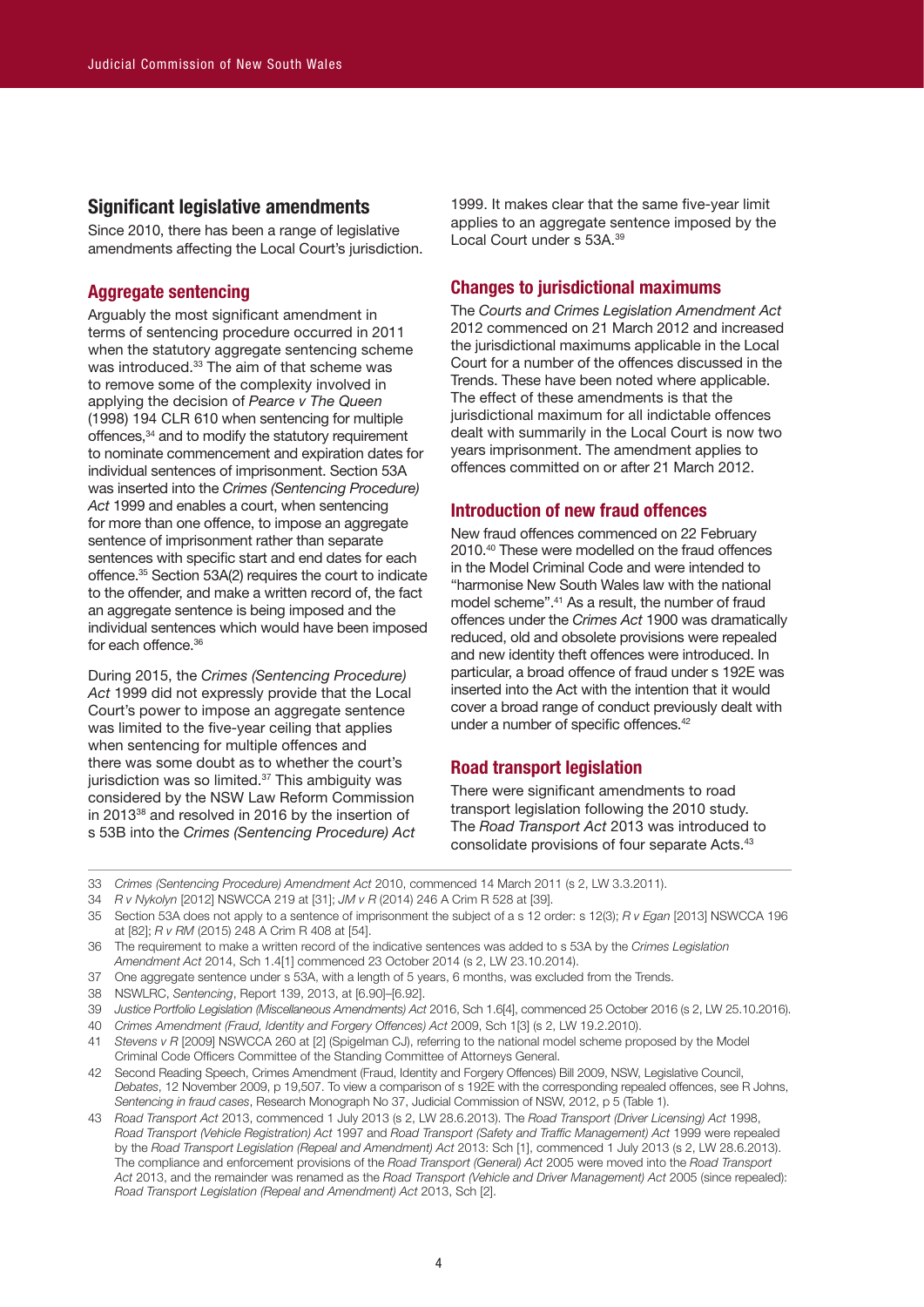# **Significant legislative amendments**

Since 2010, there has been a range of legislative amendments affecting the Local Court's jurisdiction.

# **Aggregate sentencing**

Arguably the most significant amendment in terms of sentencing procedure occurred in 2011 when the statutory aggregate sentencing scheme was introduced. 33 The aim of that scheme was to remove some of the complexity involved in applying the decision of *Pearce v The Queen* (1998) 194 CLR 610 when sentencing for multiple offences,34 and to modify the statutory requirement to nominate commencement and expiration dates for individual sentences of imprisonment. Section 53A was inserted into the *Crimes (Sentencing Procedure) Act* 1999 and enables a court, when sentencing for more than one offence, to impose an aggregate sentence of imprisonment rather than separate sentences with specific start and end dates for each offence. 35 Section 53A(2) requires the court to indicate to the offender, and make a written record of, the fact an aggregate sentence is being imposed and the individual sentences which would have been imposed for each offence. 36

During 2015, the *Crimes (Sentencing Procedure) Act* 1999 did not expressly provide that the Local Court's power to impose an aggregate sentence was limited to the five-year ceiling that applies when sentencing for multiple offences and there was some doubt as to whether the court's jurisdiction was so limited.<sup>37</sup> This ambiguity was considered by the NSW Law Reform Commission in 2013<sup>38</sup> and resolved in 2016 by the insertion of s 53B into the *Crimes (Sentencing Procedure) Act* 1999. It makes clear that the same five-year limit applies to an aggregate sentence imposed by the Local Court under s 53A.<sup>39</sup>

# **Changes to jurisdictional maximums**

The *Courts and Crimes Legislation Amendment Act* 2012 commenced on 21 March 2012 and increased the jurisdictional maximums applicable in the Local Court for a number of the offences discussed in the Trends. These have been noted where applicable. The effect of these amendments is that the jurisdictional maximum for all indictable offences dealt with summarily in the Local Court is now two years imprisonment. The amendment applies to offences committed on or after 21 March 2012.

# **Introduction of new fraud offences**

New fraud offences commenced on 22 February 2010. 40 These were modelled on the fraud offences in the Model Criminal Code and were intended to "harmonise New South Wales law with the national model scheme". 41 As a result, the number of fraud offences under the *Crimes Act* 1900 was dramatically reduced, old and obsolete provisions were repealed and new identity theft offences were introduced. In particular, a broad offence of fraud under s 192E was inserted into the Act with the intention that it would cover a broad range of conduct previously dealt with under a number of specific offences. 42

# **Road transport legislation**

There were significant amendments to road transport legislation following the 2010 study. The *Road Transport Act* 2013 was introduced to consolidate provisions of four separate Acts. 43

- 33 *Crimes (Sentencing Procedure) Amendment Act* 2010, commenced 14 March 2011 (s 2, LW 3.3.2011).
- 34 *R v Nykolyn* [2012] NSWCCA 219 at [31]; *JM v R* (2014) 246 A Crim R 528 at [39].
- 35 Section 53A does not apply to a sentence of imprisonment the subject of a s 12 order: s 12(3); *R v Egan* [2013] NSWCCA 196 at [82]; *R v RM* (2015) 248 A Crim R 408 at [54].

- 37 One aggregate sentence under s 53A, with a length of 5 years, 6 months, was excluded from the Trends.
- 38 NSWLRC, *Sentencing*, Report 139, 2013, at [6.90]–[6.92].
- 39 *Justice Portfolio Legislation (Miscellaneous Amendments) Act* 2016, Sch 1.6[4], commenced 25 October 2016 (s 2, LW 25.10.2016).
- 40 *Crimes Amendment (Fraud, Identity and Forgery Offences) Act* 2009, Sch 1[3] (s 2, LW 19.2.2010).
- 41 *Stevens v R* [2009] NSWCCA 260 at [2] (Spigelman CJ), referring to the national model scheme proposed by the Model Criminal Code Officers Committee of the Standing Committee of Attorneys General.
- 42 Second Reading Speech, Crimes Amendment (Fraud, Identity and Forgery Offences) Bill 2009, NSW, Legislative Council, *Debates*, 12 November 2009, p 19,507. To view a comparison of s 192E with the corresponding repealed offences, see R Johns, *Sentencing in fraud cases*, Research Monograph No 37, Judicial Commission of NSW, 2012, p 5 (Table 1).
- 43 *Road Transport Act* 2013, commenced 1 July 2013 (s 2, LW 28.6.2013). The *Road Transport (Driver Licensing) Act* 1998, *Road Transport (Vehicle Registration) Act* 1997 and *Road Transport (Safety and Traffic Management) Act* 1999 were repealed by the *Road Transport Legislation (Repeal and Amendment) Act* 2013: Sch [1], commenced 1 July 2013 (s 2, LW 28.6.2013). The compliance and enforcement provisions of the *Road Transport (General) Act* 2005 were moved into the *Road Transport Act* 2013, and the remainder was renamed as the *Road Transport (Vehicle and Driver Management) Act* 2005 (since repealed): *Road Transport Legislation (Repeal and Amendment) Act* 2013, Sch [2].

<sup>36</sup> The requirement to make a written record of the indicative sentences was added to s 53A by the *Crimes Legislation Amendment Act* 2014, Sch 1.4[1] commenced 23 October 2014 (s 2, LW 23.10.2014).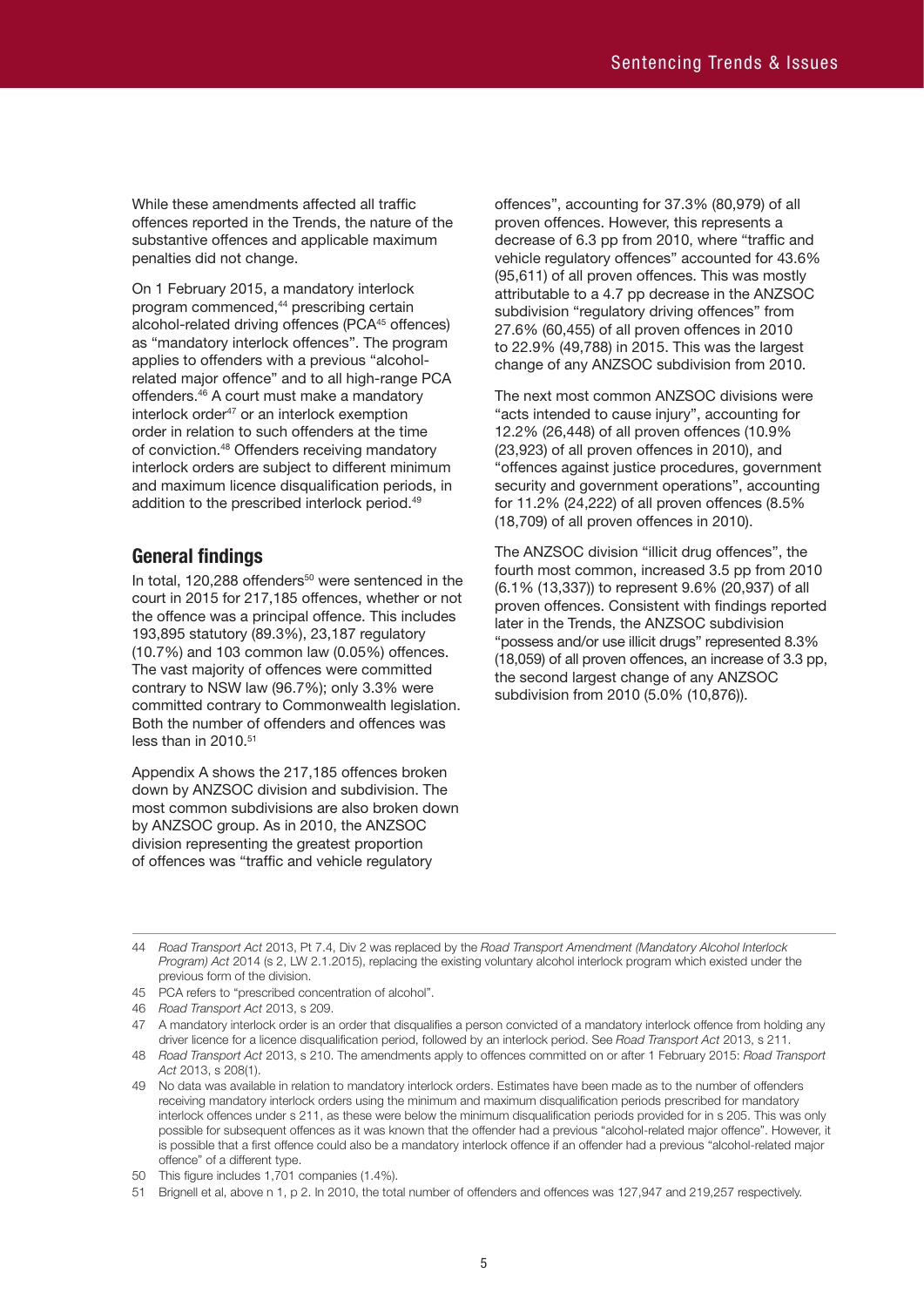While these amendments affected all traffic offences reported in the Trends, the nature of the substantive offences and applicable maximum penalties did not change.

On 1 February 2015, a mandatory interlock program commenced,<sup>44</sup> prescribing certain alcohol-related driving offences (PCA<sup>45</sup> offences) as "mandatory interlock offences". The program applies to offenders with a previous "alcoholrelated major offence" and to all high-range PCA offenders. 46 A court must make a mandatory interlock order<sup>47</sup> or an interlock exemption order in relation to such offenders at the time of conviction. 48 Offenders receiving mandatory interlock orders are subject to different minimum and maximum licence disqualification periods, in addition to the prescribed interlock period. 49

# **General findings**

In total, 120,288 offenders<sup>50</sup> were sentenced in the court in 2015 for 217,185 offences, whether or not the offence was a principal offence. This includes 193,895 statutory (89.3%), 23,187 regulatory (10.7%) and 103 common law (0.05%) offences. The vast majority of offences were committed contrary to NSW law (96.7%); only 3.3% were committed contrary to Commonwealth legislation. Both the number of offenders and offences was less than in 2010. 51

Appendix A shows the 217,185 offences broken down by ANZSOC division and subdivision. The most common subdivisions are also broken down by ANZSOC group. As in 2010, the ANZSOC division representing the greatest proportion of offences was "traffic and vehicle regulatory

offences", accounting for 37.3% (80,979) of all proven offences. However, this represents a decrease of 6.3 pp from 2010, where "traffic and vehicle regulatory offences" accounted for 43.6% (95,611) of all proven offences. This was mostly attributable to a 4.7 pp decrease in the ANZSOC subdivision "regulatory driving offences" from 27.6% (60,455) of all proven offences in 2010 to 22.9% (49,788) in 2015. This was the largest change of any ANZSOC subdivision from 2010.

The next most common ANZSOC divisions were "acts intended to cause injury", accounting for 12.2% (26,448) of all proven offences (10.9% (23,923) of all proven offences in 2010), and "offences against justice procedures, government security and government operations", accounting for 11.2% (24,222) of all proven offences (8.5% (18,709) of all proven offences in 2010).

The ANZSOC division "illicit drug offences", the fourth most common, increased 3.5 pp from 2010 (6.1% (13,337)) to represent 9.6% (20,937) of all proven offences. Consistent with findings reported later in the Trends, the ANZSOC subdivision "possess and/or use illicit drugs" represented 8.3% (18,059) of all proven offences, an increase of 3.3 pp, the second largest change of any ANZSOC subdivision from 2010 (5.0% (10,876)).

<sup>44</sup> *Road Transport Act* 2013, Pt 7.4, Div 2 was replaced by the *Road Transport Amendment (Mandatory Alcohol Interlock Program) Act* 2014 (s 2, LW 2.1.2015), replacing the existing voluntary alcohol interlock program which existed under the previous form of the division.

<sup>45</sup> PCA refers to "prescribed concentration of alcohol".

<sup>46</sup> *Road Transport Act* 2013, s 209.

<sup>47</sup> A mandatory interlock order is an order that disqualifies a person convicted of a mandatory interlock offence from holding any driver licence for a licence disqualification period, followed by an interlock period. See *Road Transport Act* 2013, s 211.

<sup>48</sup> *Road Transport Act* 2013, s 210. The amendments apply to offences committed on or after 1 February 2015: *Road Transport Act* 2013, s 208(1).

<sup>49</sup> No data was available in relation to mandatory interlock orders. Estimates have been made as to the number of offenders receiving mandatory interlock orders using the minimum and maximum disqualification periods prescribed for mandatory interlock offences under s 211, as these were below the minimum disqualification periods provided for in s 205. This was only possible for subsequent offences as it was known that the offender had a previous "alcohol-related major offence". However, it is possible that a first offence could also be a mandatory interlock offence if an offender had a previous "alcohol-related major offence" of a different type.

<sup>50</sup> This figure includes 1,701 companies (1.4%).

<sup>51</sup> Brignell et al, above n 1, p 2. In 2010, the total number of offenders and offences was 127,947 and 219,257 respectively.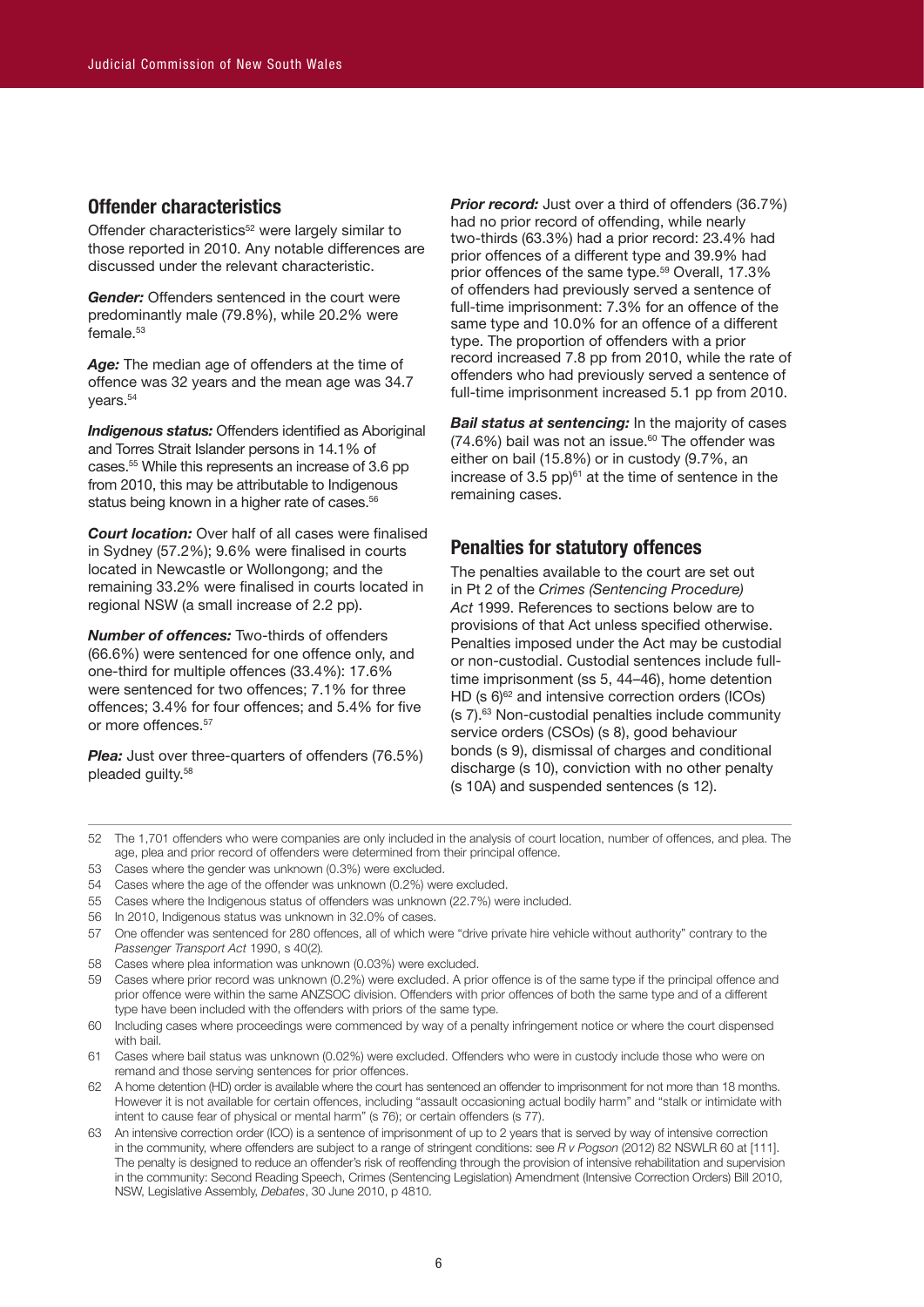# **Offender characteristics**

Offender characteristics<sup>52</sup> were largely similar to those reported in 2010. Any notable differences are discussed under the relevant characteristic.

*Gender:* Offenders sentenced in the court were predominantly male (79.8%), while 20.2% were female. 53

*Age:* The median age of offenders at the time of offence was 32 years and the mean age was 34.7 years. 54

*Indigenous status:* Offenders identified as Aboriginal and Torres Strait Islander persons in 14.1% of cases. 55 While this represents an increase of 3.6 pp from 2010, this may be attributable to Indigenous status being known in a higher rate of cases.<sup>56</sup>

*Court location:* Over half of all cases were finalised in Sydney (57.2%); 9.6% were finalised in courts located in Newcastle or Wollongong; and the remaining 33.2% were finalised in courts located in regional NSW (a small increase of 2.2 pp).

*Number of offences:* Two-thirds of offenders (66.6%) were sentenced for one offence only, and one-third for multiple offences (33.4%): 17.6% were sentenced for two offences; 7.1% for three offences; 3.4% for four offences; and 5.4% for five or more offences. 57

**Plea:** Just over three-quarters of offenders (76.5%) pleaded guilty. 58

**Prior record:** Just over a third of offenders (36.7%) had no prior record of offending, while nearly two-thirds (63.3%) had a prior record: 23.4% had prior offences of a different type and 39.9% had prior offences of the same type. 59 Overall, 17.3% of offenders had previously served a sentence of full-time imprisonment: 7.3% for an offence of the same type and 10.0% for an offence of a different type. The proportion of offenders with a prior record increased 7.8 pp from 2010, while the rate of offenders who had previously served a sentence of full-time imprisonment increased 5.1 pp from 2010.

*Bail status at sentencing:* In the majority of cases (74.6%) bail was not an issue. 60 The offender was either on bail (15.8%) or in custody (9.7%, an increase of 3.5 pp) $61$  at the time of sentence in the remaining cases.

# **Penalties for statutory offences**

The penalties available to the court are set out in Pt 2 of the *Crimes (Sentencing Procedure) Act* 1999. References to sections below are to provisions of that Act unless specified otherwise. Penalties imposed under the Act may be custodial or non-custodial. Custodial sentences include fulltime imprisonment (ss 5, 44–46), home detention HD (s 6)<sup>62</sup> and intensive correction orders (ICOs) (s 7). 63 Non-custodial penalties include community service orders (CSOs) (s 8), good behaviour bonds (s 9), dismissal of charges and conditional discharge (s 10), conviction with no other penalty (s 10A) and suspended sentences (s 12).

- 52 The 1,701 offenders who were companies are only included in the analysis of court location, number of offences, and plea. The age, plea and prior record of offenders were determined from their principal offence.
- 53 Cases where the gender was unknown (0.3%) were excluded.
- 54 Cases where the age of the offender was unknown (0.2%) were excluded.
- 55 Cases where the Indigenous status of offenders was unknown (22.7%) were included.
- 56 In 2010, Indigenous status was unknown in 32.0% of cases.
- 57 One offender was sentenced for 280 offences, all of which were "drive private hire vehicle without authority" contrary to the *Passenger Transport Act* 1990, s 40(2)*.*
- 58 Cases where plea information was unknown (0.03%) were excluded.
- 59 Cases where prior record was unknown (0.2%) were excluded. A prior offence is of the same type if the principal offence and prior offence were within the same ANZSOC division. Offenders with prior offences of both the same type and of a different type have been included with the offenders with priors of the same type.
- 60 Including cases where proceedings were commenced by way of a penalty infringement notice or where the court dispensed with bail.
- 61 Cases where bail status was unknown (0.02%) were excluded. Offenders who were in custody include those who were on remand and those serving sentences for prior offences.
- 62 A home detention (HD) order is available where the court has sentenced an offender to imprisonment for not more than 18 months. However it is not available for certain offences, including "assault occasioning actual bodily harm" and "stalk or intimidate with intent to cause fear of physical or mental harm" (s 76); or certain offenders (s 77).
- 63 An intensive correction order (ICO) is a sentence of imprisonment of up to 2 years that is served by way of intensive correction in the community, where offenders are subject to a range of stringent conditions: see *R v Pogson* (2012) 82 NSWLR 60 at [111]. The penalty is designed to reduce an offender's risk of reoffending through the provision of intensive rehabilitation and supervision in the community: Second Reading Speech, Crimes (Sentencing Legislation) Amendment (Intensive Correction Orders) Bill 2010, NSW, Legislative Assembly, *Debates*, 30 June 2010, p 4810.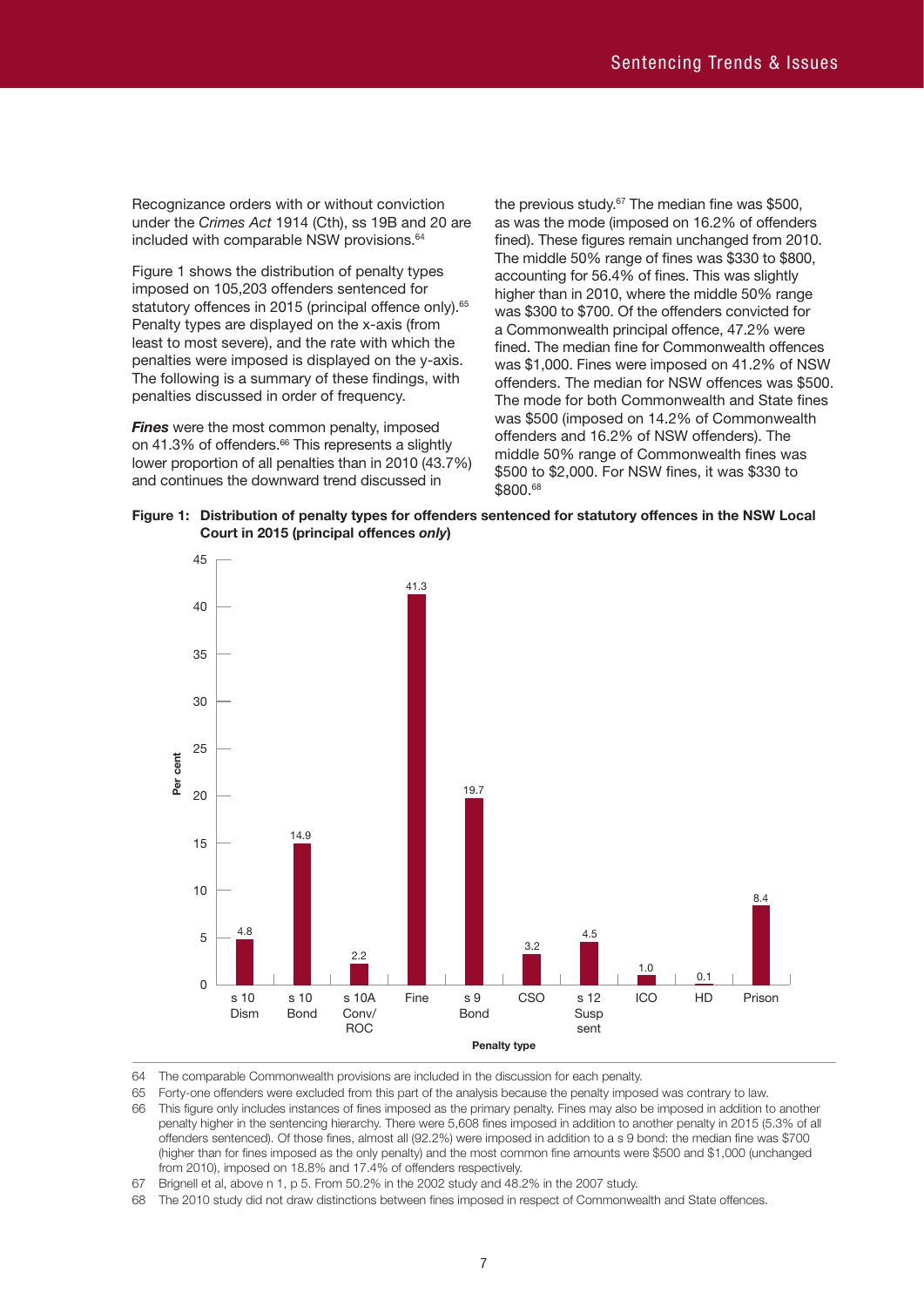Recognizance orders with or without conviction under the *Crimes Act* 1914 (Cth), ss 19B and 20 are included with comparable NSW provisions. 64

Figure 1 shows the distribution of penalty types imposed on 105,203 offenders sentenced for statutory offences in 2015 (principal offence only).<sup>65</sup> Penalty types are displayed on the x-axis (from least to most severe), and the rate with which the penalties were imposed is displayed on the y-axis. The following is a summary of these findings, with penalties discussed in order of frequency.

*Fines* were the most common penalty, imposed on 41.3% of offenders. 66 This represents a slightly lower proportion of all penalties than in 2010 (43.7%) and continues the downward trend discussed in

the previous study. 67 The median fine was \$500, as was the mode (imposed on 16.2% of offenders fined). These figures remain unchanged from 2010. The middle 50% range of fines was \$330 to \$800, accounting for 56.4% of fines. This was slightly higher than in 2010, where the middle 50% range was \$300 to \$700. Of the offenders convicted for a Commonwealth principal offence, 47.2% were fined. The median fine for Commonwealth offences was \$1,000. Fines were imposed on 41.2% of NSW offenders. The median for NSW offences was \$500. The mode for both Commonwealth and State fines was \$500 (imposed on 14.2% of Commonwealth offenders and 16.2% of NSW offenders). The middle 50% range of Commonwealth fines was \$500 to \$2,000. For NSW fines, it was \$330 to \$800. 68





64 The comparable Commonwealth provisions are included in the discussion for each penalty.

65 Forty-one offenders were excluded from this part of the analysis because the penalty imposed was contrary to law.

66 This figure only includes instances of fines imposed as the primary penalty. Fines may also be imposed in addition to another penalty higher in the sentencing hierarchy. There were 5,608 fines imposed in addition to another penalty in 2015 (5.3% of all offenders sentenced). Of those fines, almost all (92.2%) were imposed in addition to a s 9 bond: the median fine was \$700 (higher than for fines imposed as the only penalty) and the most common fine amounts were \$500 and \$1,000 (unchanged from 2010), imposed on 18.8% and 17.4% of offenders respectively.

67 Brignell et al, above n 1, p 5. From 50.2% in the 2002 study and 48.2% in the 2007 study.

68 The 2010 study did not draw distinctions between fines imposed in respect of Commonwealth and State offences.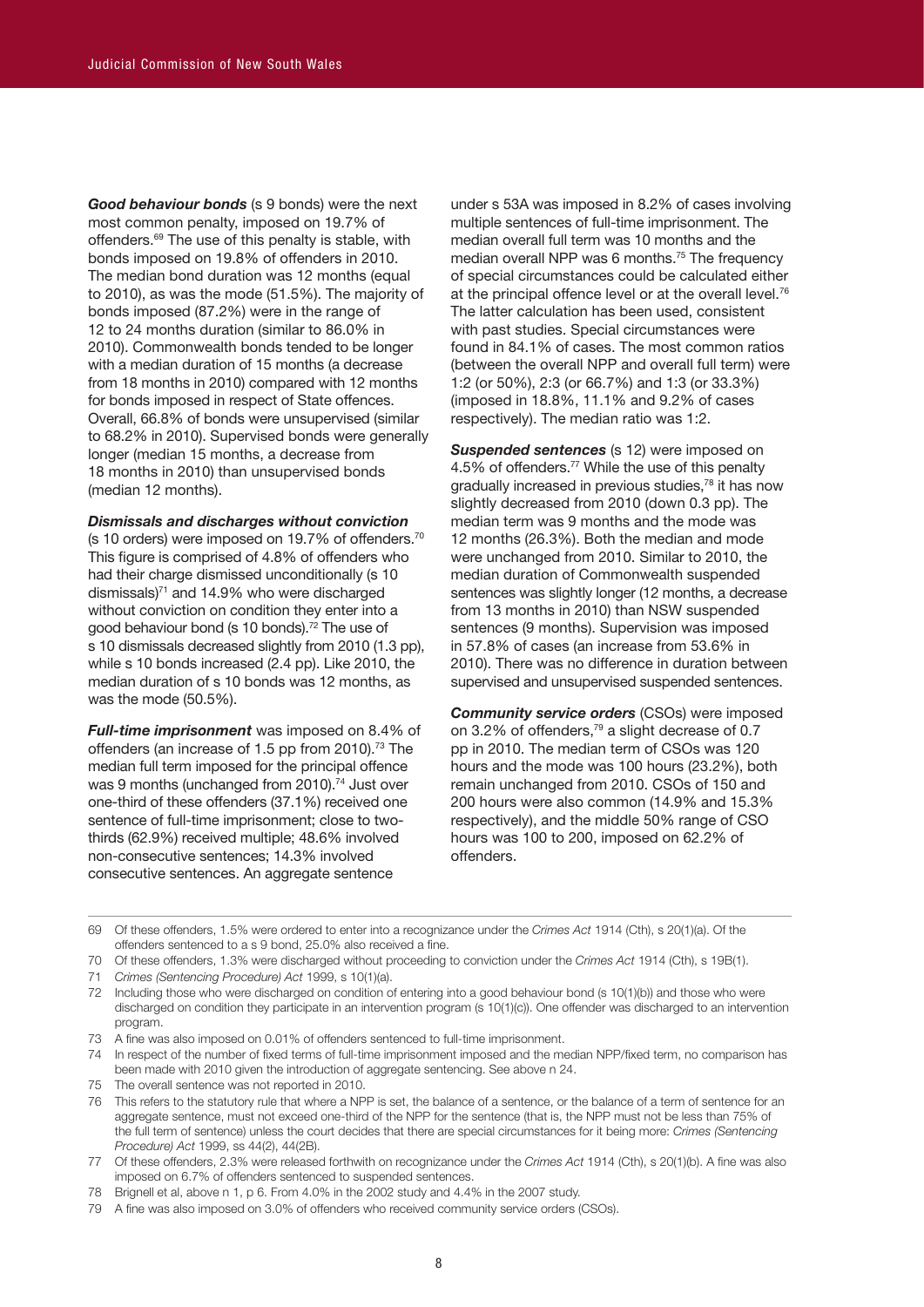*Good behaviour bonds* (s 9 bonds) were the next most common penalty, imposed on 19.7% of offenders. 69 The use of this penalty is stable, with bonds imposed on 19.8% of offenders in 2010. The median bond duration was 12 months (equal to 2010), as was the mode (51.5%). The majority of bonds imposed (87.2%) were in the range of 12 to 24 months duration (similar to 86.0% in 2010). Commonwealth bonds tended to be longer with a median duration of 15 months (a decrease from 18 months in 2010) compared with 12 months for bonds imposed in respect of State offences. Overall, 66.8% of bonds were unsupervised (similar to 68.2% in 2010). Supervised bonds were generally longer (median 15 months, a decrease from 18 months in 2010) than unsupervised bonds (median 12 months).

#### *Dismissals and discharges without conviction*

(s 10 orders) were imposed on 19.7% of offenders.<sup>70</sup> This figure is comprised of 4.8% of offenders who had their charge dismissed unconditionally (s 10 dismissals)<sup>71</sup> and 14.9% who were discharged without conviction on condition they enter into a good behaviour bond (s 10 bonds). 72 The use of s 10 dismissals decreased slightly from 2010 (1.3 pp), while s 10 bonds increased (2.4 pp). Like 2010, the median duration of s 10 bonds was 12 months, as was the mode (50.5%).

*Full-time imprisonment* was imposed on 8.4% of offenders (an increase of 1.5 pp from 2010). 73 The median full term imposed for the principal offence was 9 months (unchanged from 2010).<sup>74</sup> Just over one-third of these offenders (37.1%) received one sentence of full-time imprisonment; close to twothirds (62.9%) received multiple; 48.6% involved non-consecutive sentences; 14.3% involved consecutive sentences. An aggregate sentence

under s 53A was imposed in 8.2% of cases involving multiple sentences of full-time imprisonment. The median overall full term was 10 months and the median overall NPP was 6 months. 75 The frequency of special circumstances could be calculated either at the principal offence level or at the overall level.<sup>76</sup> The latter calculation has been used, consistent with past studies. Special circumstances were found in 84.1% of cases. The most common ratios (between the overall NPP and overall full term) were 1:2 (or 50%), 2:3 (or 66.7%) and 1:3 (or 33.3%) (imposed in 18.8%, 11.1% and 9.2% of cases respectively). The median ratio was 1:2.

**Suspended sentences** (s 12) were imposed on 4.5% of offenders. 77 While the use of this penalty gradually increased in previous studies,78 it has now slightly decreased from 2010 (down 0.3 pp). The median term was 9 months and the mode was 12 months (26.3%). Both the median and mode were unchanged from 2010. Similar to 2010, the median duration of Commonwealth suspended sentences was slightly longer (12 months, a decrease from 13 months in 2010) than NSW suspended sentences (9 months). Supervision was imposed in 57.8% of cases (an increase from 53.6% in 2010). There was no difference in duration between supervised and unsupervised suspended sentences.

*Community service orders* (CSOs) were imposed on 3.2% of offenders,<sup>79</sup> a slight decrease of 0.7 pp in 2010. The median term of CSOs was 120 hours and the mode was 100 hours (23.2%), both remain unchanged from 2010. CSOs of 150 and 200 hours were also common (14.9% and 15.3% respectively), and the middle 50% range of CSO hours was 100 to 200, imposed on 62.2% of offenders.

- 70 Of these offenders, 1.3% were discharged without proceeding to conviction under the *Crimes Act* 1914 (Cth), s 19B(1).
- 71 *Crimes (Sentencing Procedure) Act* 1999, s 10(1)(a).

- 73 A fine was also imposed on 0.01% of offenders sentenced to full-time imprisonment.
- 74 In respect of the number of fixed terms of full-time imprisonment imposed and the median NPP/fixed term, no comparison has been made with 2010 given the introduction of aggregate sentencing. See above n 24.
- 75 The overall sentence was not reported in 2010.
- 76 This refers to the statutory rule that where a NPP is set, the balance of a sentence, or the balance of a term of sentence for an aggregate sentence, must not exceed one-third of the NPP for the sentence (that is, the NPP must not be less than 75% of the full term of sentence) unless the court decides that there are special circumstances for it being more: *Crimes (Sentencing Procedure) Act* 1999, ss 44(2), 44(2B).
- 77 Of these offenders, 2.3% were released forthwith on recognizance under the *Crimes Act* 1914 (Cth), s 20(1)(b). A fine was also imposed on 6.7% of offenders sentenced to suspended sentences.
- 78 Brignell et al, above n 1, p 6. From 4.0% in the 2002 study and 4.4% in the 2007 study.
- 79 A fine was also imposed on 3.0% of offenders who received community service orders (CSOs).

<sup>69</sup> Of these offenders, 1.5% were ordered to enter into a recognizance under the *Crimes Act* 1914 (Cth), s 20(1)(a). Of the offenders sentenced to a s 9 bond, 25.0% also received a fine.

<sup>72</sup> Including those who were discharged on condition of entering into a good behaviour bond (s 10(1)(b)) and those who were discharged on condition they participate in an intervention program (s 10(1)(c)). One offender was discharged to an intervention program.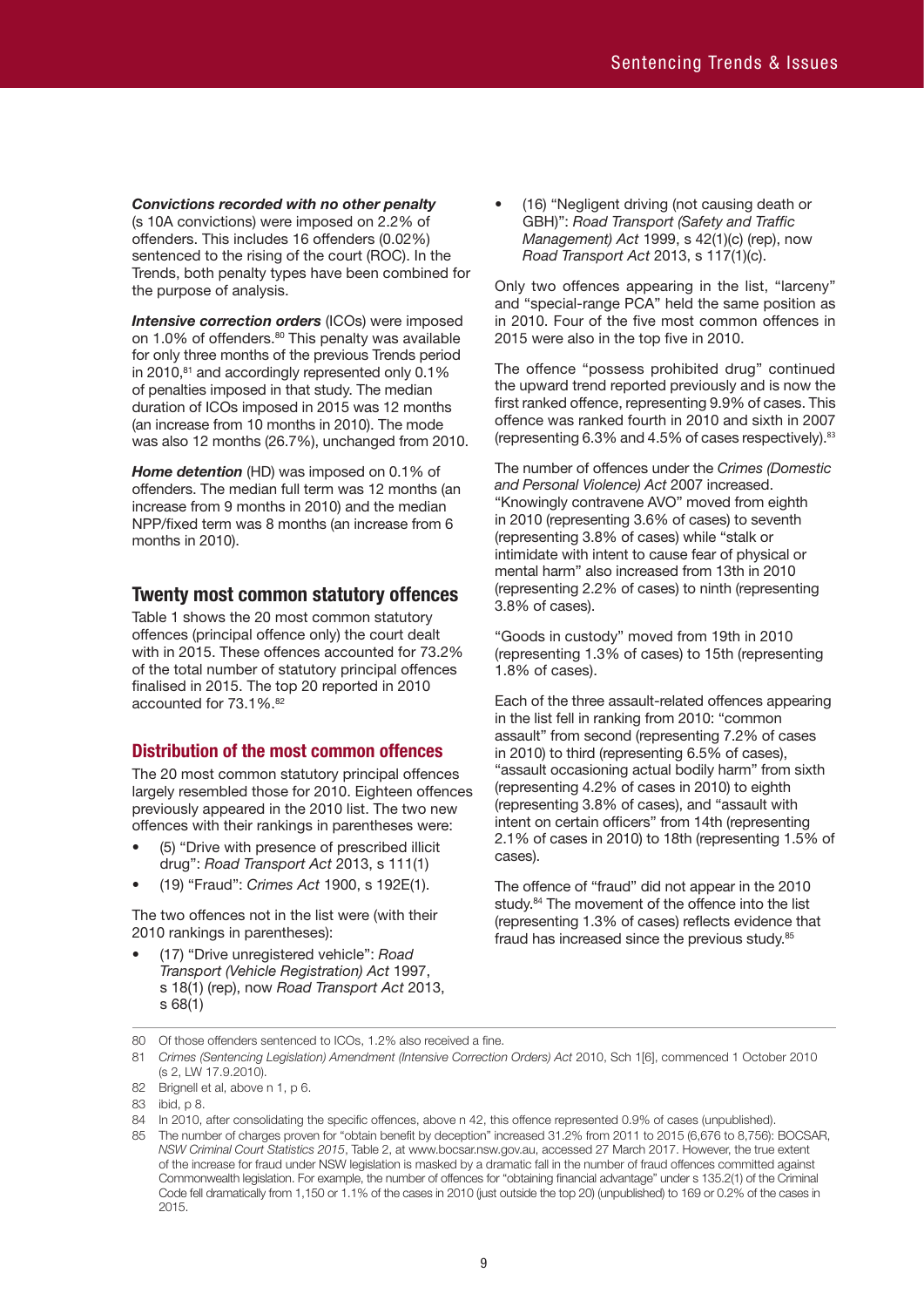*Convictions recorded with no other penalty* (s 10A convictions) were imposed on 2.2% of offenders. This includes 16 offenders (0.02%) sentenced to the rising of the court (ROC). In the Trends, both penalty types have been combined for the purpose of analysis.

*Intensive correction orders* (ICOs) were imposed on 1.0% of offenders.<sup>80</sup> This penalty was available for only three months of the previous Trends period in 2010,<sup>81</sup> and accordingly represented only 0.1% of penalties imposed in that study. The median duration of ICOs imposed in 2015 was 12 months (an increase from 10 months in 2010). The mode was also 12 months (26.7%), unchanged from 2010.

*Home detention* (HD) was imposed on 0.1% of offenders. The median full term was 12 months (an increase from 9 months in 2010) and the median NPP/fixed term was 8 months (an increase from 6 months in 2010).

# **Twenty most common statutory offences**

Table 1 shows the 20 most common statutory offences (principal offence only) the court dealt with in 2015. These offences accounted for 73.2% of the total number of statutory principal offences finalised in 2015. The top 20 reported in 2010 accounted for 73.1%. 82

# **Distribution of the most common offences**

The 20 most common statutory principal offences largely resembled those for 2010. Eighteen offences previously appeared in the 2010 list. The two new offences with their rankings in parentheses were:

- (5) "Drive with presence of prescribed illicit drug": *Road Transport Act* 2013, s 111(1)
- (19) "Fraud": *Crimes Act* 1900, s 192E(1).

The two offences not in the list were (with their 2010 rankings in parentheses):

• (17) "Drive unregistered vehicle": *Road Transport (Vehicle Registration) Act* 1997, s 18(1) (rep), now *Road Transport Act* 2013, s 68(1)

• (16) "Negligent driving (not causing death or GBH)": *Road Transport (Safety and Traffic Management) Act* 1999, s 42(1)(c) (rep), now *Road Transport Act* 2013, s 117(1)(c).

Only two offences appearing in the list, "larceny" and "special-range PCA" held the same position as in 2010. Four of the five most common offences in 2015 were also in the top five in 2010.

The offence "possess prohibited drug" continued the upward trend reported previously and is now the first ranked offence, representing 9.9% of cases. This offence was ranked fourth in 2010 and sixth in 2007 (representing 6.3% and 4.5% of cases respectively). 83

The number of offences under the *Crimes (Domestic and Personal Violence) Act* 2007 increased. "Knowingly contravene AVO" moved from eighth in 2010 (representing 3.6% of cases) to seventh (representing 3.8% of cases) while "stalk or intimidate with intent to cause fear of physical or mental harm" also increased from 13th in 2010 (representing 2.2% of cases) to ninth (representing 3.8% of cases).

"Goods in custody" moved from 19th in 2010 (representing 1.3% of cases) to 15th (representing 1.8% of cases).

Each of the three assault-related offences appearing in the list fell in ranking from 2010: "common assault" from second (representing 7.2% of cases in 2010) to third (representing 6.5% of cases), "assault occasioning actual bodily harm" from sixth (representing 4.2% of cases in 2010) to eighth (representing 3.8% of cases), and "assault with intent on certain officers" from 14th (representing 2.1% of cases in 2010) to 18th (representing 1.5% of cases).

The offence of "fraud" did not appear in the 2010 study.<sup>84</sup> The movement of the offence into the list (representing 1.3% of cases) reflects evidence that fraud has increased since the previous study.<sup>85</sup>

80 Of those offenders sentenced to ICOs, 1.2% also received a fine.

82 Brignell et al, above n 1, p 6.

<sup>81</sup> *Crimes (Sentencing Legislation) Amendment (Intensive Correction Orders) Act* 2010, Sch 1[6], commenced 1 October 2010 (s 2, LW 17.9.2010).

<sup>83</sup> ibid, p 8.

<sup>84</sup> In 2010, after consolidating the specific offences, above n 42, this offence represented 0.9% of cases (unpublished).

<sup>85</sup> The number of charges proven for "obtain benefit by deception" increased 31.2% from 2011 to 2015 (6,676 to 8,756): BOCSAR, *NSW Criminal Court Statistics 2015*, Table 2, at www.bocsar.nsw.gov.au, accessed 27 March 2017. However, the true extent of the increase for fraud under NSW legislation is masked by a dramatic fall in the number of fraud offences committed against Commonwealth legislation. For example, the number of offences for "obtaining financial advantage" under s 135.2(1) of the Criminal Code fell dramatically from 1,150 or 1.1% of the cases in 2010 (just outside the top 20) (unpublished) to 169 or 0.2% of the cases in 2015.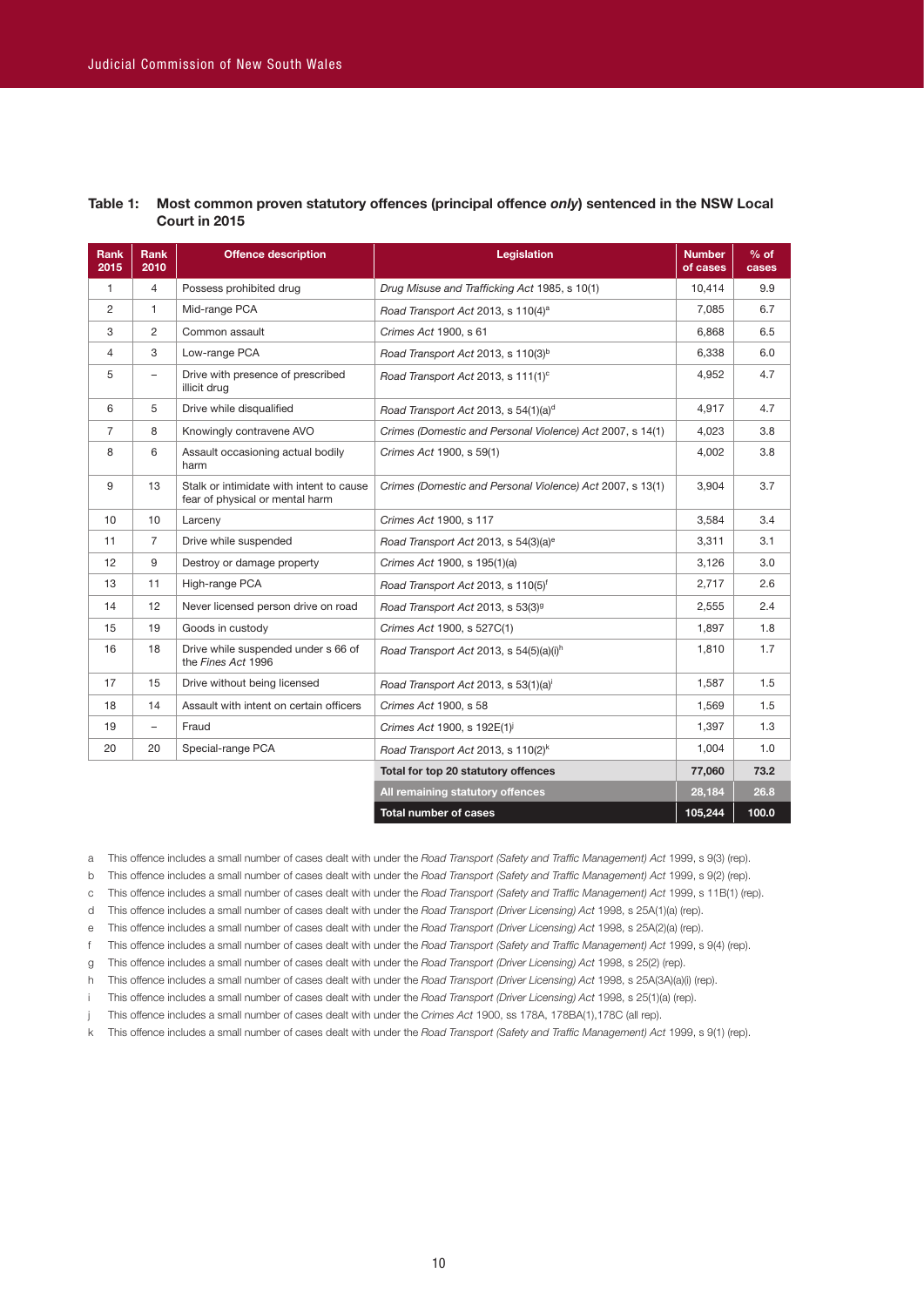| Rank<br>2015 | Rank<br>2010             | <b>Offence description</b>                                                  | <b>Legislation</b>                                        | <b>Number</b><br>of cases | $%$ of<br>cases |
|--------------|--------------------------|-----------------------------------------------------------------------------|-----------------------------------------------------------|---------------------------|-----------------|
| 1            | $\overline{4}$           | Possess prohibited drug                                                     | Drug Misuse and Trafficking Act 1985, s 10(1)             | 10,414                    | 9.9             |
| 2            | $\mathbf{1}$             | Mid-range PCA                                                               | Road Transport Act 2013, s 110(4) <sup>a</sup>            | 7.085                     | 6.7             |
| 3            | $\overline{2}$           | Common assault                                                              | Crimes Act 1900, s 61                                     | 6.868                     | 6.5             |
| 4            | 3                        | Low-range PCA                                                               | Road Transport Act 2013, s 110(3) <sup>b</sup>            | 6,338                     | 6.0             |
| 5            | $\overline{\phantom{0}}$ | Drive with presence of prescribed<br>illicit drug                           | Road Transport Act 2013, s 111(1) <sup>c</sup>            | 4,952                     | 4.7             |
| 6            | 5                        | Drive while disqualified                                                    | Road Transport Act 2013, s 54(1)(a) <sup>d</sup>          | 4,917                     | 4.7             |
| 7            | 8                        | Knowingly contravene AVO                                                    | Crimes (Domestic and Personal Violence) Act 2007, s 14(1) | 4,023                     | 3.8             |
| 8            | 6                        | Assault occasioning actual bodily<br>harm                                   | Crimes Act 1900, s 59(1)                                  | 4,002                     | 3.8             |
| 9            | 13                       | Stalk or intimidate with intent to cause<br>fear of physical or mental harm | Crimes (Domestic and Personal Violence) Act 2007, s 13(1) | 3,904                     | 3.7             |
| 10           | 10                       | Larceny                                                                     | Crimes Act 1900, s 117                                    | 3,584                     | 3.4             |
| 11           | $\overline{7}$           | Drive while suspended                                                       | Road Transport Act 2013, s 54(3)(a) <sup>e</sup>          | 3,311                     | 3.1             |
| 12           | 9                        | Destroy or damage property                                                  | Crimes Act 1900, s 195(1)(a)                              | 3,126                     | 3.0             |
| 13           | 11                       | High-range PCA                                                              | Road Transport Act 2013, s 110(5) <sup>f</sup>            | 2,717                     | 2.6             |
| 14           | 12                       | Never licensed person drive on road                                         | Road Transport Act 2013, s 53(3) <sup>9</sup>             | 2,555                     | 2.4             |
| 15           | 19                       | Goods in custody                                                            | Crimes Act 1900, s 527C(1)                                | 1,897                     | 1.8             |
| 16           | 18                       | Drive while suspended under s 66 of<br>the Fines Act 1996                   | Road Transport Act 2013, s 54(5)(a)(i) <sup>h</sup>       | 1,810                     | 1.7             |
| 17           | 15                       | Drive without being licensed                                                | Road Transport Act 2013, s 53(1)(a) <sup>i</sup>          | 1,587                     | 1.5             |
| 18           | 14                       | Assault with intent on certain officers                                     | Crimes Act 1900, s 58                                     | 1,569                     | 1.5             |
| 19           | $\overline{\phantom{m}}$ | Fraud                                                                       | Crimes Act 1900, s 192E(1) <sup>1</sup>                   | 1,397                     | 1.3             |
| 20           | 20                       | Special-range PCA                                                           | Road Transport Act 2013, s 110(2) <sup>k</sup>            | 1,004                     | 1.0             |
|              |                          |                                                                             | Total for top 20 statutory offences                       | 77,060                    | 73.2            |
|              |                          |                                                                             | All remaining statutory offences                          | 28,184                    | 26.8            |
|              |                          |                                                                             | <b>Total number of cases</b>                              | 105.244                   | 100.0           |

#### **Table 1: Most common proven statutory offences (principal offence** *only***) sentenced in the NSW Local Court in 2015**

a This offence includes a small number of cases dealt with under the *Road Transport (Safety and Traffic Management) Act* 1999, s 9(3) (rep).

b This offence includes a small number of cases dealt with under the *Road Transport (Safety and Traffic Management) Act* 1999, s 9(2) (rep).

c This offence includes a small number of cases dealt with under the *Road Transport (Safety and Traffic Management) Act* 1999, s 11B(1) (rep).

d This offence includes a small number of cases dealt with under the *Road Transport (Driver Licensing) Act* 1998, s 25A(1)(a) (rep).

e This offence includes a small number of cases dealt with under the *Road Transport (Driver Licensing) Act* 1998, s 25A(2)(a) (rep).

f This offence includes a small number of cases dealt with under the *Road Transport (Safety and Traffic Management) Act* 1999, s 9(4) (rep).

g This offence includes a small number of cases dealt with under the *Road Transport (Driver Licensing) Act* 1998, s 25(2) (rep).

h This offence includes a small number of cases dealt with under the *Road Transport (Driver Licensing) Act* 1998, s 25A(3A)(a)(i) (rep).

i This offence includes a small number of cases dealt with under the *Road Transport (Driver Licensing) Act* 1998, s 25(1)(a) (rep).

j This offence includes a small number of cases dealt with under the *Crimes Act* 1900, ss 178A, 178BA(1),178C (all rep).

k This offence includes a small number of cases dealt with under the *Road Transport (Safety and Traffic Management) Act* 1999, s 9(1) (rep).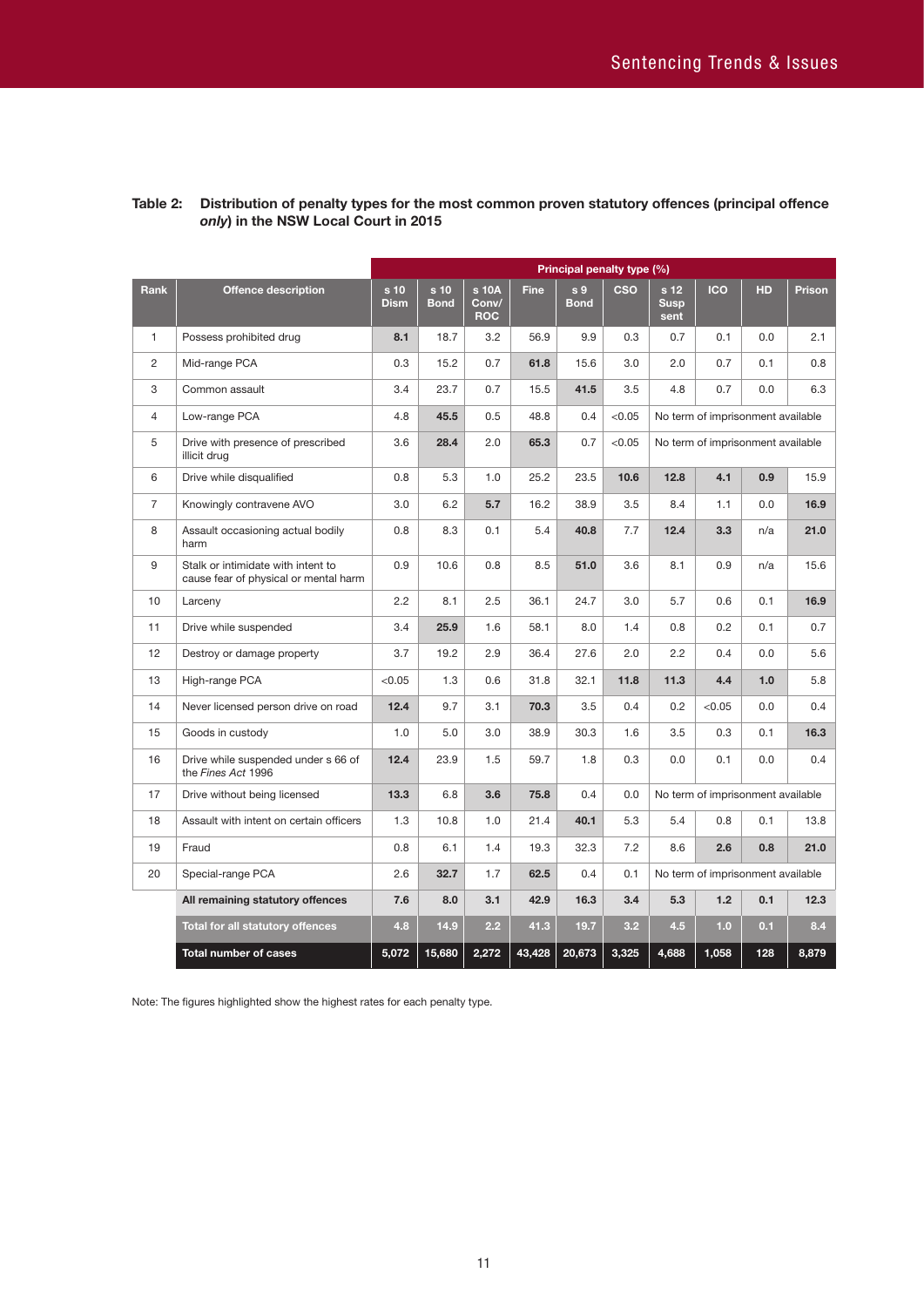|              |                                                                             |                     |                     |                              |             | Principal penalty type (%)    |            |                                        |                                   |     |        |
|--------------|-----------------------------------------------------------------------------|---------------------|---------------------|------------------------------|-------------|-------------------------------|------------|----------------------------------------|-----------------------------------|-----|--------|
| <b>Rank</b>  | <b>Offence description</b>                                                  | s 10<br><b>Dism</b> | s 10<br><b>Bond</b> | s 10A<br>Conv/<br><b>ROC</b> | <b>Fine</b> | s <sub>9</sub><br><b>Bond</b> | <b>CSO</b> | s <sub>12</sub><br><b>Susp</b><br>sent | <b>ICO</b>                        | HD  | Prison |
| $\mathbf{1}$ | Possess prohibited drug                                                     | 8.1                 | 18.7                | 3.2                          | 56.9        | 9.9                           | 0.3        | 0.7                                    | 0.1                               | 0.0 | 2.1    |
| 2            | Mid-range PCA                                                               | 0.3                 | 15.2                | 0.7                          | 61.8        | 15.6                          | 3.0        | 2.0                                    | 0.7                               | 0.1 | 0.8    |
| 3            | Common assault                                                              | 3.4                 | 23.7                | 0.7                          | 15.5        | 41.5                          | 3.5        | 4.8                                    | 0.7                               | 0.0 | 6.3    |
| 4            | Low-range PCA                                                               | 4.8                 | 45.5                | 0.5                          | 48.8        | 0.4                           | < 0.05     |                                        | No term of imprisonment available |     |        |
| 5            | Drive with presence of prescribed<br>illicit drug                           | 3.6                 | 28.4                | 2.0                          | 65.3        | 0.7                           | < 0.05     |                                        | No term of imprisonment available |     |        |
| 6            | Drive while disqualified                                                    | 0.8                 | 5.3                 | 1.0                          | 25.2        | 23.5                          | 10.6       | 12.8                                   | 4.1                               | 0.9 | 15.9   |
| 7            | Knowingly contravene AVO                                                    | 3.0                 | 6.2                 | 5.7                          | 16.2        | 38.9                          | 3.5        | 8.4                                    | 1.1                               | 0.0 | 16.9   |
| 8            | Assault occasioning actual bodily<br>harm                                   | 0.8                 | 8.3                 | 0.1                          | 5.4         | 40.8                          | 7.7        | 12.4                                   | 3.3                               | n/a | 21.0   |
| 9            | Stalk or intimidate with intent to<br>cause fear of physical or mental harm | 0.9                 | 10.6                | 0.8                          | 8.5         | 51.0                          | 3.6        | 8.1                                    | 0.9                               | n/a | 15.6   |
| 10           | Larceny                                                                     | 2.2                 | 8.1                 | 2.5                          | 36.1        | 24.7                          | 3.0        | 5.7                                    | 0.6                               | 0.1 | 16.9   |
| 11           | Drive while suspended                                                       | 3.4                 | 25.9                | 1.6                          | 58.1        | 8.0                           | 1.4        | 0.8                                    | 0.2                               | 0.1 | 0.7    |
| 12           | Destroy or damage property                                                  | 3.7                 | 19.2                | 2.9                          | 36.4        | 27.6                          | 2.0        | 2.2                                    | 0.4                               | 0.0 | 5.6    |
| 13           | High-range PCA                                                              | < 0.05              | 1.3                 | 0.6                          | 31.8        | 32.1                          | 11.8       | 11.3                                   | 4.4                               | 1.0 | 5.8    |
| 14           | Never licensed person drive on road                                         | 12.4                | 9.7                 | 3.1                          | 70.3        | 3.5                           | 0.4        | 0.2                                    | < 0.05                            | 0.0 | 0.4    |
| 15           | Goods in custody                                                            | 1.0                 | 5.0                 | 3.0                          | 38.9        | 30.3                          | 1.6        | 3.5                                    | 0.3                               | 0.1 | 16.3   |
| 16           | Drive while suspended under s 66 of<br>the Fines Act 1996                   | 12.4                | 23.9                | 1.5                          | 59.7        | 1.8                           | 0.3        | 0.0                                    | 0.1                               | 0.0 | 0.4    |
| 17           | Drive without being licensed                                                | 13.3                | 6.8                 | 3.6                          | 75.8        | 0.4                           | 0.0        |                                        | No term of imprisonment available |     |        |
| 18           | Assault with intent on certain officers                                     | 1.3                 | 10.8                | 1.0                          | 21.4        | 40.1                          | 5.3        | 5.4                                    | 0.8                               | 0.1 | 13.8   |
| 19           | Fraud                                                                       | 0.8                 | 6.1                 | 1.4                          | 19.3        | 32.3                          | 7.2        | 8.6                                    | 2.6                               | 0.8 | 21.0   |
| 20           | Special-range PCA                                                           | 2.6                 | 32.7                | 1.7                          | 62.5        | 0.4                           | 0.1        |                                        | No term of imprisonment available |     |        |
|              | All remaining statutory offences                                            | 7.6                 | 8.0                 | 3.1                          | 42.9        | 16.3                          | 3.4        | 5.3                                    | 1.2                               | 0.1 | 12.3   |
|              | Total for all statutory offences                                            | 4.8                 | 14.9                | 2.2                          | 41.3        | 19.7                          | 3.2        | 4.5                                    | 1.0                               | 0.1 | 8.4    |
|              | <b>Total number of cases</b>                                                | 5,072               | 15,680              | 2,272                        | 43,428      | 20,673                        | 3,325      | 4.688                                  | 1,058                             | 128 | 8,879  |

# **Table 2: Distribution of penalty types for the most common proven statutory offences (principal offence**  *only***) in the NSW Local Court in 2015**

Note: The figures highlighted show the highest rates for each penalty type.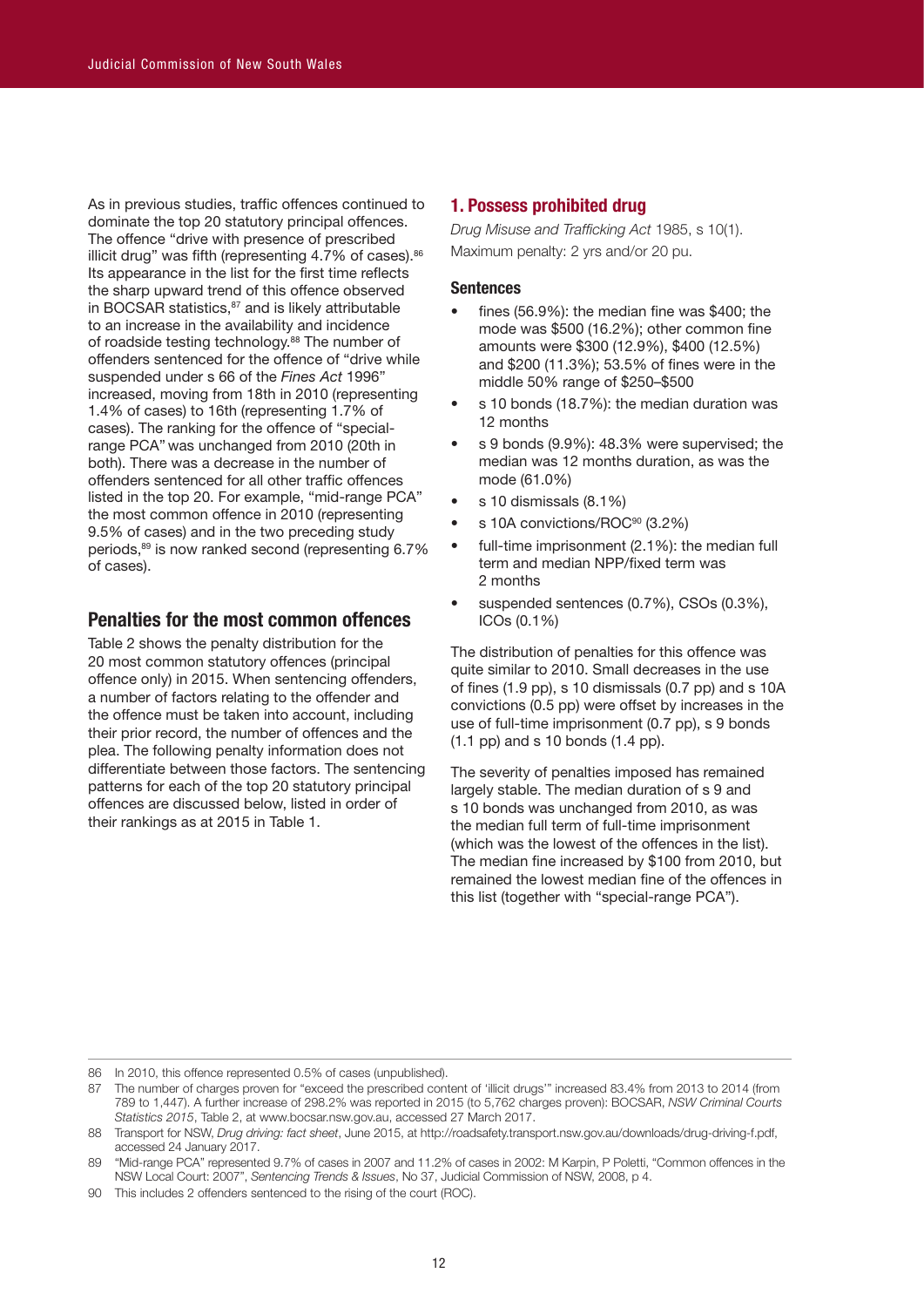As in previous studies, traffic offences continued to dominate the top 20 statutory principal offences. The offence "drive with presence of prescribed illicit drug" was fifth (representing 4.7% of cases).<sup>86</sup> Its appearance in the list for the first time reflects the sharp upward trend of this offence observed in BOCSAR statistics, $87$  and is likely attributable to an increase in the availability and incidence of roadside testing technology.<sup>88</sup> The number of offenders sentenced for the offence of "drive while suspended under s 66 of the *Fines Act* 1996" increased, moving from 18th in 2010 (representing 1.4% of cases) to 16th (representing 1.7% of cases). The ranking for the offence of "specialrange PCA" was unchanged from 2010 (20th in both). There was a decrease in the number of offenders sentenced for all other traffic offences listed in the top 20. For example, "mid-range PCA" the most common offence in 2010 (representing 9.5% of cases) and in the two preceding study periods,89 is now ranked second (representing 6.7% of cases).

# **Penalties for the most common offences**

Table 2 shows the penalty distribution for the 20 most common statutory offences (principal offence only) in 2015. When sentencing offenders, a number of factors relating to the offender and the offence must be taken into account, including their prior record, the number of offences and the plea. The following penalty information does not differentiate between those factors. The sentencing patterns for each of the top 20 statutory principal offences are discussed below, listed in order of their rankings as at 2015 in Table 1.

# **1. Possess prohibited drug**

*Drug Misuse and Trafficking Act* 1985, s 10(1). Maximum penalty: 2 yrs and/or 20 pu.

#### **Sentences**

- fines  $(56.9\%)$ : the median fine was \$400; the mode was \$500 (16.2%); other common fine amounts were \$300 (12.9%), \$400 (12.5%) and \$200 (11.3%); 53.5% of fines were in the middle 50% range of \$250–\$500
- s 10 bonds (18.7%): the median duration was 12 months
- s 9 bonds (9.9%): 48.3% were supervised; the median was 12 months duration, as was the mode (61.0%)
- s 10 dismissals (8.1%)
- s 10A convictions/ROC<sup>90</sup> (3.2%)
- full-time imprisonment (2.1%): the median full term and median NPP/fixed term was 2 months
- suspended sentences (0.7%), CSOs (0.3%), ICOs (0.1%)

The distribution of penalties for this offence was quite similar to 2010. Small decreases in the use of fines (1.9 pp), s 10 dismissals (0.7 pp) and s 10A convictions (0.5 pp) were offset by increases in the use of full-time imprisonment (0.7 pp), s 9 bonds (1.1 pp) and s 10 bonds (1.4 pp).

The severity of penalties imposed has remained largely stable. The median duration of s 9 and s 10 bonds was unchanged from 2010, as was the median full term of full-time imprisonment (which was the lowest of the offences in the list). The median fine increased by \$100 from 2010, but remained the lowest median fine of the offences in this list (together with "special-range PCA").

<sup>86</sup> In 2010, this offence represented 0.5% of cases (unpublished).

<sup>87</sup> The number of charges proven for "exceed the prescribed content of 'illicit drugs'" increased 83.4% from 2013 to 2014 (from 789 to 1,447). A further increase of 298.2% was reported in 2015 (to 5,762 charges proven): BOCSAR, *NSW Criminal Courts Statistics 2015*, Table 2, at www.bocsar.nsw.gov.au, accessed 27 March 2017.

<sup>88</sup> Transport for NSW, *Drug driving: fact sheet*, June 2015, at http://roadsafety.transport.nsw.gov.au/downloads/drug-driving-f.pdf, accessed 24 January 2017.

<sup>89</sup> "Mid-range PCA" represented 9.7% of cases in 2007 and 11.2% of cases in 2002: M Karpin, P Poletti, "Common offences in the NSW Local Court: 2007", *Sentencing Trends & Issues*, No 37, Judicial Commission of NSW, 2008, p 4.

<sup>90</sup> This includes 2 offenders sentenced to the rising of the court (ROC).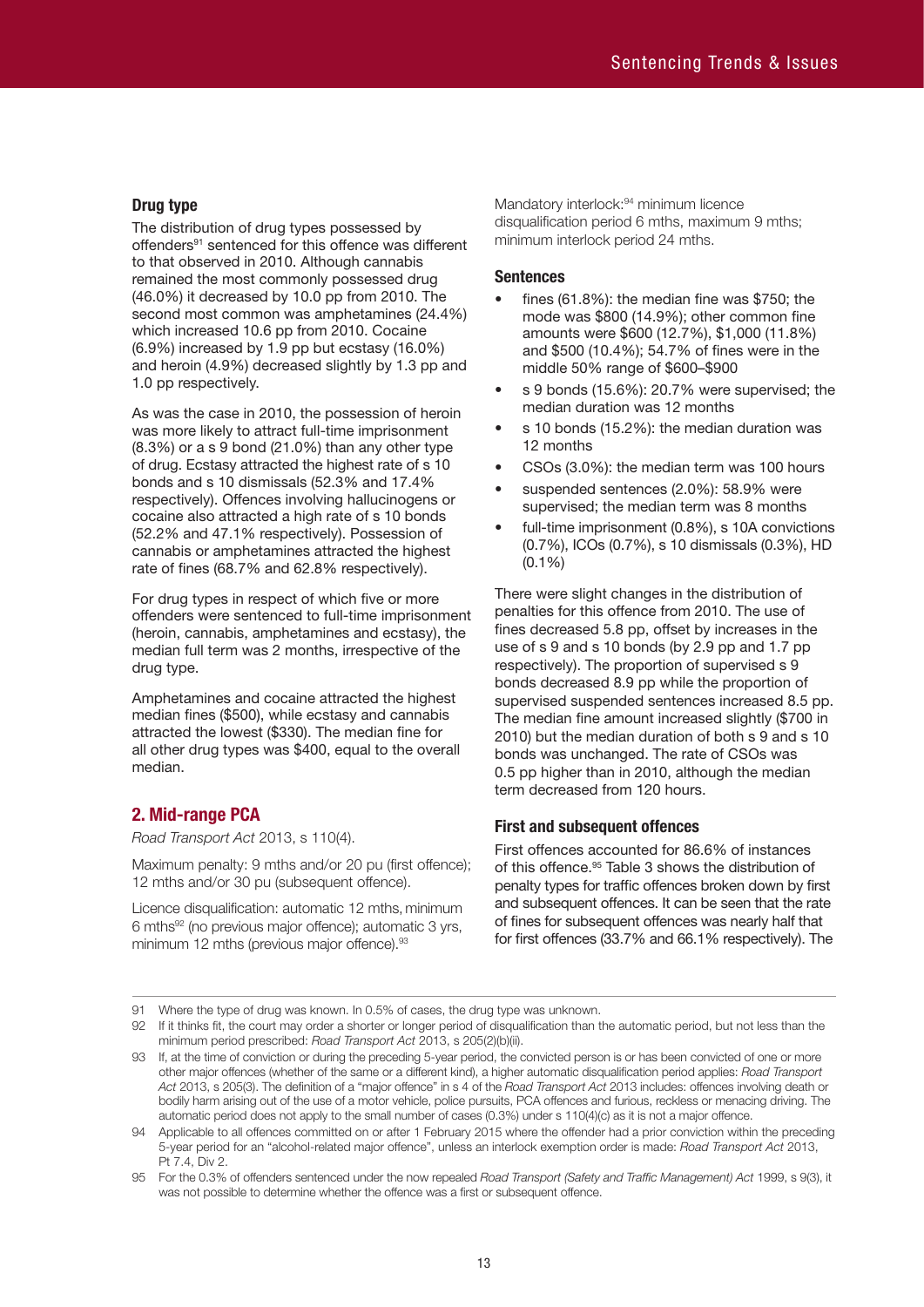#### **Drug type**

The distribution of drug types possessed by offenders<sup>91</sup> sentenced for this offence was different to that observed in 2010. Although cannabis remained the most commonly possessed drug (46.0%) it decreased by 10.0 pp from 2010. The second most common was amphetamines (24.4%) which increased 10.6 pp from 2010. Cocaine (6.9%) increased by 1.9 pp but ecstasy (16.0%) and heroin (4.9%) decreased slightly by 1.3 pp and 1.0 pp respectively.

As was the case in 2010, the possession of heroin was more likely to attract full-time imprisonment (8.3%) or a s 9 bond (21.0%) than any other type of drug. Ecstasy attracted the highest rate of s 10 bonds and s 10 dismissals (52.3% and 17.4% respectively). Offences involving hallucinogens or cocaine also attracted a high rate of s 10 bonds (52.2% and 47.1% respectively). Possession of cannabis or amphetamines attracted the highest rate of fines (68.7% and 62.8% respectively).

For drug types in respect of which five or more offenders were sentenced to full-time imprisonment (heroin, cannabis, amphetamines and ecstasy), the median full term was 2 months, irrespective of the drug type.

Amphetamines and cocaine attracted the highest median fines (\$500), while ecstasy and cannabis attracted the lowest (\$330). The median fine for all other drug types was \$400, equal to the overall median.

# **2. Mid-range PCA**

*Road Transport Act* 2013, s 110(4).

Maximum penalty: 9 mths and/or 20 pu (first offence); 12 mths and/or 30 pu (subsequent offence).

Licence disqualification: automatic 12 mths, minimum 6 mths92 (no previous major offence); automatic 3 yrs, minimum 12 mths (previous major offence).<sup>93</sup>

Mandatory interlock:<sup>94</sup> minimum licence disqualification period 6 mths, maximum 9 mths; minimum interlock period 24 mths.

#### **Sentences**

- fines (61.8%): the median fine was  $$750$ ; the mode was \$800 (14.9%); other common fine amounts were \$600 (12.7%), \$1,000 (11.8%) and \$500 (10.4%); 54.7% of fines were in the middle 50% range of \$600–\$900
- s 9 bonds (15.6%): 20.7% were supervised; the median duration was 12 months
- s 10 bonds (15.2%): the median duration was 12 months
- CSOs (3.0%): the median term was 100 hours
- suspended sentences (2.0%): 58.9% were supervised; the median term was 8 months
- full-time imprisonment (0.8%), s 10A convictions (0.7%), ICOs (0.7%), s 10 dismissals (0.3%), HD (0.1%)

There were slight changes in the distribution of penalties for this offence from 2010. The use of fines decreased 5.8 pp, offset by increases in the use of s 9 and s 10 bonds (by 2.9 pp and 1.7 pp respectively). The proportion of supervised s 9 bonds decreased 8.9 pp while the proportion of supervised suspended sentences increased 8.5 pp. The median fine amount increased slightly (\$700 in 2010) but the median duration of both s 9 and s 10 bonds was unchanged. The rate of CSOs was 0.5 pp higher than in 2010, although the median term decreased from 120 hours.

#### **First and subsequent offences**

First offences accounted for 86.6% of instances of this offence. 95 Table 3 shows the distribution of penalty types for traffic offences broken down by first and subsequent offences. It can be seen that the rate of fines for subsequent offences was nearly half that for first offences (33.7% and 66.1% respectively). The

91 Where the type of drug was known. In 0.5% of cases, the drug type was unknown.

94 Applicable to all offences committed on or after 1 February 2015 where the offender had a prior conviction within the preceding 5-year period for an "alcohol-related major offence", unless an interlock exemption order is made: *Road Transport Act* 2013, Pt 7.4, Div 2.

95 For the 0.3% of offenders sentenced under the now repealed *Road Transport (Safety and Traffic Management) Act* 1999, s 9(3), it was not possible to determine whether the offence was a first or subsequent offence.

<sup>92</sup> If it thinks fit, the court may order a shorter or longer period of disqualification than the automatic period, but not less than the minimum period prescribed: *Road Transport Act* 2013, s 205(2)(b)(ii).

<sup>93</sup> If, at the time of conviction or during the preceding 5-year period, the convicted person is or has been convicted of one or more other major offences (whether of the same or a different kind), a higher automatic disqualification period applies: *Road Transport Act* 2013, s 205(3). The definition of a "major offence" in s 4 of the *Road Transport Act* 2013 includes: offences involving death or bodily harm arising out of the use of a motor vehicle, police pursuits, PCA offences and furious, reckless or menacing driving. The automatic period does not apply to the small number of cases (0.3%) under s 110(4)(c) as it is not a major offence.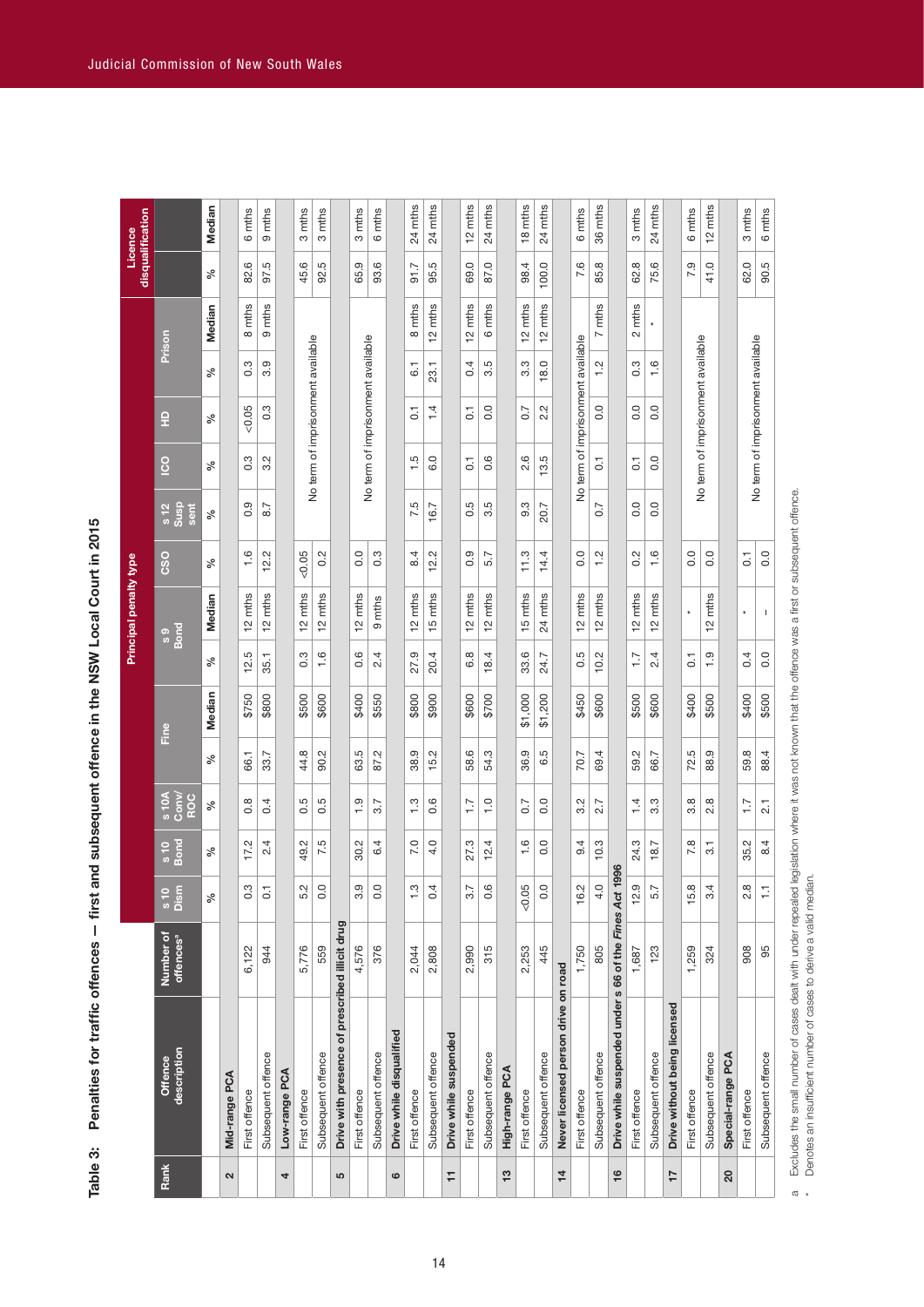Table 3: Penalties for traffic offences - first and subsequent offence in the NSW Local Court in 2015 **Table 3: Penalties for traffic offences — first and subsequent offence in the NSW Local Court in 2015**

| $\infty$<br>$\tilde{c}$<br>$\tilde{c}$<br>$\circ$<br>$\tilde{c}$<br>$\frac{1}{2}$<br>$\overline{ }$<br>ၜ<br>$\infty$<br>$\sim$<br>Prison<br>No term of imprisonment available<br>No term of imprisonment available<br>No term of imprisonment available<br>No term of imprisonment available<br>No term of imprisonment available<br>ၜ<br>Б<br>$\frac{2}{1}$<br>$\frac{6}{1}$<br>ო<br>4<br>က<br>18.0<br>က္<br>$\overline{6}$ .<br>23.1<br>ৡ<br>ö<br>က<br>ö<br>ကံ<br>က<br>ö<br>0.0<br>0.05<br>$0.\overline{3}$<br>1.4<br>0.0<br>2.2<br>0.0<br>0.0<br>0.7<br>$\overline{C}$<br>$\overline{C}$<br>읖<br>ৡ<br>0.3<br>Ņ<br>5<br>6.0<br>0.6<br>Q<br>r.<br>0.0<br>$\overline{0}$<br><b>SO</b><br>$\overline{C}$<br>$\overline{0}$ .<br>ৡ<br>ಲ್ಲ<br>က်<br>$\alpha$<br>legislation where it was not known that the offence was a first or subsequent offence.<br>တ<br>Б<br>5<br>5<br>S<br>0.0<br>0.0<br>$\frac{12}{3}$<br>8.7<br>16.7<br>20.7<br>N<br>sent<br>Z.<br>వ్<br>တ<br>ö<br>ö<br>ö<br>ကံ<br>0.0<br>0.0<br>0.0<br>1.6<br>12.2<br>0.05<br>0.2<br>0.0<br>$0.\overline{3}$<br>8.4<br>12.2<br>0.9<br>11.3<br>14.4<br>0.0<br>$\frac{2}{1}$<br>0.2<br>$\frac{6}{1}$<br>5.7<br>$\overline{0}$<br><b>CSO</b><br>℅<br>12 mths<br>12 mths<br>12 mths<br>12 mths<br>12 mths<br>12 mths<br>15 mths<br>12 mths<br>12 mths<br>15 mths<br>24 mths<br>12 mths<br>12 mths<br>mths<br>mths<br>mths<br>Median<br>mths<br>$\mathbf{I}$<br>$\star$<br>$\frac{1}{2}$<br>$\frac{1}{2}$<br>얻<br>σ<br>s 9<br>Bond<br>rú<br>$0.\overline{3}$<br>1.6<br>0.6<br>2.4<br>တ္<br>œ<br>Q<br>rú<br>$\frac{0}{1}$<br>0.0<br>20.4<br>18.4<br>24.7<br>10.2<br>$\overline{1}$ .<br>2.4<br>0.4<br>35.1<br>$\overline{0}$<br>ৡ<br>33.<br>흔.<br>có<br>ö<br>27.<br>Median<br>\$800<br>\$600<br>\$1,000<br>\$1,200<br>\$400<br>\$400<br>\$500<br>\$750<br>\$800<br>\$500<br>\$600<br>\$400<br>\$550<br>\$900<br>\$700<br>\$450<br>\$600<br>\$500<br>\$600<br>\$500<br>Fine<br>44.8<br>rú<br>Q,<br>58.6<br>54.3<br>36.9<br>rú<br>rú<br>88.9<br>59.8<br>90.2<br>87.2<br>15.2<br>70.7<br>69.4<br>59.2<br>88.4<br>33.7<br>66.7<br>66.1<br>వ్<br>63<br>38.<br>ق<br>72.<br>s 10A<br>Conv/<br>ROC<br>0.6<br>0.0<br>$3.\overline{3}$<br>œ<br>œ<br>œ<br>rù<br>rù.<br>တ္<br>က္<br>$\overline{1}$ .0<br>Ņ<br>4<br>$\overline{1}$ .<br>4<br>3.7<br>$\overline{1}$ :<br>0.7<br>2.7<br>$\overline{2.1}$<br>℅<br>ö<br>ö<br>ö<br>က်<br>က်<br>2.<br>$\circ$<br>$\overline{\phantom{0}}$<br>$\overline{\phantom{0}}$<br>$\overline{ }$<br>$\frac{6}{10}$<br>Bond<br>7.5<br>4.0<br>$\frac{6}{1}$<br>0.0<br>10.3<br>7.8<br>Ņ<br>4<br>7.0<br>27.3<br>4<br>24.3<br>35.2<br>8.4<br>17.2<br>4<br>Ņ<br>4<br>18.7<br>$\overline{3}$ .<br>వ్<br>30.<br>တ<br>N<br>$\overline{49}$<br>ဖ<br><u>يہ</u><br>996<br>0.3<br>5.2<br>0.0<br>3.9<br>0.0<br>1.3<br>0.4<br>3.7<br>$0.\overline{6}$<br>0.05<br>0.0<br>16.2<br>4.0<br>Drive while suspended under s 66 of the Fines Act 1<br>12.9<br>5.7<br>15.8<br>3.4<br>$2.\overline{8}$<br>$\overline{0}$ .<br>Ģ<br>s 10<br>Dism<br>Excludes the small number of cases dealt with under repealed<br>℅<br>Drive with presence of prescribed illicit drug<br>Number of<br>offences <sup>a</sup><br>805<br>5,776<br>376<br>2,808<br>2,990<br>Б<br>445<br>1,750<br>908<br>95<br>6,122<br>559<br>4,576<br>2,253<br>123<br>1,259<br>2,044<br>324<br>944<br>1,687<br>5<br>Never licensed person drive on road<br>Drive without being licensed<br>Drive while disqualified<br>Drive while suspended<br>description<br>Subsequent offence<br>Subsequent offence<br>Subsequent offence<br>Subsequent offence<br>Subsequent offence<br>Subsequent offence<br>Subsequent offence<br>Subsequent offence<br>Subsequent offence<br>Subsequent offence<br>Special-range PCA<br>Offence<br>High-range PCA<br>Low-range PCA<br>Mid-range PCA<br>First offence<br>First offence<br>First offence<br>First offence<br>First offence<br>First offence<br>First offence<br>First offence<br>First offence<br>First offence<br>Rank<br>13<br>$\frac{6}{5}$<br>$\frac{4}{7}$<br>17<br>20<br>Ξ<br>2<br>4<br>5<br>$\circ$ |              |  |  |  |  | Principal penalty type |  |  |        |                | disqualification<br>Licence     |
|-------------------------------------------------------------------------------------------------------------------------------------------------------------------------------------------------------------------------------------------------------------------------------------------------------------------------------------------------------------------------------------------------------------------------------------------------------------------------------------------------------------------------------------------------------------------------------------------------------------------------------------------------------------------------------------------------------------------------------------------------------------------------------------------------------------------------------------------------------------------------------------------------------------------------------------------------------------------------------------------------------------------------------------------------------------------------------------------------------------------------------------------------------------------------------------------------------------------------------------------------------------------------------------------------------------------------------------------------------------------------------------------------------------------------------------------------------------------------------------------------------------------------------------------------------------------------------------------------------------------------------------------------------------------------------------------------------------------------------------------------------------------------------------------------------------------------------------------------------------------------------------------------------------------------------------------------------------------------------------------------------------------------------------------------------------------------------------------------------------------------------------------------------------------------------------------------------------------------------------------------------------------------------------------------------------------------------------------------------------------------------------------------------------------------------------------------------------------------------------------------------------------------------------------------------------------------------------------------------------------------------------------------------------------------------------------------------------------------------------------------------------------------------------------------------------------------------------------------------------------------------------------------------------------------------------------------------------------------------------------------------------------------------------------------------------------------------------------------------------------------------------------------------------------------------------------------------------------------------------------------------------------------------------------------------------------------------------------------------------------------------------------------------------------------------------------------------------------------------------------------------------------------------------------------------------------------------------------------------------------------------------------------------------------------------------------------------------------------------------------------------------------------------------------------------------------------------------------------------------------------------------------------------------------------------------------------------------------------------------------------------------------------------------------------------------|--------------|--|--|--|--|------------------------|--|--|--------|----------------|---------------------------------|
|                                                                                                                                                                                                                                                                                                                                                                                                                                                                                                                                                                                                                                                                                                                                                                                                                                                                                                                                                                                                                                                                                                                                                                                                                                                                                                                                                                                                                                                                                                                                                                                                                                                                                                                                                                                                                                                                                                                                                                                                                                                                                                                                                                                                                                                                                                                                                                                                                                                                                                                                                                                                                                                                                                                                                                                                                                                                                                                                                                                                                                                                                                                                                                                                                                                                                                                                                                                                                                                                                                                                                                                                                                                                                                                                                                                                                                                                                                                                                                                                                                                             |              |  |  |  |  |                        |  |  |        |                |                                 |
|                                                                                                                                                                                                                                                                                                                                                                                                                                                                                                                                                                                                                                                                                                                                                                                                                                                                                                                                                                                                                                                                                                                                                                                                                                                                                                                                                                                                                                                                                                                                                                                                                                                                                                                                                                                                                                                                                                                                                                                                                                                                                                                                                                                                                                                                                                                                                                                                                                                                                                                                                                                                                                                                                                                                                                                                                                                                                                                                                                                                                                                                                                                                                                                                                                                                                                                                                                                                                                                                                                                                                                                                                                                                                                                                                                                                                                                                                                                                                                                                                                                             |              |  |  |  |  |                        |  |  | Median | వ              | Median                          |
|                                                                                                                                                                                                                                                                                                                                                                                                                                                                                                                                                                                                                                                                                                                                                                                                                                                                                                                                                                                                                                                                                                                                                                                                                                                                                                                                                                                                                                                                                                                                                                                                                                                                                                                                                                                                                                                                                                                                                                                                                                                                                                                                                                                                                                                                                                                                                                                                                                                                                                                                                                                                                                                                                                                                                                                                                                                                                                                                                                                                                                                                                                                                                                                                                                                                                                                                                                                                                                                                                                                                                                                                                                                                                                                                                                                                                                                                                                                                                                                                                                                             |              |  |  |  |  |                        |  |  |        |                |                                 |
|                                                                                                                                                                                                                                                                                                                                                                                                                                                                                                                                                                                                                                                                                                                                                                                                                                                                                                                                                                                                                                                                                                                                                                                                                                                                                                                                                                                                                                                                                                                                                                                                                                                                                                                                                                                                                                                                                                                                                                                                                                                                                                                                                                                                                                                                                                                                                                                                                                                                                                                                                                                                                                                                                                                                                                                                                                                                                                                                                                                                                                                                                                                                                                                                                                                                                                                                                                                                                                                                                                                                                                                                                                                                                                                                                                                                                                                                                                                                                                                                                                                             |              |  |  |  |  |                        |  |  | mths   | ဖ<br>82.       | mths<br>ဖ                       |
|                                                                                                                                                                                                                                                                                                                                                                                                                                                                                                                                                                                                                                                                                                                                                                                                                                                                                                                                                                                                                                                                                                                                                                                                                                                                                                                                                                                                                                                                                                                                                                                                                                                                                                                                                                                                                                                                                                                                                                                                                                                                                                                                                                                                                                                                                                                                                                                                                                                                                                                                                                                                                                                                                                                                                                                                                                                                                                                                                                                                                                                                                                                                                                                                                                                                                                                                                                                                                                                                                                                                                                                                                                                                                                                                                                                                                                                                                                                                                                                                                                                             |              |  |  |  |  |                        |  |  | mths   | rö.<br>57.     | mths<br>ၜ                       |
|                                                                                                                                                                                                                                                                                                                                                                                                                                                                                                                                                                                                                                                                                                                                                                                                                                                                                                                                                                                                                                                                                                                                                                                                                                                                                                                                                                                                                                                                                                                                                                                                                                                                                                                                                                                                                                                                                                                                                                                                                                                                                                                                                                                                                                                                                                                                                                                                                                                                                                                                                                                                                                                                                                                                                                                                                                                                                                                                                                                                                                                                                                                                                                                                                                                                                                                                                                                                                                                                                                                                                                                                                                                                                                                                                                                                                                                                                                                                                                                                                                                             |              |  |  |  |  |                        |  |  |        |                |                                 |
|                                                                                                                                                                                                                                                                                                                                                                                                                                                                                                                                                                                                                                                                                                                                                                                                                                                                                                                                                                                                                                                                                                                                                                                                                                                                                                                                                                                                                                                                                                                                                                                                                                                                                                                                                                                                                                                                                                                                                                                                                                                                                                                                                                                                                                                                                                                                                                                                                                                                                                                                                                                                                                                                                                                                                                                                                                                                                                                                                                                                                                                                                                                                                                                                                                                                                                                                                                                                                                                                                                                                                                                                                                                                                                                                                                                                                                                                                                                                                                                                                                                             |              |  |  |  |  |                        |  |  |        | ဖ<br>45.       | mths<br>ო                       |
|                                                                                                                                                                                                                                                                                                                                                                                                                                                                                                                                                                                                                                                                                                                                                                                                                                                                                                                                                                                                                                                                                                                                                                                                                                                                                                                                                                                                                                                                                                                                                                                                                                                                                                                                                                                                                                                                                                                                                                                                                                                                                                                                                                                                                                                                                                                                                                                                                                                                                                                                                                                                                                                                                                                                                                                                                                                                                                                                                                                                                                                                                                                                                                                                                                                                                                                                                                                                                                                                                                                                                                                                                                                                                                                                                                                                                                                                                                                                                                                                                                                             |              |  |  |  |  |                        |  |  |        | 5<br>92.       | mths<br>S                       |
|                                                                                                                                                                                                                                                                                                                                                                                                                                                                                                                                                                                                                                                                                                                                                                                                                                                                                                                                                                                                                                                                                                                                                                                                                                                                                                                                                                                                                                                                                                                                                                                                                                                                                                                                                                                                                                                                                                                                                                                                                                                                                                                                                                                                                                                                                                                                                                                                                                                                                                                                                                                                                                                                                                                                                                                                                                                                                                                                                                                                                                                                                                                                                                                                                                                                                                                                                                                                                                                                                                                                                                                                                                                                                                                                                                                                                                                                                                                                                                                                                                                             |              |  |  |  |  |                        |  |  |        |                |                                 |
|                                                                                                                                                                                                                                                                                                                                                                                                                                                                                                                                                                                                                                                                                                                                                                                                                                                                                                                                                                                                                                                                                                                                                                                                                                                                                                                                                                                                                                                                                                                                                                                                                                                                                                                                                                                                                                                                                                                                                                                                                                                                                                                                                                                                                                                                                                                                                                                                                                                                                                                                                                                                                                                                                                                                                                                                                                                                                                                                                                                                                                                                                                                                                                                                                                                                                                                                                                                                                                                                                                                                                                                                                                                                                                                                                                                                                                                                                                                                                                                                                                                             |              |  |  |  |  |                        |  |  |        | σ<br>65.       | mths<br>က                       |
|                                                                                                                                                                                                                                                                                                                                                                                                                                                                                                                                                                                                                                                                                                                                                                                                                                                                                                                                                                                                                                                                                                                                                                                                                                                                                                                                                                                                                                                                                                                                                                                                                                                                                                                                                                                                                                                                                                                                                                                                                                                                                                                                                                                                                                                                                                                                                                                                                                                                                                                                                                                                                                                                                                                                                                                                                                                                                                                                                                                                                                                                                                                                                                                                                                                                                                                                                                                                                                                                                                                                                                                                                                                                                                                                                                                                                                                                                                                                                                                                                                                             |              |  |  |  |  |                        |  |  |        | ဖ<br>93.       | mths<br>6                       |
|                                                                                                                                                                                                                                                                                                                                                                                                                                                                                                                                                                                                                                                                                                                                                                                                                                                                                                                                                                                                                                                                                                                                                                                                                                                                                                                                                                                                                                                                                                                                                                                                                                                                                                                                                                                                                                                                                                                                                                                                                                                                                                                                                                                                                                                                                                                                                                                                                                                                                                                                                                                                                                                                                                                                                                                                                                                                                                                                                                                                                                                                                                                                                                                                                                                                                                                                                                                                                                                                                                                                                                                                                                                                                                                                                                                                                                                                                                                                                                                                                                                             |              |  |  |  |  |                        |  |  |        |                |                                 |
|                                                                                                                                                                                                                                                                                                                                                                                                                                                                                                                                                                                                                                                                                                                                                                                                                                                                                                                                                                                                                                                                                                                                                                                                                                                                                                                                                                                                                                                                                                                                                                                                                                                                                                                                                                                                                                                                                                                                                                                                                                                                                                                                                                                                                                                                                                                                                                                                                                                                                                                                                                                                                                                                                                                                                                                                                                                                                                                                                                                                                                                                                                                                                                                                                                                                                                                                                                                                                                                                                                                                                                                                                                                                                                                                                                                                                                                                                                                                                                                                                                                             |              |  |  |  |  |                        |  |  | mths   | 91.7           | mths<br>24                      |
|                                                                                                                                                                                                                                                                                                                                                                                                                                                                                                                                                                                                                                                                                                                                                                                                                                                                                                                                                                                                                                                                                                                                                                                                                                                                                                                                                                                                                                                                                                                                                                                                                                                                                                                                                                                                                                                                                                                                                                                                                                                                                                                                                                                                                                                                                                                                                                                                                                                                                                                                                                                                                                                                                                                                                                                                                                                                                                                                                                                                                                                                                                                                                                                                                                                                                                                                                                                                                                                                                                                                                                                                                                                                                                                                                                                                                                                                                                                                                                                                                                                             |              |  |  |  |  |                        |  |  | mths   | 5<br>95.       | mths<br>$^{24}$                 |
|                                                                                                                                                                                                                                                                                                                                                                                                                                                                                                                                                                                                                                                                                                                                                                                                                                                                                                                                                                                                                                                                                                                                                                                                                                                                                                                                                                                                                                                                                                                                                                                                                                                                                                                                                                                                                                                                                                                                                                                                                                                                                                                                                                                                                                                                                                                                                                                                                                                                                                                                                                                                                                                                                                                                                                                                                                                                                                                                                                                                                                                                                                                                                                                                                                                                                                                                                                                                                                                                                                                                                                                                                                                                                                                                                                                                                                                                                                                                                                                                                                                             |              |  |  |  |  |                        |  |  |        |                |                                 |
|                                                                                                                                                                                                                                                                                                                                                                                                                                                                                                                                                                                                                                                                                                                                                                                                                                                                                                                                                                                                                                                                                                                                                                                                                                                                                                                                                                                                                                                                                                                                                                                                                                                                                                                                                                                                                                                                                                                                                                                                                                                                                                                                                                                                                                                                                                                                                                                                                                                                                                                                                                                                                                                                                                                                                                                                                                                                                                                                                                                                                                                                                                                                                                                                                                                                                                                                                                                                                                                                                                                                                                                                                                                                                                                                                                                                                                                                                                                                                                                                                                                             |              |  |  |  |  |                        |  |  | mths   | $\circ$<br>69. | mths<br>$\tilde{c}$             |
|                                                                                                                                                                                                                                                                                                                                                                                                                                                                                                                                                                                                                                                                                                                                                                                                                                                                                                                                                                                                                                                                                                                                                                                                                                                                                                                                                                                                                                                                                                                                                                                                                                                                                                                                                                                                                                                                                                                                                                                                                                                                                                                                                                                                                                                                                                                                                                                                                                                                                                                                                                                                                                                                                                                                                                                                                                                                                                                                                                                                                                                                                                                                                                                                                                                                                                                                                                                                                                                                                                                                                                                                                                                                                                                                                                                                                                                                                                                                                                                                                                                             |              |  |  |  |  |                        |  |  | mths   | O.<br>87.      | mths<br>24                      |
|                                                                                                                                                                                                                                                                                                                                                                                                                                                                                                                                                                                                                                                                                                                                                                                                                                                                                                                                                                                                                                                                                                                                                                                                                                                                                                                                                                                                                                                                                                                                                                                                                                                                                                                                                                                                                                                                                                                                                                                                                                                                                                                                                                                                                                                                                                                                                                                                                                                                                                                                                                                                                                                                                                                                                                                                                                                                                                                                                                                                                                                                                                                                                                                                                                                                                                                                                                                                                                                                                                                                                                                                                                                                                                                                                                                                                                                                                                                                                                                                                                                             |              |  |  |  |  |                        |  |  |        |                |                                 |
|                                                                                                                                                                                                                                                                                                                                                                                                                                                                                                                                                                                                                                                                                                                                                                                                                                                                                                                                                                                                                                                                                                                                                                                                                                                                                                                                                                                                                                                                                                                                                                                                                                                                                                                                                                                                                                                                                                                                                                                                                                                                                                                                                                                                                                                                                                                                                                                                                                                                                                                                                                                                                                                                                                                                                                                                                                                                                                                                                                                                                                                                                                                                                                                                                                                                                                                                                                                                                                                                                                                                                                                                                                                                                                                                                                                                                                                                                                                                                                                                                                                             |              |  |  |  |  |                        |  |  | mths   | 98.4           | mths<br>$\frac{\infty}{\infty}$ |
|                                                                                                                                                                                                                                                                                                                                                                                                                                                                                                                                                                                                                                                                                                                                                                                                                                                                                                                                                                                                                                                                                                                                                                                                                                                                                                                                                                                                                                                                                                                                                                                                                                                                                                                                                                                                                                                                                                                                                                                                                                                                                                                                                                                                                                                                                                                                                                                                                                                                                                                                                                                                                                                                                                                                                                                                                                                                                                                                                                                                                                                                                                                                                                                                                                                                                                                                                                                                                                                                                                                                                                                                                                                                                                                                                                                                                                                                                                                                                                                                                                                             |              |  |  |  |  |                        |  |  | mths   | 100.0          | mths<br>24                      |
|                                                                                                                                                                                                                                                                                                                                                                                                                                                                                                                                                                                                                                                                                                                                                                                                                                                                                                                                                                                                                                                                                                                                                                                                                                                                                                                                                                                                                                                                                                                                                                                                                                                                                                                                                                                                                                                                                                                                                                                                                                                                                                                                                                                                                                                                                                                                                                                                                                                                                                                                                                                                                                                                                                                                                                                                                                                                                                                                                                                                                                                                                                                                                                                                                                                                                                                                                                                                                                                                                                                                                                                                                                                                                                                                                                                                                                                                                                                                                                                                                                                             |              |  |  |  |  |                        |  |  |        |                |                                 |
|                                                                                                                                                                                                                                                                                                                                                                                                                                                                                                                                                                                                                                                                                                                                                                                                                                                                                                                                                                                                                                                                                                                                                                                                                                                                                                                                                                                                                                                                                                                                                                                                                                                                                                                                                                                                                                                                                                                                                                                                                                                                                                                                                                                                                                                                                                                                                                                                                                                                                                                                                                                                                                                                                                                                                                                                                                                                                                                                                                                                                                                                                                                                                                                                                                                                                                                                                                                                                                                                                                                                                                                                                                                                                                                                                                                                                                                                                                                                                                                                                                                             |              |  |  |  |  |                        |  |  |        | 7.6            | mths<br>6                       |
|                                                                                                                                                                                                                                                                                                                                                                                                                                                                                                                                                                                                                                                                                                                                                                                                                                                                                                                                                                                                                                                                                                                                                                                                                                                                                                                                                                                                                                                                                                                                                                                                                                                                                                                                                                                                                                                                                                                                                                                                                                                                                                                                                                                                                                                                                                                                                                                                                                                                                                                                                                                                                                                                                                                                                                                                                                                                                                                                                                                                                                                                                                                                                                                                                                                                                                                                                                                                                                                                                                                                                                                                                                                                                                                                                                                                                                                                                                                                                                                                                                                             |              |  |  |  |  |                        |  |  | mths   | 85.8           | 36 mths                         |
|                                                                                                                                                                                                                                                                                                                                                                                                                                                                                                                                                                                                                                                                                                                                                                                                                                                                                                                                                                                                                                                                                                                                                                                                                                                                                                                                                                                                                                                                                                                                                                                                                                                                                                                                                                                                                                                                                                                                                                                                                                                                                                                                                                                                                                                                                                                                                                                                                                                                                                                                                                                                                                                                                                                                                                                                                                                                                                                                                                                                                                                                                                                                                                                                                                                                                                                                                                                                                                                                                                                                                                                                                                                                                                                                                                                                                                                                                                                                                                                                                                                             |              |  |  |  |  |                        |  |  |        |                |                                 |
|                                                                                                                                                                                                                                                                                                                                                                                                                                                                                                                                                                                                                                                                                                                                                                                                                                                                                                                                                                                                                                                                                                                                                                                                                                                                                                                                                                                                                                                                                                                                                                                                                                                                                                                                                                                                                                                                                                                                                                                                                                                                                                                                                                                                                                                                                                                                                                                                                                                                                                                                                                                                                                                                                                                                                                                                                                                                                                                                                                                                                                                                                                                                                                                                                                                                                                                                                                                                                                                                                                                                                                                                                                                                                                                                                                                                                                                                                                                                                                                                                                                             |              |  |  |  |  |                        |  |  | mths   | ଟି.            | mths<br>S                       |
|                                                                                                                                                                                                                                                                                                                                                                                                                                                                                                                                                                                                                                                                                                                                                                                                                                                                                                                                                                                                                                                                                                                                                                                                                                                                                                                                                                                                                                                                                                                                                                                                                                                                                                                                                                                                                                                                                                                                                                                                                                                                                                                                                                                                                                                                                                                                                                                                                                                                                                                                                                                                                                                                                                                                                                                                                                                                                                                                                                                                                                                                                                                                                                                                                                                                                                                                                                                                                                                                                                                                                                                                                                                                                                                                                                                                                                                                                                                                                                                                                                                             |              |  |  |  |  |                        |  |  |        | 75.6           | 24 mths                         |
|                                                                                                                                                                                                                                                                                                                                                                                                                                                                                                                                                                                                                                                                                                                                                                                                                                                                                                                                                                                                                                                                                                                                                                                                                                                                                                                                                                                                                                                                                                                                                                                                                                                                                                                                                                                                                                                                                                                                                                                                                                                                                                                                                                                                                                                                                                                                                                                                                                                                                                                                                                                                                                                                                                                                                                                                                                                                                                                                                                                                                                                                                                                                                                                                                                                                                                                                                                                                                                                                                                                                                                                                                                                                                                                                                                                                                                                                                                                                                                                                                                                             |              |  |  |  |  |                        |  |  |        |                |                                 |
|                                                                                                                                                                                                                                                                                                                                                                                                                                                                                                                                                                                                                                                                                                                                                                                                                                                                                                                                                                                                                                                                                                                                                                                                                                                                                                                                                                                                                                                                                                                                                                                                                                                                                                                                                                                                                                                                                                                                                                                                                                                                                                                                                                                                                                                                                                                                                                                                                                                                                                                                                                                                                                                                                                                                                                                                                                                                                                                                                                                                                                                                                                                                                                                                                                                                                                                                                                                                                                                                                                                                                                                                                                                                                                                                                                                                                                                                                                                                                                                                                                                             |              |  |  |  |  |                        |  |  |        | တ<br>N         | mths<br>6                       |
|                                                                                                                                                                                                                                                                                                                                                                                                                                                                                                                                                                                                                                                                                                                                                                                                                                                                                                                                                                                                                                                                                                                                                                                                                                                                                                                                                                                                                                                                                                                                                                                                                                                                                                                                                                                                                                                                                                                                                                                                                                                                                                                                                                                                                                                                                                                                                                                                                                                                                                                                                                                                                                                                                                                                                                                                                                                                                                                                                                                                                                                                                                                                                                                                                                                                                                                                                                                                                                                                                                                                                                                                                                                                                                                                                                                                                                                                                                                                                                                                                                                             |              |  |  |  |  |                        |  |  |        | 41.0           | mths<br>$\tilde{c}$             |
|                                                                                                                                                                                                                                                                                                                                                                                                                                                                                                                                                                                                                                                                                                                                                                                                                                                                                                                                                                                                                                                                                                                                                                                                                                                                                                                                                                                                                                                                                                                                                                                                                                                                                                                                                                                                                                                                                                                                                                                                                                                                                                                                                                                                                                                                                                                                                                                                                                                                                                                                                                                                                                                                                                                                                                                                                                                                                                                                                                                                                                                                                                                                                                                                                                                                                                                                                                                                                                                                                                                                                                                                                                                                                                                                                                                                                                                                                                                                                                                                                                                             |              |  |  |  |  |                        |  |  |        |                |                                 |
|                                                                                                                                                                                                                                                                                                                                                                                                                                                                                                                                                                                                                                                                                                                                                                                                                                                                                                                                                                                                                                                                                                                                                                                                                                                                                                                                                                                                                                                                                                                                                                                                                                                                                                                                                                                                                                                                                                                                                                                                                                                                                                                                                                                                                                                                                                                                                                                                                                                                                                                                                                                                                                                                                                                                                                                                                                                                                                                                                                                                                                                                                                                                                                                                                                                                                                                                                                                                                                                                                                                                                                                                                                                                                                                                                                                                                                                                                                                                                                                                                                                             |              |  |  |  |  |                        |  |  |        | $\circ$<br>62. | 3 mths                          |
|                                                                                                                                                                                                                                                                                                                                                                                                                                                                                                                                                                                                                                                                                                                                                                                                                                                                                                                                                                                                                                                                                                                                                                                                                                                                                                                                                                                                                                                                                                                                                                                                                                                                                                                                                                                                                                                                                                                                                                                                                                                                                                                                                                                                                                                                                                                                                                                                                                                                                                                                                                                                                                                                                                                                                                                                                                                                                                                                                                                                                                                                                                                                                                                                                                                                                                                                                                                                                                                                                                                                                                                                                                                                                                                                                                                                                                                                                                                                                                                                                                                             |              |  |  |  |  |                        |  |  |        | 90.5           | 6 mths                          |
| $\epsilon$<br>Danotec an including introduct of caeer to darive a valid madis                                                                                                                                                                                                                                                                                                                                                                                                                                                                                                                                                                                                                                                                                                                                                                                                                                                                                                                                                                                                                                                                                                                                                                                                                                                                                                                                                                                                                                                                                                                                                                                                                                                                                                                                                                                                                                                                                                                                                                                                                                                                                                                                                                                                                                                                                                                                                                                                                                                                                                                                                                                                                                                                                                                                                                                                                                                                                                                                                                                                                                                                                                                                                                                                                                                                                                                                                                                                                                                                                                                                                                                                                                                                                                                                                                                                                                                                                                                                                                               | $\pi$ $\ast$ |  |  |  |  |                        |  |  |        |                |                                 |

Excludes the small number of cases dealt with under repealed legislation where it was not known that the offence was a first or subsequent offence.<br>Denotes an insufficient number of cases to derive a valid median. a Excludes the small number of cases dealt with under repealed legislation where it was not known that the offence was a first or subsequent offence.

\* Denotes an insufficient number of cases to derive a valid median.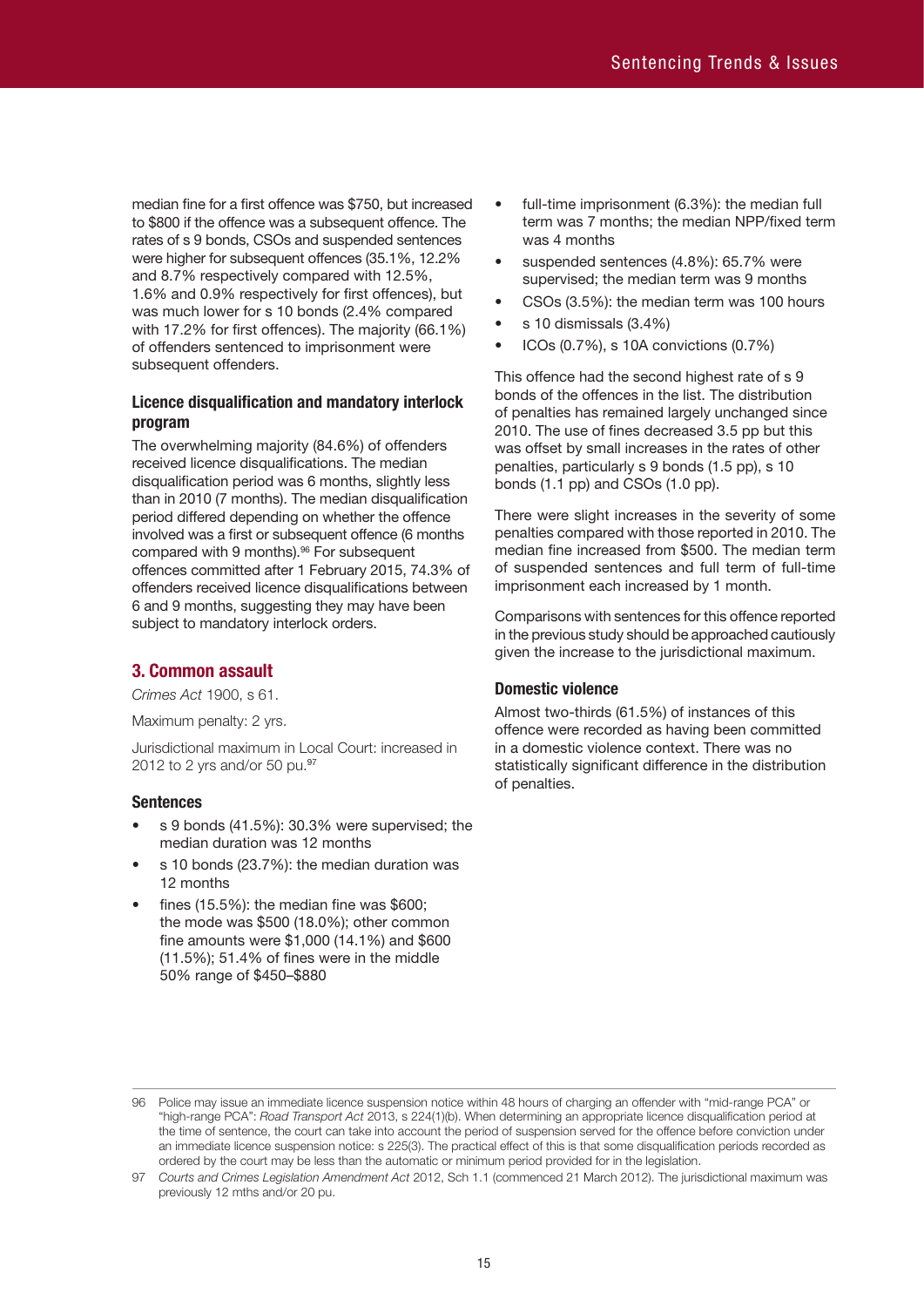median fine for a first offence was \$750, but increased to \$800 if the offence was a subsequent offence. The rates of s 9 bonds, CSOs and suspended sentences were higher for subsequent offences (35.1%, 12.2% and 8.7% respectively compared with 12.5%, 1.6% and 0.9% respectively for first offences), but was much lower for s 10 bonds (2.4% compared with 17.2% for first offences). The majority (66.1%) of offenders sentenced to imprisonment were subsequent offenders.

# **Licence disqualification and mandatory interlock program**

The overwhelming majority (84.6%) of offenders received licence disqualifications. The median disqualification period was 6 months, slightly less than in 2010 (7 months). The median disqualification period differed depending on whether the offence involved was a first or subsequent offence (6 months compared with 9 months). 96 For subsequent offences committed after 1 February 2015, 74.3% of offenders received licence disqualifications between 6 and 9 months, suggesting they may have been subject to mandatory interlock orders.

# **3. Common assault**

*Crimes Act* 1900, s 61.

Maximum penalty: 2 yrs.

Jurisdictional maximum in Local Court: increased in 2012 to 2 yrs and/or 50 pu.<sup>97</sup>

# **Sentences**

- s 9 bonds (41.5%): 30.3% were supervised; the median duration was 12 months
- s 10 bonds (23.7%): the median duration was 12 months
- fines (15.5%): the median fine was \$600; the mode was \$500 (18.0%); other common fine amounts were \$1,000 (14.1%) and \$600 (11.5%); 51.4% of fines were in the middle 50% range of \$450–\$880
- full-time imprisonment (6.3%): the median full term was 7 months; the median NPP/fixed term was 4 months
- suspended sentences (4.8%): 65.7% were supervised; the median term was 9 months
- CSOs (3.5%): the median term was 100 hours
- s 10 dismissals (3.4%)
- ICOs (0.7%), s 10A convictions (0.7%)

This offence had the second highest rate of s 9 bonds of the offences in the list. The distribution of penalties has remained largely unchanged since 2010. The use of fines decreased 3.5 pp but this was offset by small increases in the rates of other penalties, particularly s 9 bonds (1.5 pp), s 10 bonds (1.1 pp) and CSOs (1.0 pp).

There were slight increases in the severity of some penalties compared with those reported in 2010. The median fine increased from \$500. The median term of suspended sentences and full term of full-time imprisonment each increased by 1 month.

Comparisons with sentences for this offence reported in the previous study should be approached cautiously given the increase to the jurisdictional maximum.

# **Domestic violence**

Almost two-thirds (61.5%) of instances of this offence were recorded as having been committed in a domestic violence context. There was no statistically significant difference in the distribution of penalties.

<sup>96</sup> Police may issue an immediate licence suspension notice within 48 hours of charging an offender with "mid-range PCA" or "high-range PCA": *Road Transport Act* 2013, s 224(1)(b). When determining an appropriate licence disqualification period at the time of sentence, the court can take into account the period of suspension served for the offence before conviction under an immediate licence suspension notice: s 225(3). The practical effect of this is that some disqualification periods recorded as ordered by the court may be less than the automatic or minimum period provided for in the legislation.

<sup>97</sup> *Courts and Crimes Legislation Amendment Act* 2012, Sch 1.1 (commenced 21 March 2012). The jurisdictional maximum was previously 12 mths and/or 20 pu.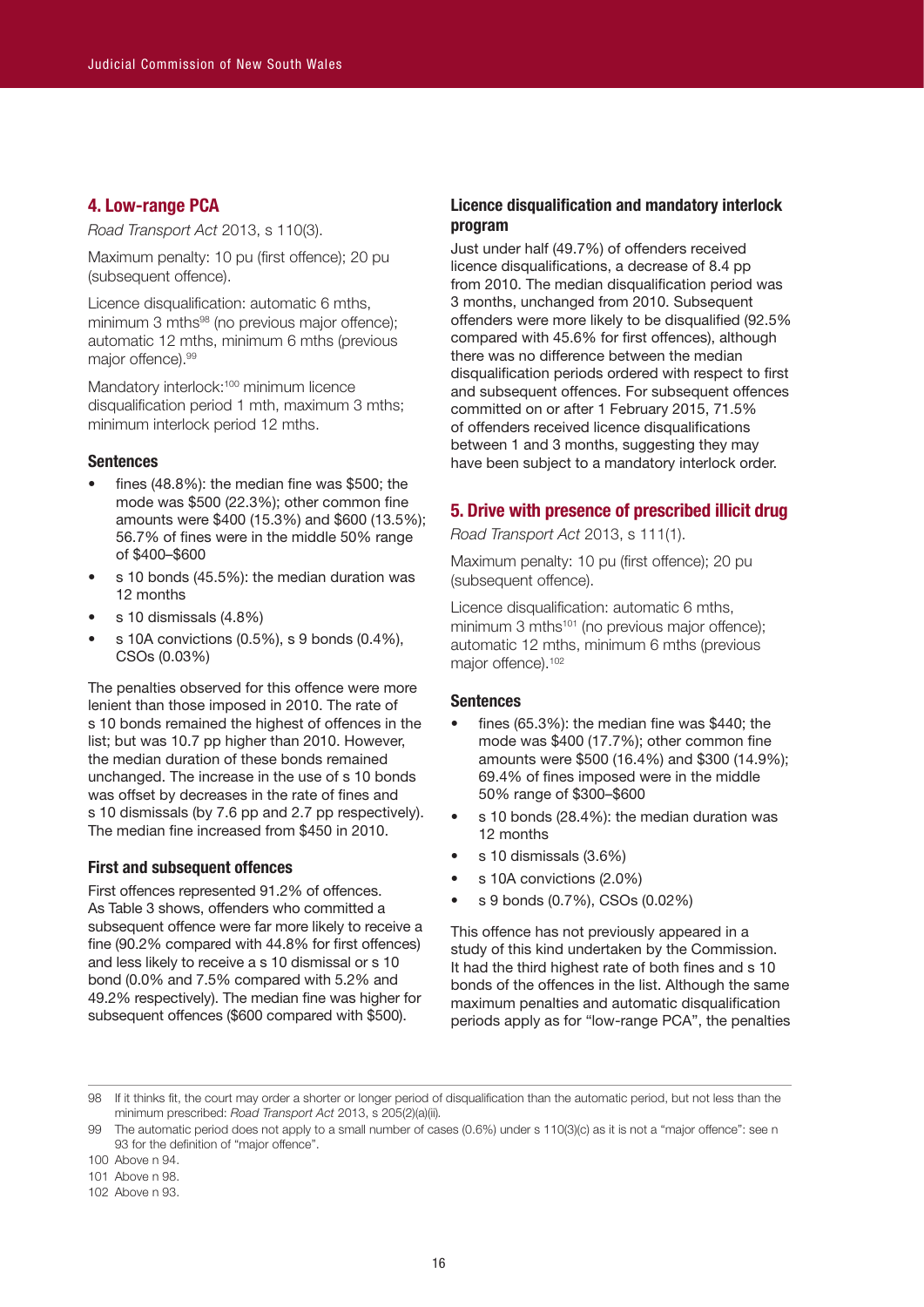### **4. Low-range PCA**

*Road Transport Act* 2013, s 110(3).

Maximum penalty: 10 pu (first offence); 20 pu (subsequent offence).

Licence disqualification: automatic 6 mths, minimum 3 mths<sup>98</sup> (no previous major offence); automatic 12 mths, minimum 6 mths (previous major offence). 99

Mandatory interlock:<sup>100</sup> minimum licence disqualification period 1 mth, maximum 3 mths; minimum interlock period 12 mths.

#### **Sentences**

- fines  $(48.8\%)$ : the median fine was \$500; the mode was \$500 (22.3%); other common fine amounts were \$400 (15.3%) and \$600 (13.5%); 56.7% of fines were in the middle 50% range of \$400–\$600
- s 10 bonds (45.5%): the median duration was 12 months
- s 10 dismissals (4.8%)
- s 10A convictions (0.5%), s 9 bonds (0.4%), CSOs (0.03%)

The penalties observed for this offence were more lenient than those imposed in 2010. The rate of s 10 bonds remained the highest of offences in the list; but was 10.7 pp higher than 2010. However, the median duration of these bonds remained unchanged. The increase in the use of s 10 bonds was offset by decreases in the rate of fines and s 10 dismissals (by 7.6 pp and 2.7 pp respectively). The median fine increased from \$450 in 2010.

#### **First and subsequent offences**

First offences represented 91.2% of offences. As Table 3 shows, offenders who committed a subsequent offence were far more likely to receive a fine (90.2% compared with 44.8% for first offences) and less likely to receive a s 10 dismissal or s 10 bond (0.0% and 7.5% compared with 5.2% and 49.2% respectively). The median fine was higher for subsequent offences (\$600 compared with \$500).

# **Licence disqualification and mandatory interlock program**

Just under half (49.7%) of offenders received licence disqualifications, a decrease of 8.4 pp from 2010. The median disqualification period was 3 months, unchanged from 2010. Subsequent offenders were more likely to be disqualified (92.5% compared with 45.6% for first offences), although there was no difference between the median disqualification periods ordered with respect to first and subsequent offences. For subsequent offences committed on or after 1 February 2015, 71.5% of offenders received licence disqualifications between 1 and 3 months, suggesting they may have been subject to a mandatory interlock order.

# **5. Drive with presence of prescribed illicit drug**

*Road Transport Act* 2013, s 111(1).

Maximum penalty: 10 pu (first offence); 20 pu (subsequent offence).

Licence disqualification: automatic 6 mths, minimum 3 mths $101$  (no previous major offence); automatic 12 mths, minimum 6 mths (previous major offence).<sup>102</sup>

#### **Sentences**

- fines (65.3%): the median fine was \$440; the mode was \$400 (17.7%); other common fine amounts were \$500 (16.4%) and \$300 (14.9%); 69.4% of fines imposed were in the middle 50% range of \$300–\$600
- s 10 bonds (28.4%): the median duration was 12 months
- s 10 dismissals (3.6%)
- s 10A convictions (2.0%)
- s 9 bonds (0.7%), CSOs (0.02%)

This offence has not previously appeared in a study of this kind undertaken by the Commission. It had the third highest rate of both fines and s 10 bonds of the offences in the list. Although the same maximum penalties and automatic disqualification periods apply as for "low-range PCA", the penalties

102 Above n 93.

<sup>98</sup> If it thinks fit, the court may order a shorter or longer period of disqualification than the automatic period, but not less than the minimum prescribed: *Road Transport Act* 2013, s 205(2)(a)(ii)*.*

<sup>99</sup> The automatic period does not apply to a small number of cases (0.6%) under s 110(3)(c) as it is not a "major offence": see n 93 for the definition of "major offence".

<sup>100</sup> Above n 94.

<sup>101</sup> Above n 98.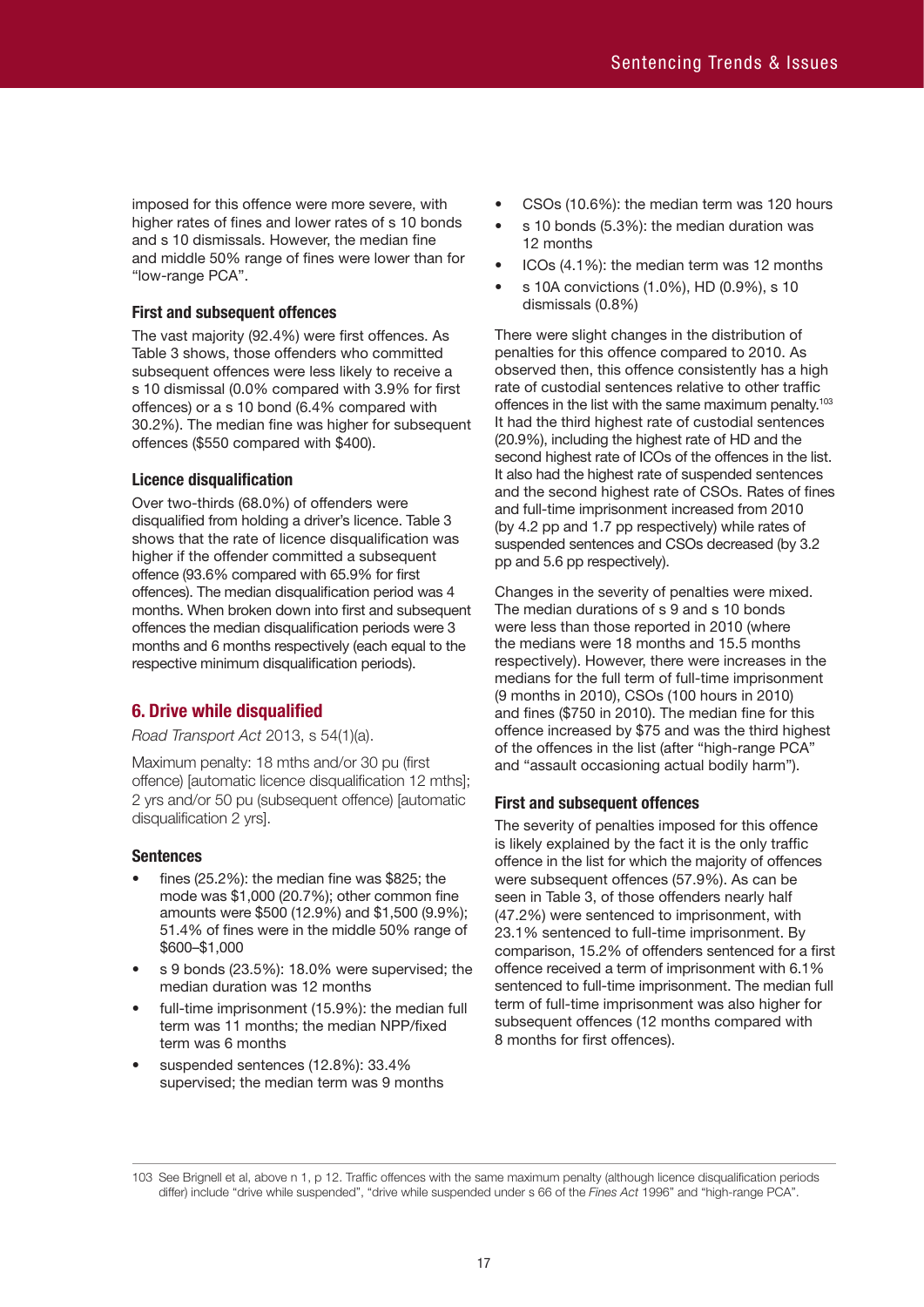imposed for this offence were more severe, with higher rates of fines and lower rates of s 10 bonds and s 10 dismissals. However, the median fine and middle 50% range of fines were lower than for "low-range PCA".

# **First and subsequent offences**

The vast majority (92.4%) were first offences. As Table 3 shows, those offenders who committed subsequent offences were less likely to receive a s 10 dismissal (0.0% compared with 3.9% for first offences) or a s 10 bond (6.4% compared with 30.2%). The median fine was higher for subsequent offences (\$550 compared with \$400).

# **Licence disqualification**

Over two-thirds (68.0%) of offenders were disqualified from holding a driver's licence. Table 3 shows that the rate of licence disqualification was higher if the offender committed a subsequent offence (93.6% compared with 65.9% for first offences). The median disqualification period was 4 months. When broken down into first and subsequent offences the median disqualification periods were 3 months and 6 months respectively (each equal to the respective minimum disqualification periods).

# **6. Drive while disqualified**

*Road Transport Act* 2013, s 54(1)(a).

Maximum penalty: 18 mths and/or 30 pu (first offence) [automatic licence disqualification 12 mths]; 2 yrs and/or 50 pu (subsequent offence) [automatic disqualification 2 yrs].

# **Sentences**

- fines (25.2%): the median fine was \$825; the mode was \$1,000 (20.7%); other common fine amounts were \$500 (12.9%) and \$1,500 (9.9%); 51.4% of fines were in the middle 50% range of \$600–\$1,000
- s 9 bonds (23.5%): 18.0% were supervised; the median duration was 12 months
- full-time imprisonment (15.9%): the median full term was 11 months; the median NPP/fixed term was 6 months
- suspended sentences (12.8%): 33.4% supervised; the median term was 9 months
- CSOs (10.6%): the median term was 120 hours
- s 10 bonds (5.3%): the median duration was 12 months
- ICOs (4.1%): the median term was 12 months
- s 10A convictions (1.0%), HD (0.9%), s 10 dismissals (0.8%)

There were slight changes in the distribution of penalties for this offence compared to 2010. As observed then, this offence consistently has a high rate of custodial sentences relative to other traffic offences in the list with the same maximum penalty.<sup>103</sup> It had the third highest rate of custodial sentences (20.9%), including the highest rate of HD and the second highest rate of ICOs of the offences in the list. It also had the highest rate of suspended sentences and the second highest rate of CSOs. Rates of fines and full-time imprisonment increased from 2010 (by 4.2 pp and 1.7 pp respectively) while rates of suspended sentences and CSOs decreased (by 3.2 pp and 5.6 pp respectively).

Changes in the severity of penalties were mixed. The median durations of s 9 and s 10 bonds were less than those reported in 2010 (where the medians were 18 months and 15.5 months respectively). However, there were increases in the medians for the full term of full-time imprisonment (9 months in 2010), CSOs (100 hours in 2010) and fines (\$750 in 2010). The median fine for this offence increased by \$75 and was the third highest of the offences in the list (after "high-range PCA" and "assault occasioning actual bodily harm").

# **First and subsequent offences**

The severity of penalties imposed for this offence is likely explained by the fact it is the only traffic offence in the list for which the majority of offences were subsequent offences (57.9%). As can be seen in Table 3, of those offenders nearly half (47.2%) were sentenced to imprisonment, with 23.1% sentenced to full-time imprisonment. By comparison, 15.2% of offenders sentenced for a first offence received a term of imprisonment with 6.1% sentenced to full-time imprisonment. The median full term of full-time imprisonment was also higher for subsequent offences (12 months compared with 8 months for first offences).

<sup>103</sup> See Brignell et al, above n 1, p 12. Traffic offences with the same maximum penalty (although licence disqualification periods differ) include "drive while suspended", "drive while suspended under s 66 of the *Fines Act* 1996" and "high-range PCA".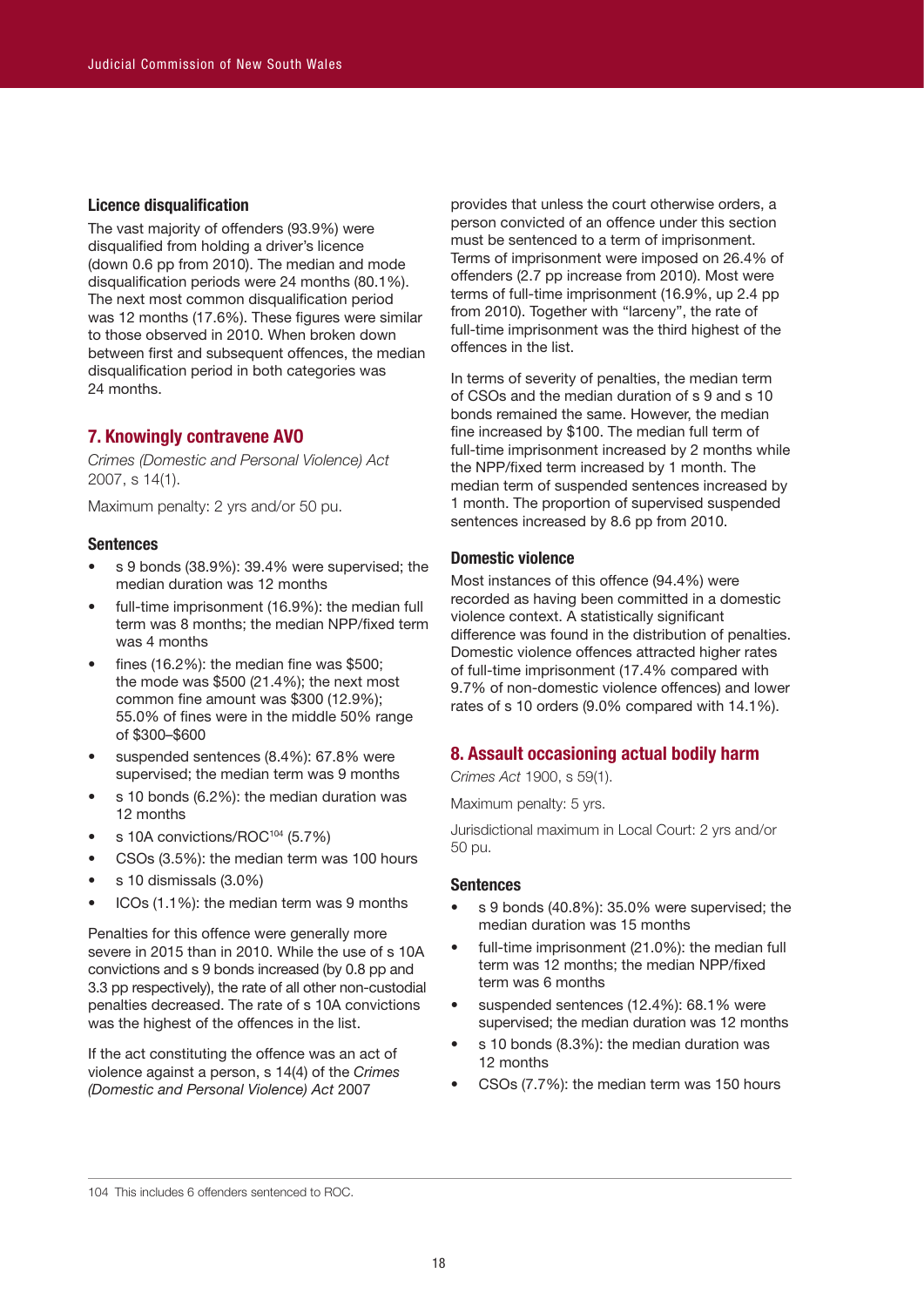# **Licence disqualification**

The vast majority of offenders (93.9%) were disqualified from holding a driver's licence (down 0.6 pp from 2010). The median and mode disqualification periods were 24 months (80.1%). The next most common disqualification period was 12 months (17.6%). These figures were similar to those observed in 2010. When broken down between first and subsequent offences, the median disqualification period in both categories was 24 months.

# **7. Knowingly contravene AVO**

*Crimes (Domestic and Personal Violence) Act* 2007, s 14(1).

Maximum penalty: 2 yrs and/or 50 pu.

#### **Sentences**

- s 9 bonds (38.9%): 39.4% were supervised; the median duration was 12 months
- full-time imprisonment (16.9%): the median full term was 8 months; the median NPP/fixed term was 4 months
- fines (16.2%): the median fine was \$500; the mode was \$500 (21.4%); the next most common fine amount was \$300 (12.9%); 55.0% of fines were in the middle 50% range of \$300–\$600
- suspended sentences (8.4%): 67.8% were supervised; the median term was 9 months
- s 10 bonds (6.2%): the median duration was 12 months
- s 10A convictions/ROC<sup>104</sup> (5.7%)
- CSOs (3.5%): the median term was 100 hours
- s 10 dismissals (3.0%)
- ICOs (1.1%): the median term was 9 months

Penalties for this offence were generally more severe in 2015 than in 2010. While the use of s 10A convictions and s 9 bonds increased (by 0.8 pp and 3.3 pp respectively), the rate of all other non-custodial penalties decreased. The rate of s 10A convictions was the highest of the offences in the list.

If the act constituting the offence was an act of violence against a person, s 14(4) of the *Crimes (Domestic and Personal Violence) Act* 2007

provides that unless the court otherwise orders, a person convicted of an offence under this section must be sentenced to a term of imprisonment. Terms of imprisonment were imposed on 26.4% of offenders (2.7 pp increase from 2010). Most were terms of full-time imprisonment (16.9%, up 2.4 pp from 2010). Together with "larceny", the rate of full-time imprisonment was the third highest of the offences in the list.

In terms of severity of penalties, the median term of CSOs and the median duration of s 9 and s 10 bonds remained the same. However, the median fine increased by \$100. The median full term of full-time imprisonment increased by 2 months while the NPP/fixed term increased by 1 month. The median term of suspended sentences increased by 1 month. The proportion of supervised suspended sentences increased by 8.6 pp from 2010.

#### **Domestic violence**

Most instances of this offence (94.4%) were recorded as having been committed in a domestic violence context. A statistically significant difference was found in the distribution of penalties. Domestic violence offences attracted higher rates of full-time imprisonment (17.4% compared with 9.7% of non-domestic violence offences) and lower rates of s 10 orders (9.0% compared with 14.1%).

# **8. Assault occasioning actual bodily harm**

*Crimes Act* 1900, s 59(1).

Maximum penalty: 5 yrs.

Jurisdictional maximum in Local Court: 2 yrs and/or 50 pu.

## **Sentences**

- s 9 bonds (40.8%): 35.0% were supervised; the median duration was 15 months
- full-time imprisonment (21.0%): the median full term was 12 months; the median NPP/fixed term was 6 months
- suspended sentences (12.4%): 68.1% were supervised; the median duration was 12 months
- s 10 bonds (8.3%): the median duration was 12 months
- CSOs (7.7%): the median term was 150 hours

<sup>104</sup> This includes 6 offenders sentenced to ROC.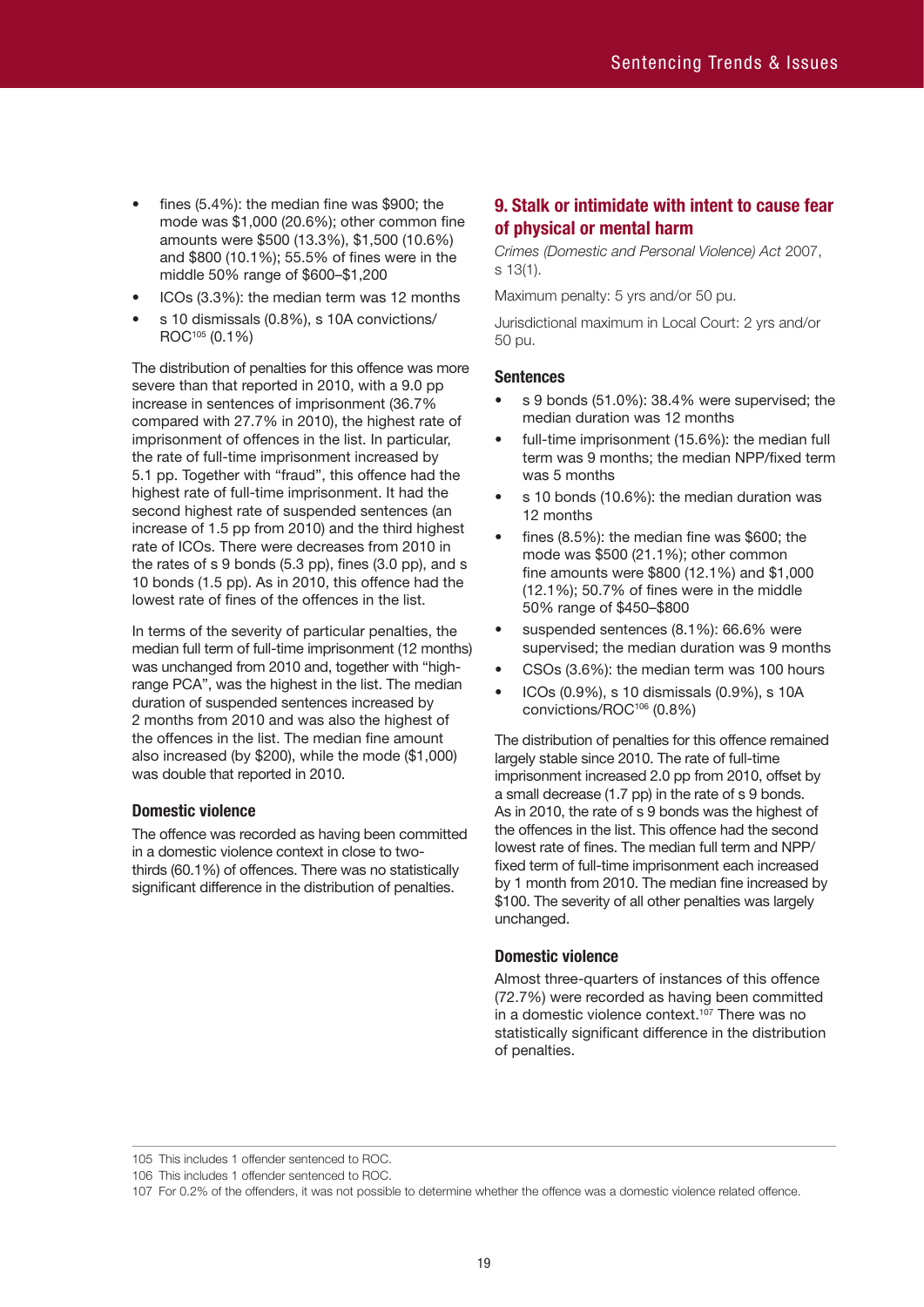- fines (5.4%): the median fine was \$900; the mode was \$1,000 (20.6%); other common fine amounts were \$500 (13.3%), \$1,500 (10.6%) and \$800 (10.1%); 55.5% of fines were in the middle 50% range of \$600–\$1,200
- ICOs (3.3%): the median term was 12 months
- s 10 dismissals (0.8%), s 10A convictions/ ROC105 (0.1%)

The distribution of penalties for this offence was more severe than that reported in 2010, with a 9.0 pp increase in sentences of imprisonment (36.7% compared with 27.7% in 2010), the highest rate of imprisonment of offences in the list. In particular, the rate of full-time imprisonment increased by 5.1 pp. Together with "fraud", this offence had the highest rate of full-time imprisonment. It had the second highest rate of suspended sentences (an increase of 1.5 pp from 2010) and the third highest rate of ICOs. There were decreases from 2010 in the rates of s 9 bonds (5.3 pp), fines (3.0 pp), and s 10 bonds (1.5 pp). As in 2010, this offence had the lowest rate of fines of the offences in the list.

In terms of the severity of particular penalties, the median full term of full-time imprisonment (12 months) was unchanged from 2010 and, together with "highrange PCA", was the highest in the list. The median duration of suspended sentences increased by 2 months from 2010 and was also the highest of the offences in the list. The median fine amount also increased (by \$200), while the mode (\$1,000) was double that reported in 2010.

# **Domestic violence**

The offence was recorded as having been committed in a domestic violence context in close to twothirds (60.1%) of offences. There was no statistically significant difference in the distribution of penalties.

# **9. Stalk or intimidate with intent to cause fear of physical or mental harm**

*Crimes (Domestic and Personal Violence) Act* 2007, s 13(1).

Maximum penalty: 5 yrs and/or 50 pu.

Jurisdictional maximum in Local Court: 2 yrs and/or 50 pu.

#### **Sentences**

- s 9 bonds (51.0%): 38.4% were supervised; the median duration was 12 months
- full-time imprisonment (15.6%): the median full term was 9 months; the median NPP/fixed term was 5 months
- s 10 bonds (10.6%): the median duration was 12 months
- fines (8.5%): the median fine was \$600; the mode was \$500 (21.1%); other common fine amounts were \$800 (12.1%) and \$1,000 (12.1%); 50.7% of fines were in the middle 50% range of \$450–\$800
- suspended sentences (8.1%): 66.6% were supervised; the median duration was 9 months
- CSOs (3.6%): the median term was 100 hours
- ICOs (0.9%), s 10 dismissals (0.9%), s 10A convictions/ROC106 (0.8%)

The distribution of penalties for this offence remained largely stable since 2010. The rate of full-time imprisonment increased 2.0 pp from 2010, offset by a small decrease (1.7 pp) in the rate of s 9 bonds. As in 2010, the rate of s 9 bonds was the highest of the offences in the list. This offence had the second lowest rate of fines. The median full term and NPP/ fixed term of full-time imprisonment each increased by 1 month from 2010. The median fine increased by \$100. The severity of all other penalties was largely unchanged.

#### **Domestic violence**

Almost three-quarters of instances of this offence (72.7%) were recorded as having been committed in a domestic violence context. 107 There was no statistically significant difference in the distribution of penalties.

105 This includes 1 offender sentenced to ROC.

106 This includes 1 offender sentenced to ROC.

<sup>107</sup> For 0.2% of the offenders, it was not possible to determine whether the offence was a domestic violence related offence.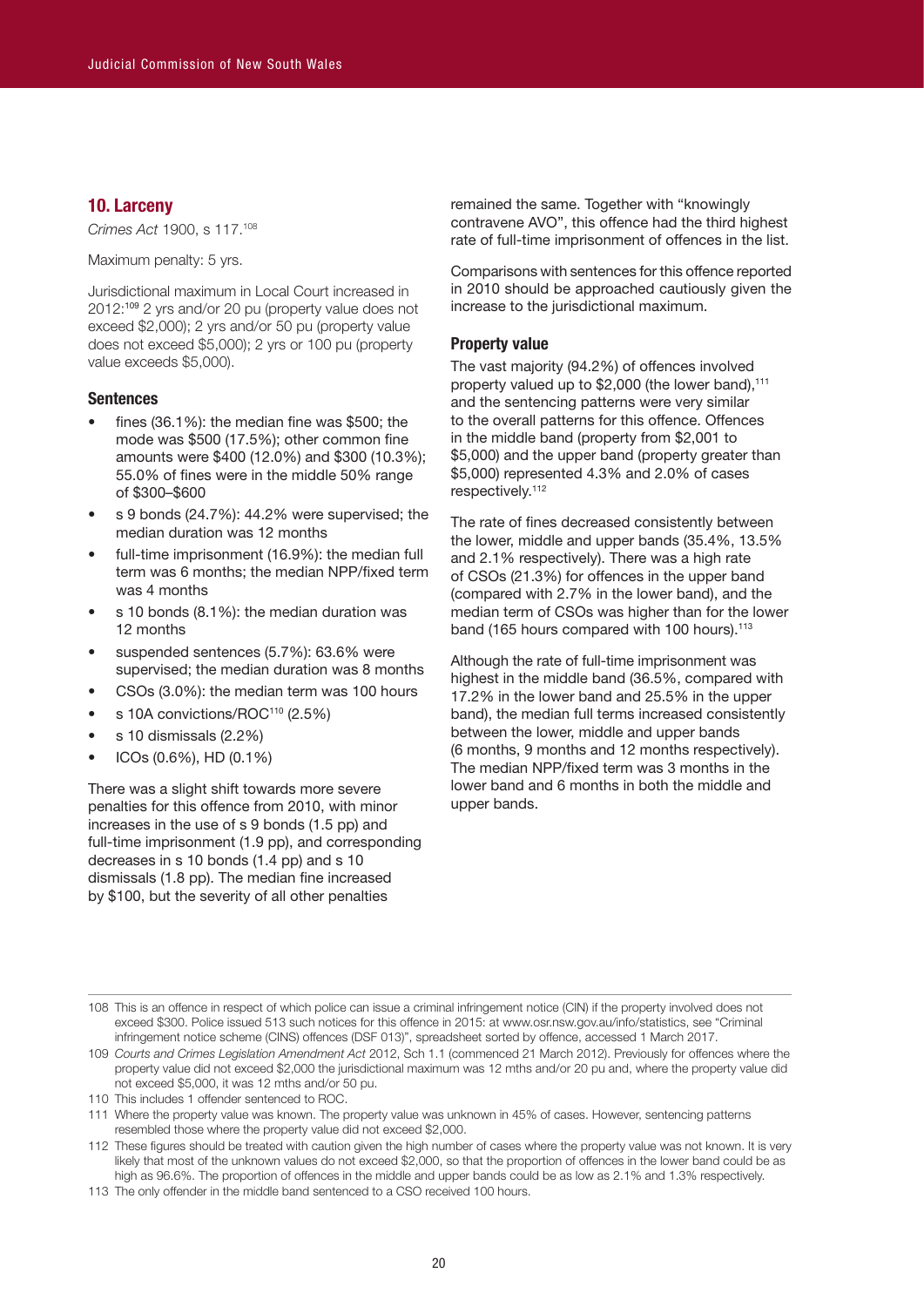# **10. Larceny**

*Crimes Act* 1900, s 117.108

Maximum penalty: 5 yrs.

Jurisdictional maximum in Local Court increased in 2012:109 2 yrs and/or 20 pu (property value does not exceed \$2,000); 2 yrs and/or 50 pu (property value does not exceed \$5,000); 2 yrs or 100 pu (property value exceeds \$5,000).

# **Sentences**

- fines  $(36.1\%)$ : the median fine was \$500; the mode was \$500 (17.5%); other common fine amounts were \$400 (12.0%) and \$300 (10.3%); 55.0% of fines were in the middle 50% range of \$300–\$600
- s 9 bonds (24.7%): 44.2% were supervised; the median duration was 12 months
- full-time imprisonment (16.9%): the median full term was 6 months; the median NPP/fixed term was 4 months
- s 10 bonds (8.1%): the median duration was 12 months
- suspended sentences (5.7%): 63.6% were supervised; the median duration was 8 months
- CSOs (3.0%): the median term was 100 hours
- s 10A convictions/ROC<sup>110</sup> (2.5%)
- s 10 dismissals (2.2%)
- ICOs (0.6%), HD (0.1%)

There was a slight shift towards more severe penalties for this offence from 2010, with minor increases in the use of s 9 bonds (1.5 pp) and full-time imprisonment (1.9 pp), and corresponding decreases in s 10 bonds (1.4 pp) and s 10 dismissals (1.8 pp). The median fine increased by \$100, but the severity of all other penalties

remained the same. Together with "knowingly contravene AVO", this offence had the third highest rate of full-time imprisonment of offences in the list.

Comparisons with sentences for this offence reported in 2010 should be approached cautiously given the increase to the jurisdictional maximum.

#### **Property value**

The vast majority (94.2%) of offences involved property valued up to  $$2,000$  (the lower band),<sup>111</sup> and the sentencing patterns were very similar to the overall patterns for this offence. Offences in the middle band (property from \$2,001 to \$5,000) and the upper band (property greater than \$5,000) represented 4.3% and 2.0% of cases respectively. 112

The rate of fines decreased consistently between the lower, middle and upper bands (35.4%, 13.5% and 2.1% respectively). There was a high rate of CSOs (21.3%) for offences in the upper band (compared with 2.7% in the lower band), and the median term of CSOs was higher than for the lower band (165 hours compared with 100 hours). 113

Although the rate of full-time imprisonment was highest in the middle band (36.5%, compared with 17.2% in the lower band and 25.5% in the upper band), the median full terms increased consistently between the lower, middle and upper bands (6 months, 9 months and 12 months respectively). The median NPP/fixed term was 3 months in the lower band and 6 months in both the middle and upper bands.

- 108 This is an offence in respect of which police can issue a criminal infringement notice (CIN) if the property involved does not exceed \$300. Police issued 513 such notices for this offence in 2015: at www.osr.nsw.gov.au/info/statistics, see "Criminal infringement notice scheme (CINS) offences (DSF 013)", spreadsheet sorted by offence, accessed 1 March 2017.
- 109 *Courts and Crimes Legislation Amendment Act* 2012, Sch 1.1 (commenced 21 March 2012). Previously for offences where the property value did not exceed \$2,000 the jurisdictional maximum was 12 mths and/or 20 pu and, where the property value did not exceed \$5,000, it was 12 mths and/or 50 pu.
- 110 This includes 1 offender sentenced to ROC.
- 111 Where the property value was known. The property value was unknown in 45% of cases. However, sentencing patterns resembled those where the property value did not exceed \$2,000.
- 112 These figures should be treated with caution given the high number of cases where the property value was not known. It is very likely that most of the unknown values do not exceed \$2,000, so that the proportion of offences in the lower band could be as high as 96.6%. The proportion of offences in the middle and upper bands could be as low as 2.1% and 1.3% respectively.

<sup>113</sup> The only offender in the middle band sentenced to a CSO received 100 hours.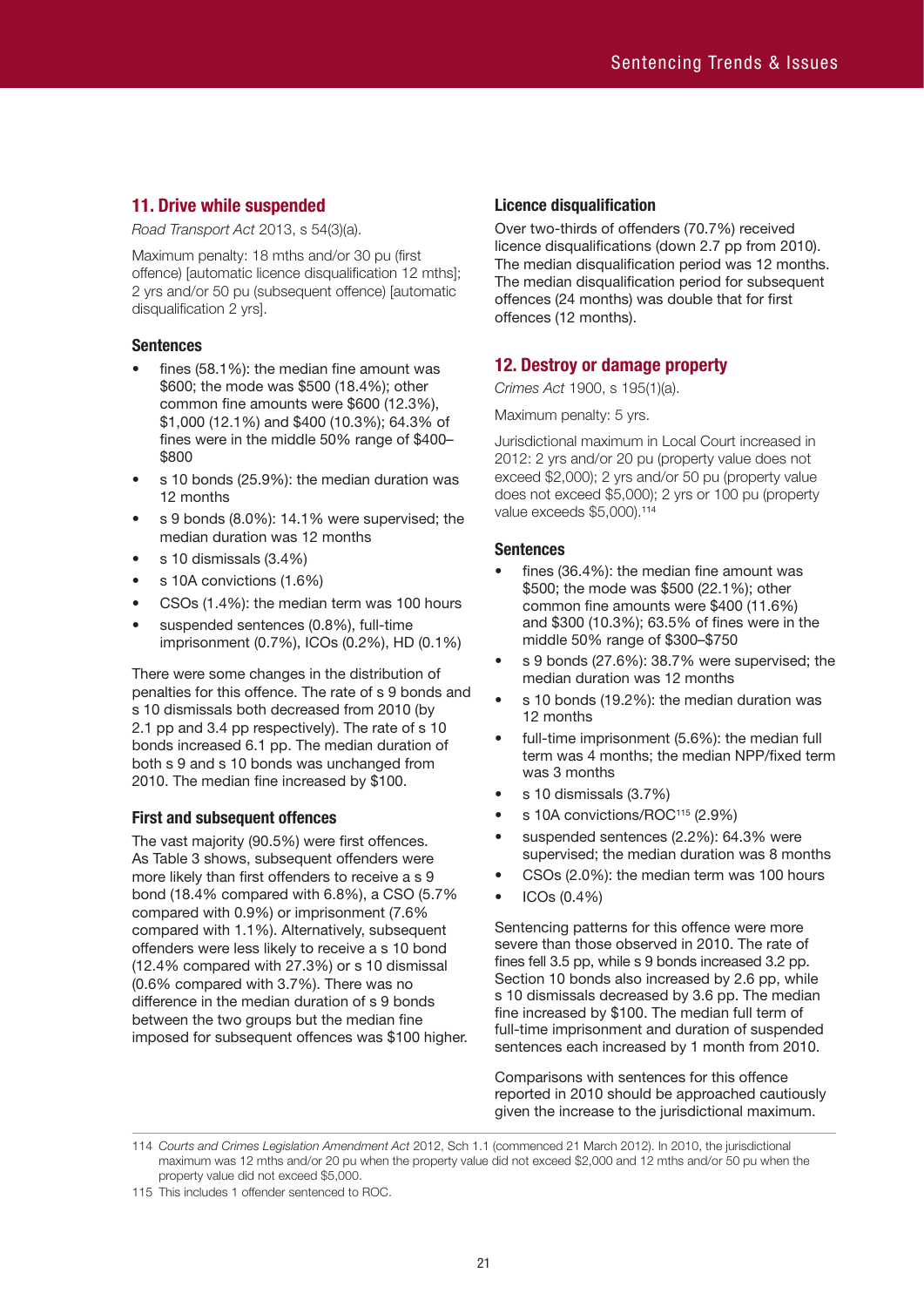# **11. Drive while suspended**

*Road Transport Act* 2013, s 54(3)(a).

Maximum penalty: 18 mths and/or 30 pu (first offence) [automatic licence disqualification 12 mths]; 2 yrs and/or 50 pu (subsequent offence) [automatic disqualification 2 yrs].

# **Sentences**

- fines (58.1%): the median fine amount was \$600; the mode was \$500 (18.4%); other common fine amounts were \$600 (12.3%), \$1,000 (12.1%) and \$400 (10.3%); 64.3% of fines were in the middle 50% range of \$400– \$800
- s 10 bonds (25.9%): the median duration was 12 months
- s 9 bonds (8.0%): 14.1% were supervised; the median duration was 12 months
- s 10 dismissals (3.4%)
- s 10A convictions (1.6%)
- CSOs (1.4%): the median term was 100 hours
- suspended sentences (0.8%), full-time imprisonment (0.7%), ICOs (0.2%), HD (0.1%)

There were some changes in the distribution of penalties for this offence. The rate of s 9 bonds and s 10 dismissals both decreased from 2010 (by 2.1 pp and 3.4 pp respectively). The rate of s 10 bonds increased 6.1 pp. The median duration of both s 9 and s 10 bonds was unchanged from 2010. The median fine increased by \$100.

# **First and subsequent offences**

The vast majority (90.5%) were first offences. As Table 3 shows, subsequent offenders were more likely than first offenders to receive a s 9 bond (18.4% compared with 6.8%), a CSO (5.7% compared with 0.9%) or imprisonment (7.6% compared with 1.1%). Alternatively, subsequent offenders were less likely to receive a s 10 bond (12.4% compared with 27.3%) or s 10 dismissal (0.6% compared with 3.7%). There was no difference in the median duration of s 9 bonds between the two groups but the median fine imposed for subsequent offences was \$100 higher.

# **Licence disqualification**

Over two-thirds of offenders (70.7%) received licence disqualifications (down 2.7 pp from 2010). The median disqualification period was 12 months. The median disqualification period for subsequent offences (24 months) was double that for first offences (12 months).

# **12. Destroy or damage property**

*Crimes Act* 1900, s 195(1)(a).

Maximum penalty: 5 yrs.

Jurisdictional maximum in Local Court increased in 2012: 2 yrs and/or 20 pu (property value does not exceed \$2,000); 2 yrs and/or 50 pu (property value does not exceed \$5,000); 2 yrs or 100 pu (property value exceeds \$5,000).<sup>114</sup>

# **Sentences**

- fines (36.4%): the median fine amount was \$500; the mode was \$500 (22.1%); other common fine amounts were \$400 (11.6%) and \$300 (10.3%); 63.5% of fines were in the middle 50% range of \$300–\$750
- s 9 bonds (27.6%): 38.7% were supervised; the median duration was 12 months
- s 10 bonds (19.2%): the median duration was 12 months
- full-time imprisonment (5.6%): the median full term was 4 months; the median NPP/fixed term was 3 months
- s 10 dismissals (3.7%)
- s 10A convictions/ROC<sup>115</sup> (2.9%)
- suspended sentences (2.2%): 64.3% were supervised; the median duration was 8 months
- CSOs (2.0%): the median term was 100 hours
- ICOs (0.4%)

Sentencing patterns for this offence were more severe than those observed in 2010. The rate of fines fell 3.5 pp, while s 9 bonds increased 3.2 pp. Section 10 bonds also increased by 2.6 pp, while s 10 dismissals decreased by 3.6 pp. The median fine increased by \$100. The median full term of full-time imprisonment and duration of suspended sentences each increased by 1 month from 2010.

Comparisons with sentences for this offence reported in 2010 should be approached cautiously given the increase to the jurisdictional maximum.

114 *Courts and Crimes Legislation Amendment Act* 2012, Sch 1.1 (commenced 21 March 2012). In 2010, the jurisdictional maximum was 12 mths and/or 20 pu when the property value did not exceed \$2,000 and 12 mths and/or 50 pu when the property value did not exceed \$5,000.

<sup>115</sup> This includes 1 offender sentenced to ROC.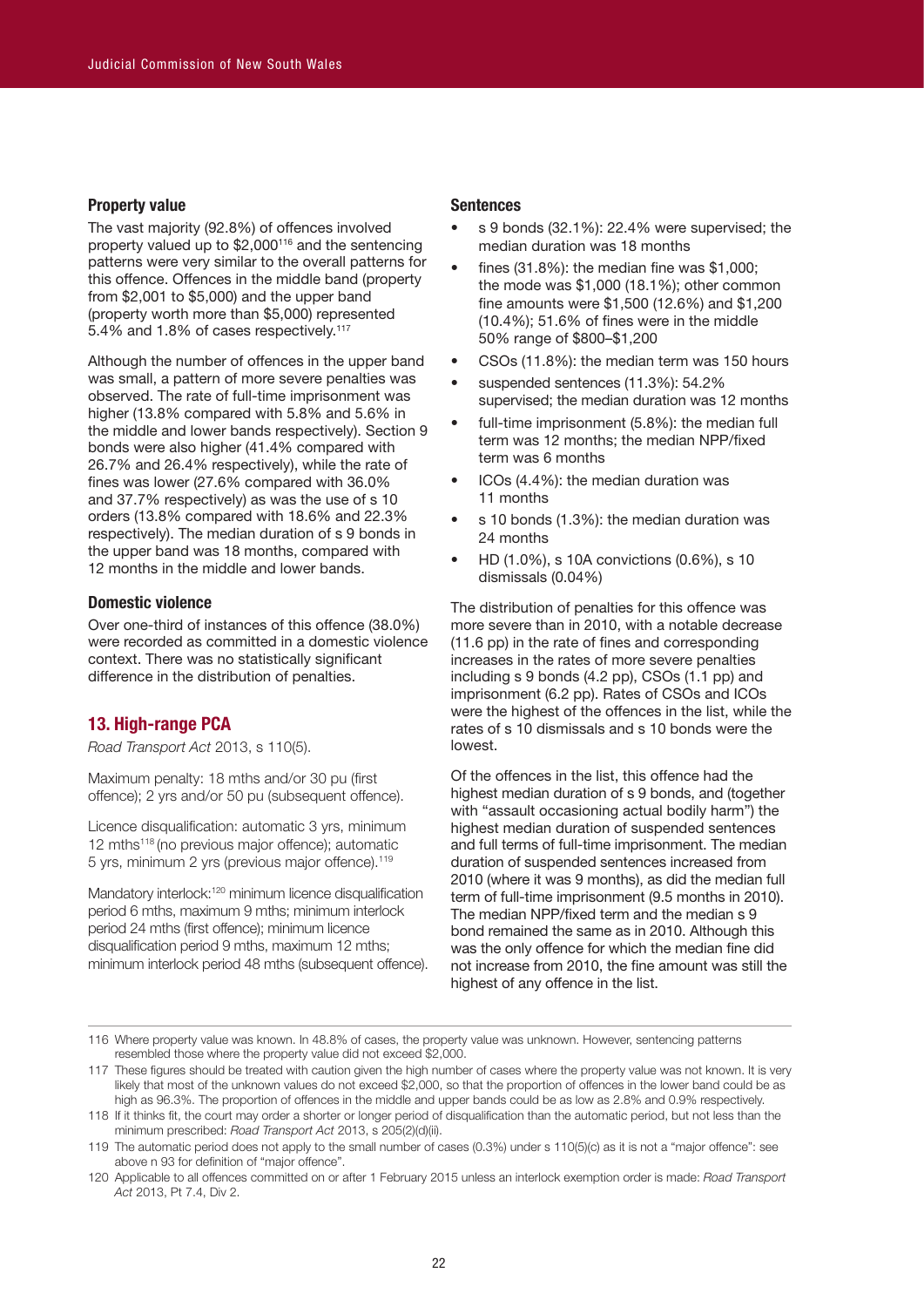#### **Property value**

The vast majority (92.8%) of offences involved property valued up to \$2,000116 and the sentencing patterns were very similar to the overall patterns for this offence. Offences in the middle band (property from \$2,001 to \$5,000) and the upper band (property worth more than \$5,000) represented 5.4% and 1.8% of cases respectively.<sup>117</sup>

Although the number of offences in the upper band was small, a pattern of more severe penalties was observed. The rate of full-time imprisonment was higher (13.8% compared with 5.8% and 5.6% in the middle and lower bands respectively). Section 9 bonds were also higher (41.4% compared with 26.7% and 26.4% respectively), while the rate of fines was lower (27.6% compared with 36.0% and 37.7% respectively) as was the use of s 10 orders (13.8% compared with 18.6% and 22.3% respectively). The median duration of s 9 bonds in the upper band was 18 months, compared with 12 months in the middle and lower bands.

# **Domestic violence**

Over one-third of instances of this offence (38.0%) were recorded as committed in a domestic violence context. There was no statistically significant difference in the distribution of penalties.

# **13. High-range PCA**

*Road Transport Act* 2013, s 110(5).

Maximum penalty: 18 mths and/or 30 pu (first offence); 2 yrs and/or 50 pu (subsequent offence).

Licence disqualification: automatic 3 yrs, minimum 12 mths<sup>118</sup> (no previous major offence); automatic 5 yrs, minimum 2 yrs (previous major offence).119

Mandatory interlock:<sup>120</sup> minimum licence disqualification period 6 mths, maximum 9 mths; minimum interlock period 24 mths (first offence); minimum licence disqualification period 9 mths, maximum 12 mths; minimum interlock period 48 mths (subsequent offence).

#### **Sentences**

- s 9 bonds (32.1%): 22.4% were supervised; the median duration was 18 months
- fines  $(31.8\%)$ : the median fine was \$1,000; the mode was \$1,000 (18.1%); other common fine amounts were \$1,500 (12.6%) and \$1,200 (10.4%); 51.6% of fines were in the middle 50% range of \$800–\$1,200
- CSOs (11.8%): the median term was 150 hours
- suspended sentences (11.3%): 54.2% supervised; the median duration was 12 months
- full-time imprisonment (5.8%): the median full term was 12 months; the median NPP/fixed term was 6 months
- ICOs (4.4%): the median duration was 11 months
- s 10 bonds (1.3%): the median duration was 24 months
- HD (1.0%), s 10A convictions (0.6%), s 10 dismissals (0.04%)

The distribution of penalties for this offence was more severe than in 2010, with a notable decrease (11.6 pp) in the rate of fines and corresponding increases in the rates of more severe penalties including s 9 bonds (4.2 pp), CSOs (1.1 pp) and imprisonment (6.2 pp). Rates of CSOs and ICOs were the highest of the offences in the list, while the rates of s 10 dismissals and s 10 bonds were the lowest.

Of the offences in the list, this offence had the highest median duration of s 9 bonds, and (together with "assault occasioning actual bodily harm") the highest median duration of suspended sentences and full terms of full-time imprisonment. The median duration of suspended sentences increased from 2010 (where it was 9 months), as did the median full term of full-time imprisonment (9.5 months in 2010). The median NPP/fixed term and the median s 9 bond remained the same as in 2010. Although this was the only offence for which the median fine did not increase from 2010, the fine amount was still the highest of any offence in the list.

<sup>116</sup> Where property value was known. In 48.8% of cases, the property value was unknown. However, sentencing patterns resembled those where the property value did not exceed \$2,000.

<sup>117</sup> These figures should be treated with caution given the high number of cases where the property value was not known. It is very likely that most of the unknown values do not exceed \$2,000, so that the proportion of offences in the lower band could be as high as 96.3%. The proportion of offences in the middle and upper bands could be as low as 2.8% and 0.9% respectively.

<sup>118</sup> If it thinks fit, the court may order a shorter or longer period of disqualification than the automatic period, but not less than the minimum prescribed: *Road Transport Act* 2013, s 205(2)(d)(ii).

<sup>119</sup> The automatic period does not apply to the small number of cases (0.3%) under s 110(5)(c) as it is not a "major offence": see above n 93 for definition of "major offence".

<sup>120</sup> Applicable to all offences committed on or after 1 February 2015 unless an interlock exemption order is made: *Road Transport Act* 2013, Pt 7.4, Div 2.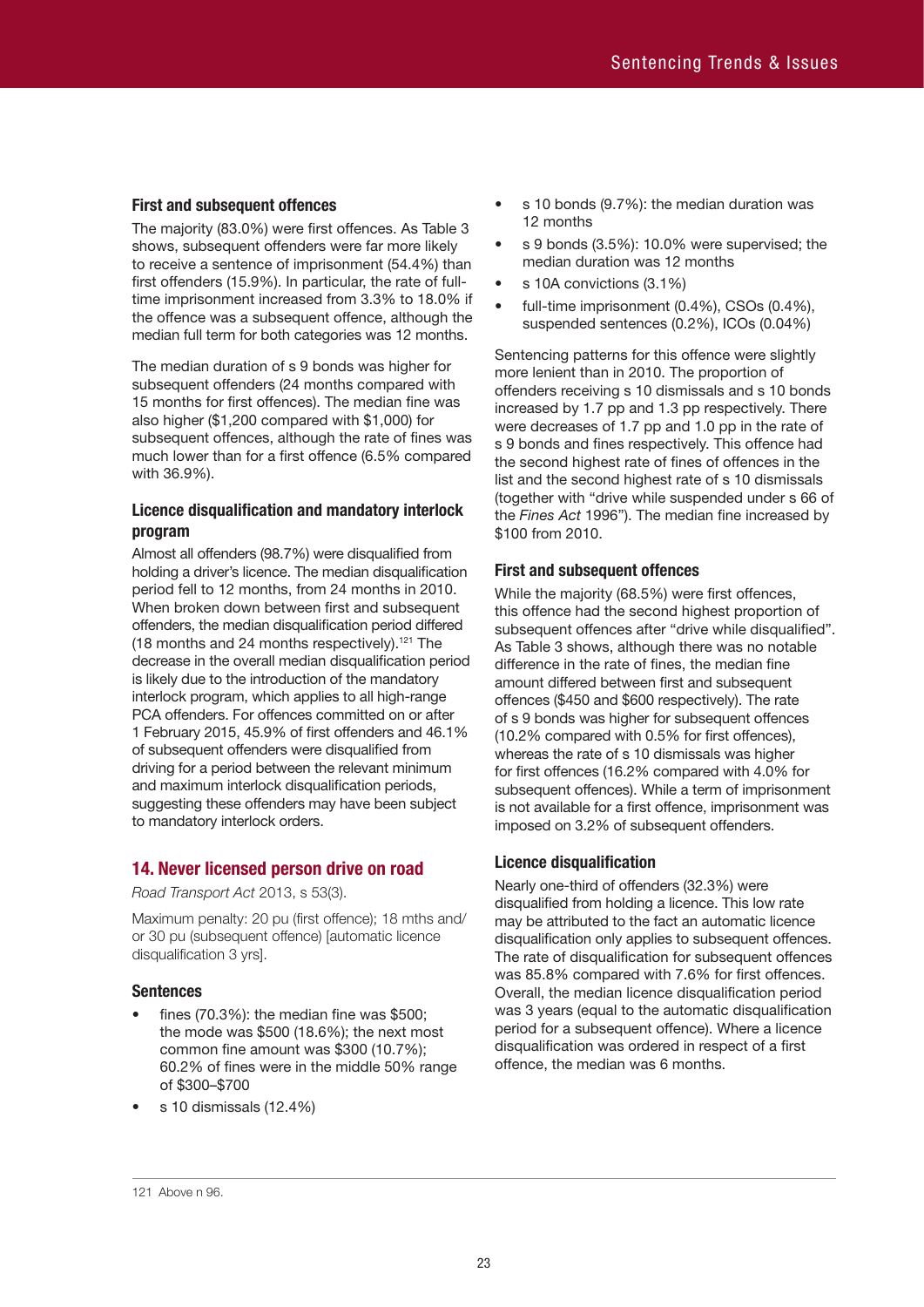#### **First and subsequent offences**

The majority (83.0%) were first offences. As Table 3 shows, subsequent offenders were far more likely to receive a sentence of imprisonment (54.4%) than first offenders (15.9%). In particular, the rate of fulltime imprisonment increased from 3.3% to 18.0% if the offence was a subsequent offence, although the median full term for both categories was 12 months.

The median duration of s 9 bonds was higher for subsequent offenders (24 months compared with 15 months for first offences). The median fine was also higher (\$1,200 compared with \$1,000) for subsequent offences, although the rate of fines was much lower than for a first offence (6.5% compared with 36.9%).

# **Licence disqualification and mandatory interlock program**

Almost all offenders (98.7%) were disqualified from holding a driver's licence. The median disqualification period fell to 12 months, from 24 months in 2010. When broken down between first and subsequent offenders, the median disqualification period differed (18 months and 24 months respectively). 121 The decrease in the overall median disqualification period is likely due to the introduction of the mandatory interlock program, which applies to all high-range PCA offenders. For offences committed on or after 1 February 2015, 45.9% of first offenders and 46.1% of subsequent offenders were disqualified from driving for a period between the relevant minimum and maximum interlock disqualification periods, suggesting these offenders may have been subject to mandatory interlock orders.

# **14. Never licensed person drive on road**

*Road Transport Act* 2013, s 53(3).

Maximum penalty: 20 pu (first offence); 18 mths and/ or 30 pu (subsequent offence) [automatic licence disqualification 3 yrs].

# **Sentences**

- fines  $(70.3\%)$ : the median fine was \$500; the mode was \$500 (18.6%); the next most common fine amount was \$300 (10.7%); 60.2% of fines were in the middle 50% range of \$300–\$700
- s 10 dismissals (12.4%)
- s 10 bonds (9.7%): the median duration was 12 months
- s 9 bonds (3.5%): 10.0% were supervised; the median duration was 12 months
- s 10A convictions (3.1%)
- full-time imprisonment (0.4%), CSOs (0.4%), suspended sentences (0.2%), ICOs (0.04%)

Sentencing patterns for this offence were slightly more lenient than in 2010. The proportion of offenders receiving s 10 dismissals and s 10 bonds increased by 1.7 pp and 1.3 pp respectively. There were decreases of 1.7 pp and 1.0 pp in the rate of s 9 bonds and fines respectively. This offence had the second highest rate of fines of offences in the list and the second highest rate of s 10 dismissals (together with "drive while suspended under s 66 of the *Fines Act* 1996"). The median fine increased by \$100 from 2010.

#### **First and subsequent offences**

While the majority (68.5%) were first offences, this offence had the second highest proportion of subsequent offences after "drive while disqualified". As Table 3 shows, although there was no notable difference in the rate of fines, the median fine amount differed between first and subsequent offences (\$450 and \$600 respectively). The rate of s 9 bonds was higher for subsequent offences (10.2% compared with 0.5% for first offences), whereas the rate of s 10 dismissals was higher for first offences (16.2% compared with 4.0% for subsequent offences). While a term of imprisonment is not available for a first offence, imprisonment was imposed on 3.2% of subsequent offenders.

#### **Licence disqualification**

Nearly one-third of offenders (32.3%) were disqualified from holding a licence. This low rate may be attributed to the fact an automatic licence disqualification only applies to subsequent offences. The rate of disqualification for subsequent offences was 85.8% compared with 7.6% for first offences. Overall, the median licence disqualification period was 3 years (equal to the automatic disqualification period for a subsequent offence). Where a licence disqualification was ordered in respect of a first offence, the median was 6 months.

#### 121 Above n 96.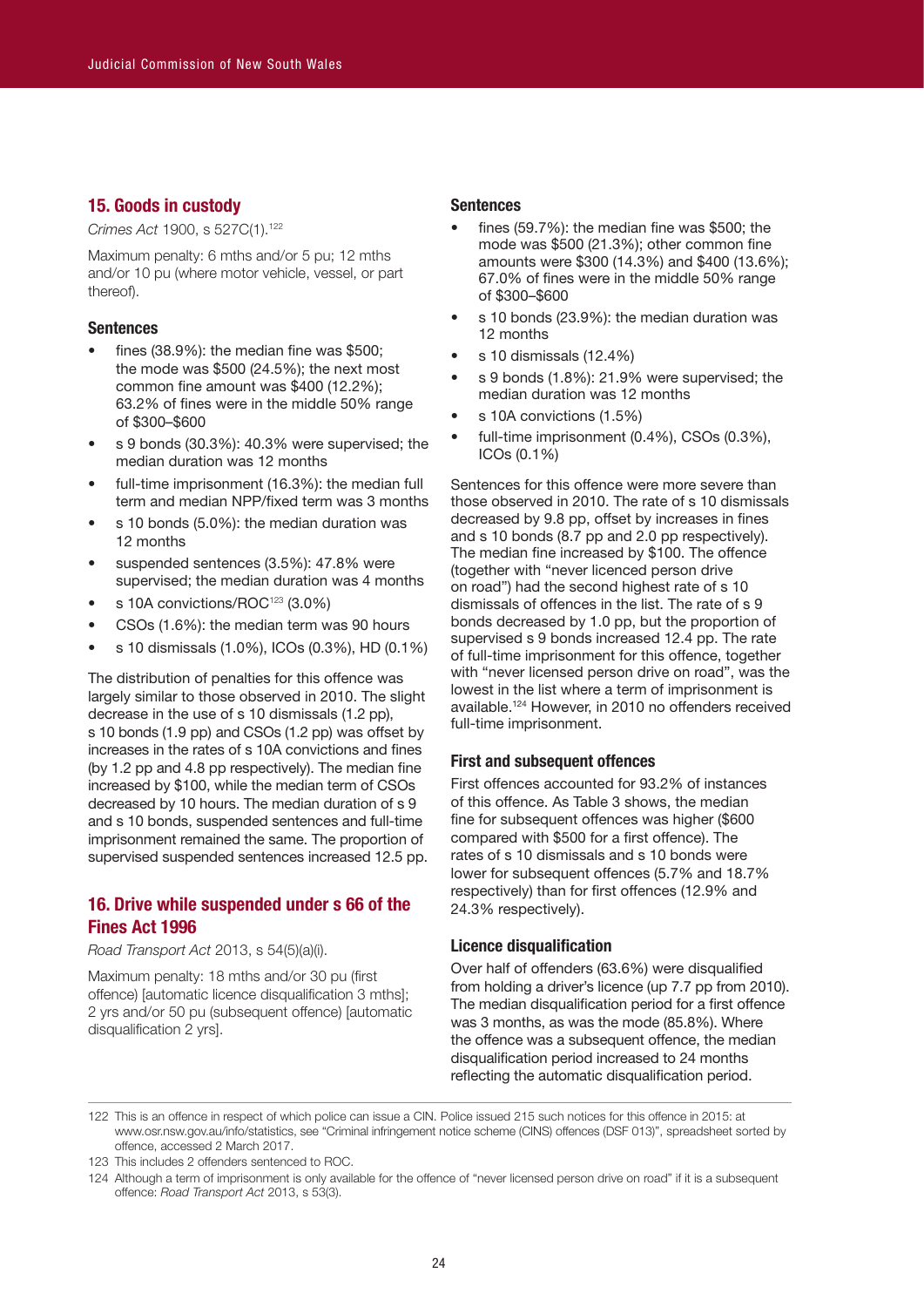# **15. Goods in custody**

*Crimes Act* 1900, s 527C(1).122

Maximum penalty: 6 mths and/or 5 pu; 12 mths and/or 10 pu (where motor vehicle, vessel, or part thereof).

#### **Sentences**

- fines  $(38.9\%)$ : the median fine was \$500; the mode was \$500 (24.5%); the next most common fine amount was \$400 (12.2%); 63.2% of fines were in the middle 50% range of \$300–\$600
- s 9 bonds (30.3%): 40.3% were supervised; the median duration was 12 months
- full-time imprisonment (16.3%): the median full term and median NPP/fixed term was 3 months
- s 10 bonds (5.0%): the median duration was 12 months
- suspended sentences (3.5%): 47.8% were supervised; the median duration was 4 months
- s 10A convictions/ROC<sup>123</sup> (3.0%)
- CSOs (1.6%): the median term was 90 hours
- s 10 dismissals (1.0%), ICOs (0.3%), HD (0.1%)

The distribution of penalties for this offence was largely similar to those observed in 2010. The slight decrease in the use of s 10 dismissals (1.2 pp), s 10 bonds (1.9 pp) and CSOs (1.2 pp) was offset by increases in the rates of s 10A convictions and fines (by 1.2 pp and 4.8 pp respectively). The median fine increased by \$100, while the median term of CSOs decreased by 10 hours. The median duration of s 9 and s 10 bonds, suspended sentences and full-time imprisonment remained the same. The proportion of supervised suspended sentences increased 12.5 pp.

# **16. Drive while suspended under s 66 of the Fines Act 1996**

*Road Transport Act* 2013, s 54(5)(a)(i).

Maximum penalty: 18 mths and/or 30 pu (first offence) [automatic licence disqualification 3 mths]; 2 yrs and/or 50 pu (subsequent offence) [automatic disqualification 2 yrs].

#### **Sentences**

- fines (59.7%): the median fine was \$500; the mode was \$500 (21.3%); other common fine amounts were \$300 (14.3%) and \$400 (13.6%); 67.0% of fines were in the middle 50% range of \$300–\$600
- s 10 bonds (23.9%): the median duration was 12 months
- s 10 dismissals (12.4%)
- s 9 bonds (1.8%): 21.9% were supervised; the median duration was 12 months
- s 10A convictions (1.5%)
- full-time imprisonment (0.4%), CSOs (0.3%), ICOs (0.1%)

Sentences for this offence were more severe than those observed in 2010. The rate of s 10 dismissals decreased by 9.8 pp, offset by increases in fines and s 10 bonds (8.7 pp and 2.0 pp respectively). The median fine increased by \$100. The offence (together with "never licenced person drive on road") had the second highest rate of s 10 dismissals of offences in the list. The rate of s 9 bonds decreased by 1.0 pp, but the proportion of supervised s 9 bonds increased 12.4 pp. The rate of full-time imprisonment for this offence, together with "never licensed person drive on road", was the lowest in the list where a term of imprisonment is available. 124 However, in 2010 no offenders received full-time imprisonment.

#### **First and subsequent offences**

First offences accounted for 93.2% of instances of this offence. As Table 3 shows, the median fine for subsequent offences was higher (\$600 compared with \$500 for a first offence). The rates of s 10 dismissals and s 10 bonds were lower for subsequent offences (5.7% and 18.7% respectively) than for first offences (12.9% and 24.3% respectively).

#### **Licence disqualification**

Over half of offenders (63.6%) were disqualified from holding a driver's licence (up 7.7 pp from 2010). The median disqualification period for a first offence was 3 months, as was the mode (85.8%). Where the offence was a subsequent offence, the median disqualification period increased to 24 months reflecting the automatic disqualification period.

122 This is an offence in respect of which police can issue a CIN. Police issued 215 such notices for this offence in 2015: at www.osr.nsw.gov.au/info/statistics, see "Criminal infringement notice scheme (CINS) offences (DSF 013)", spreadsheet sorted by offence, accessed 2 March 2017.

123 This includes 2 offenders sentenced to ROC.

124 Although a term of imprisonment is only available for the offence of "never licensed person drive on road" if it is a subsequent offence: *Road Transport Act* 2013, s 53(3).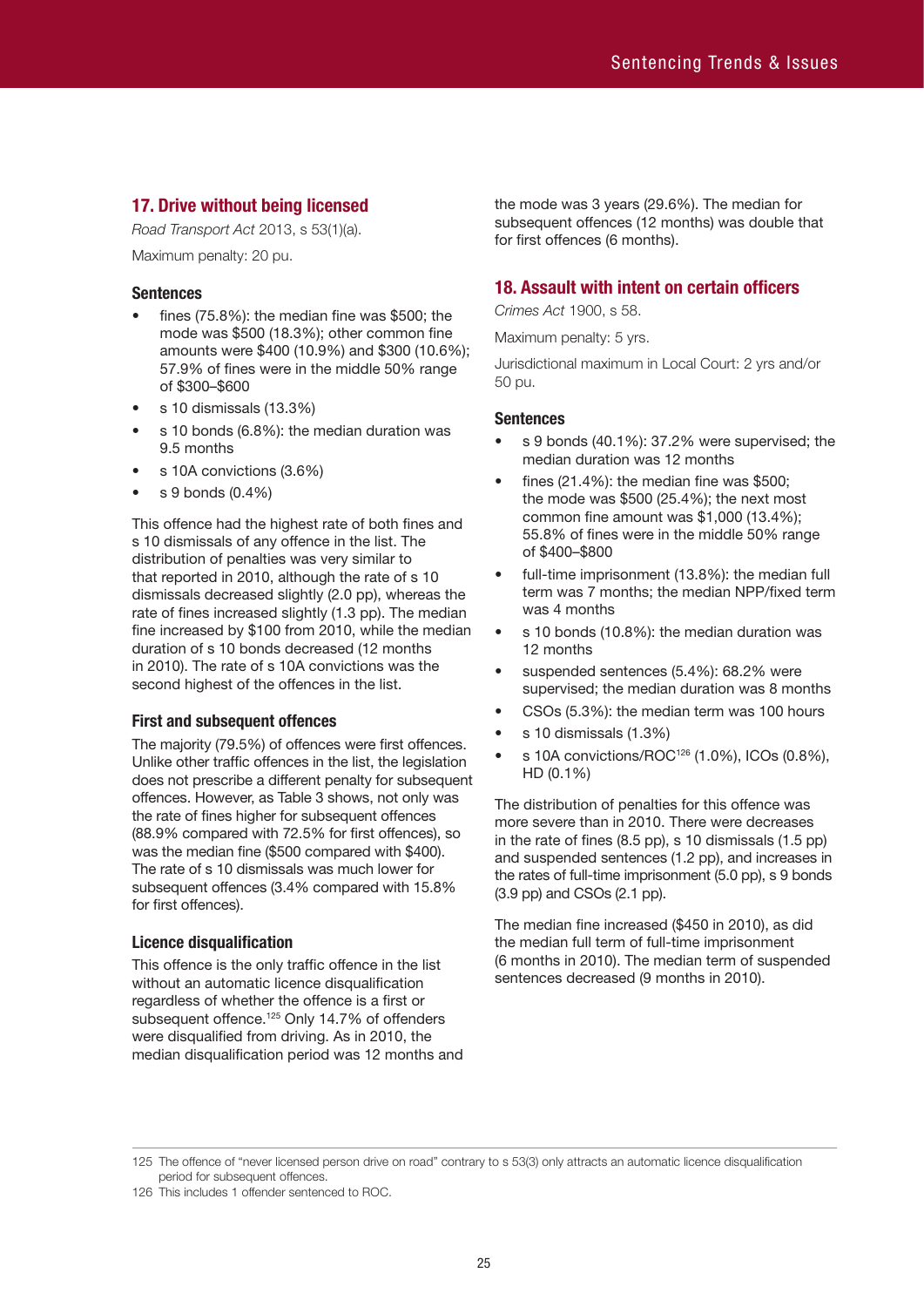# **17. Drive without being licensed**

*Road Transport Act* 2013, s 53(1)(a).

Maximum penalty: 20 pu.

# **Sentences**

- fines (75.8%): the median fine was \$500; the mode was \$500 (18.3%); other common fine amounts were \$400 (10.9%) and \$300 (10.6%); 57.9% of fines were in the middle 50% range of \$300–\$600
- s 10 dismissals (13.3%)
- s 10 bonds (6.8%): the median duration was 9.5 months
- s 10A convictions (3.6%)
- s 9 bonds (0.4%)

This offence had the highest rate of both fines and s 10 dismissals of any offence in the list. The distribution of penalties was very similar to that reported in 2010, although the rate of s 10 dismissals decreased slightly (2.0 pp), whereas the rate of fines increased slightly (1.3 pp). The median fine increased by \$100 from 2010, while the median duration of s 10 bonds decreased (12 months in 2010). The rate of s 10A convictions was the second highest of the offences in the list.

# **First and subsequent offences**

The majority (79.5%) of offences were first offences. Unlike other traffic offences in the list, the legislation does not prescribe a different penalty for subsequent offences. However, as Table 3 shows, not only was the rate of fines higher for subsequent offences (88.9% compared with 72.5% for first offences), so was the median fine (\$500 compared with \$400). The rate of s 10 dismissals was much lower for subsequent offences (3.4% compared with 15.8% for first offences).

# **Licence disqualification**

This offence is the only traffic offence in the list without an automatic licence disqualification regardless of whether the offence is a first or subsequent offence.<sup>125</sup> Only 14.7% of offenders were disqualified from driving. As in 2010, the median disqualification period was 12 months and the mode was 3 years (29.6%). The median for subsequent offences (12 months) was double that for first offences (6 months).

# **18. Assault with intent on certain officers**

*Crimes Act* 1900, s 58.

Maximum penalty: 5 yrs.

Jurisdictional maximum in Local Court: 2 yrs and/or 50 pu.

# **Sentences**

- s 9 bonds (40.1%): 37.2% were supervised; the median duration was 12 months
- fines (21.4%): the median fine was  $$500;$ the mode was \$500 (25.4%); the next most common fine amount was \$1,000 (13.4%); 55.8% of fines were in the middle 50% range of \$400–\$800
- full-time imprisonment (13.8%): the median full term was 7 months; the median NPP/fixed term was 4 months
- s 10 bonds (10.8%): the median duration was 12 months
- suspended sentences (5.4%): 68.2% were supervised; the median duration was 8 months
- CSOs (5.3%): the median term was 100 hours
- s 10 dismissals (1.3%)
- s 10A convictions/ROC<sup>126</sup> (1.0%), ICOs (0.8%), HD (0.1%)

The distribution of penalties for this offence was more severe than in 2010. There were decreases in the rate of fines (8.5 pp), s 10 dismissals (1.5 pp) and suspended sentences (1.2 pp), and increases in the rates of full-time imprisonment (5.0 pp), s 9 bonds (3.9 pp) and CSOs (2.1 pp).

The median fine increased (\$450 in 2010), as did the median full term of full-time imprisonment (6 months in 2010). The median term of suspended sentences decreased (9 months in 2010).

<sup>125</sup> The offence of "never licensed person drive on road" contrary to s 53(3) only attracts an automatic licence disqualification period for subsequent offences.

<sup>126</sup> This includes 1 offender sentenced to ROC.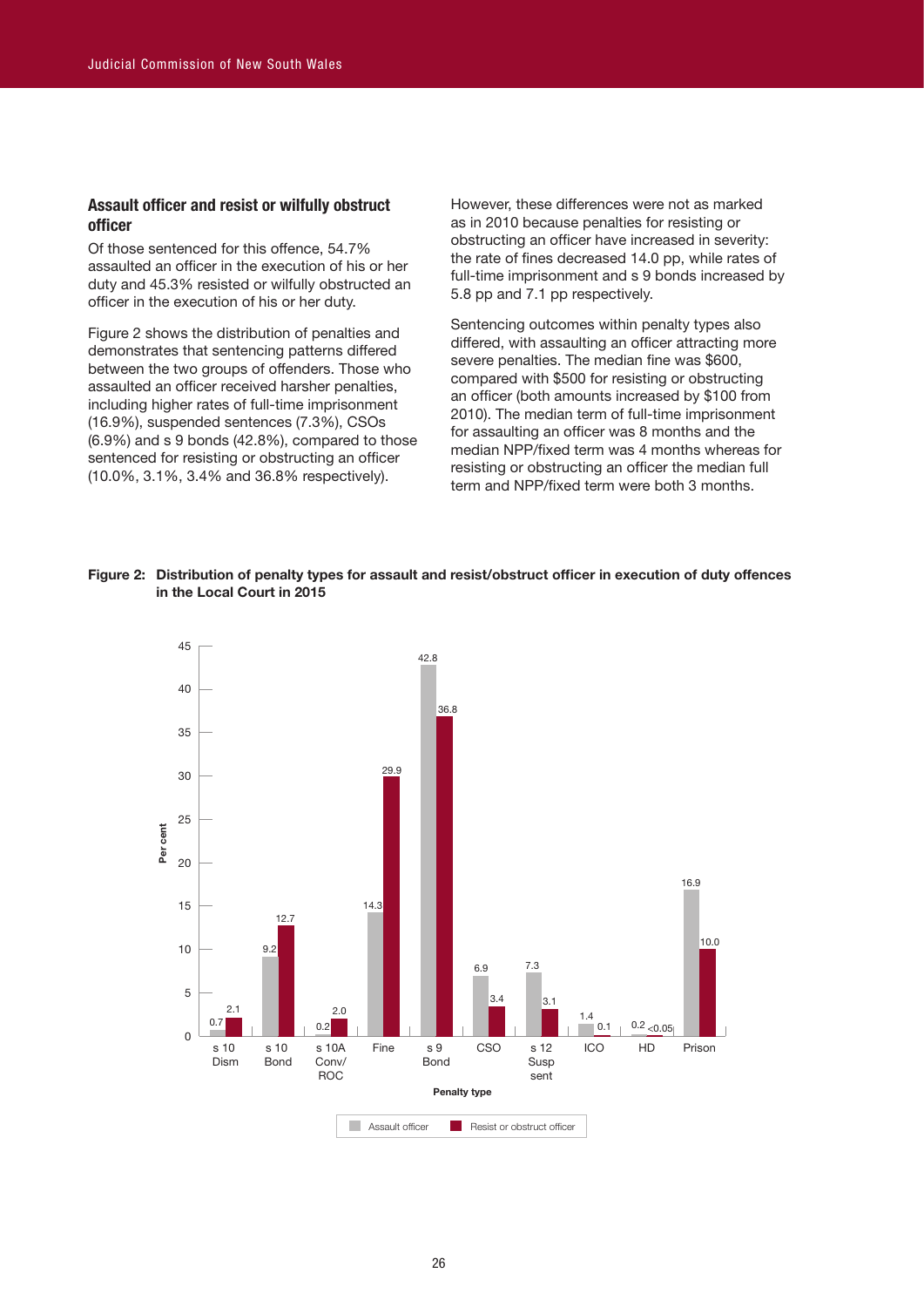# **Assault officer and resist or wilfully obstruct officer**

Of those sentenced for this offence, 54.7% assaulted an officer in the execution of his or her duty and 45.3% resisted or wilfully obstructed an officer in the execution of his or her duty.

Figure 2 shows the distribution of penalties and demonstrates that sentencing patterns differed between the two groups of offenders. Those who assaulted an officer received harsher penalties, including higher rates of full-time imprisonment (16.9%), suspended sentences (7.3%), CSOs (6.9%) and s 9 bonds (42.8%), compared to those sentenced for resisting or obstructing an officer (10.0%, 3.1%, 3.4% and 36.8% respectively).

However, these differences were not as marked as in 2010 because penalties for resisting or obstructing an officer have increased in severity: the rate of fines decreased 14.0 pp, while rates of full-time imprisonment and s 9 bonds increased by 5.8 pp and 7.1 pp respectively.

Sentencing outcomes within penalty types also differed, with assaulting an officer attracting more severe penalties. The median fine was \$600, compared with \$500 for resisting or obstructing an officer (both amounts increased by \$100 from 2010). The median term of full-time imprisonment for assaulting an officer was 8 months and the median NPP/fixed term was 4 months whereas for resisting or obstructing an officer the median full term and NPP/fixed term were both 3 months.



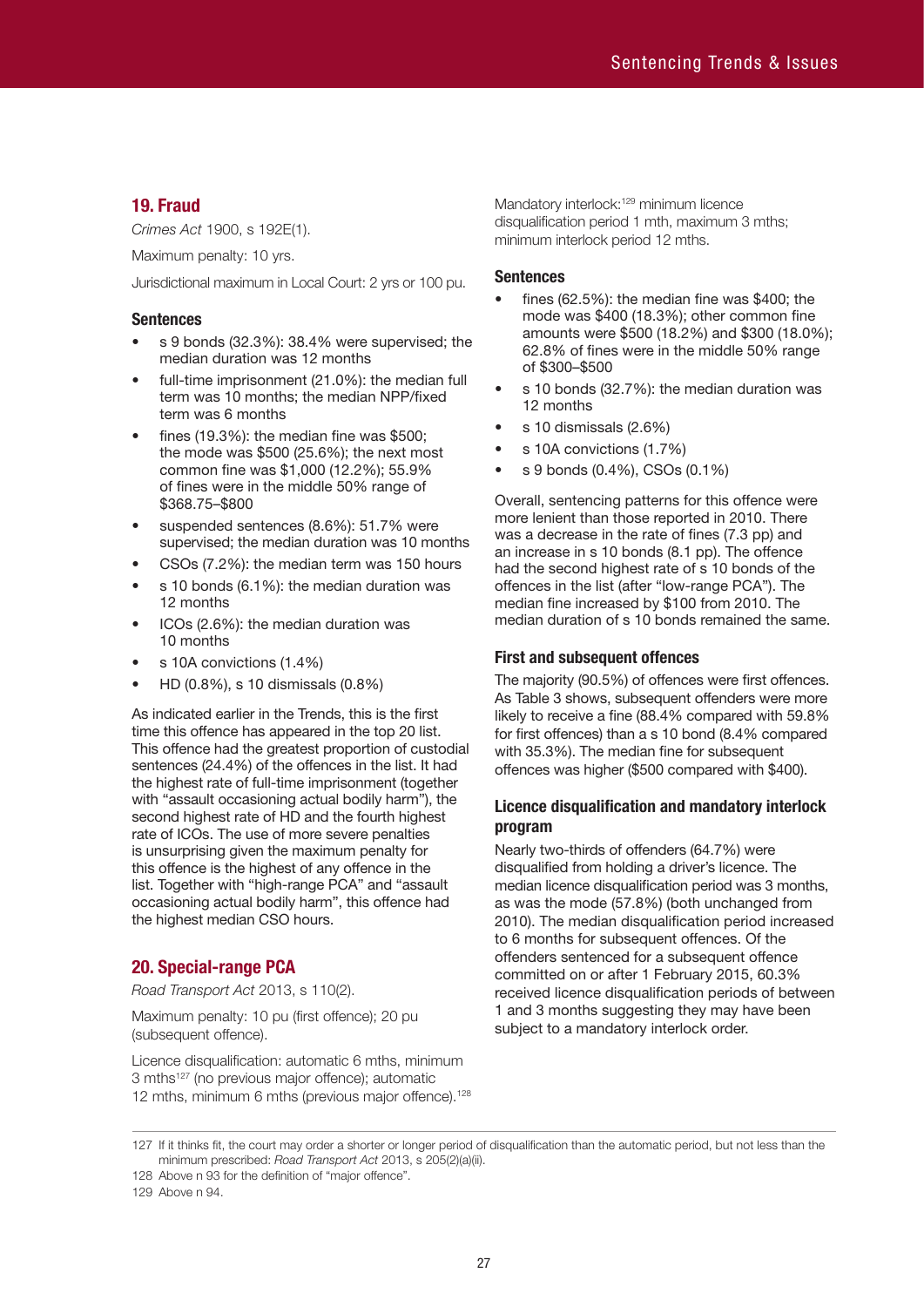# **19. Fraud**

*Crimes Act* 1900, s 192E(1).

Maximum penalty: 10 yrs.

Jurisdictional maximum in Local Court: 2 yrs or 100 pu.

## **Sentences**

- s 9 bonds (32.3%): 38.4% were supervised; the median duration was 12 months
- full-time imprisonment (21.0%): the median full term was 10 months; the median NPP/fixed term was 6 months
- fines  $(19.3\%)$ : the median fine was \$500: the mode was \$500 (25.6%); the next most common fine was \$1,000 (12.2%); 55.9% of fines were in the middle 50% range of \$368.75–\$800
- suspended sentences (8.6%): 51.7% were supervised; the median duration was 10 months
- CSOs (7.2%): the median term was 150 hours
- s 10 bonds (6.1%): the median duration was 12 months
- ICOs (2.6%): the median duration was 10 months
- s 10A convictions (1.4%)
- HD (0.8%), s 10 dismissals (0.8%)

As indicated earlier in the Trends, this is the first time this offence has appeared in the top 20 list. This offence had the greatest proportion of custodial sentences (24.4%) of the offences in the list. It had the highest rate of full-time imprisonment (together with "assault occasioning actual bodily harm"), the second highest rate of HD and the fourth highest rate of ICOs. The use of more severe penalties is unsurprising given the maximum penalty for this offence is the highest of any offence in the list. Together with "high-range PCA" and "assault occasioning actual bodily harm", this offence had the highest median CSO hours.

# **20. Special-range PCA**

*Road Transport Act* 2013, s 110(2).

Maximum penalty: 10 pu (first offence); 20 pu (subsequent offence).

Licence disqualification: automatic 6 mths, minimum 3 mths<sup>127</sup> (no previous major offence); automatic 12 mths, minimum 6 mths (previous major offence).<sup>128</sup> Mandatory interlock:<sup>129</sup> minimum licence disqualification period 1 mth, maximum 3 mths; minimum interlock period 12 mths.

#### **Sentences**

- fines (62.5%): the median fine was \$400; the mode was \$400 (18.3%); other common fine amounts were \$500 (18.2%) and \$300 (18.0%); 62.8% of fines were in the middle 50% range of \$300–\$500
- s 10 bonds (32.7%): the median duration was 12 months
- s 10 dismissals (2.6%)
- s 10A convictions (1.7%)
- s 9 bonds (0.4%), CSOs (0.1%)

Overall, sentencing patterns for this offence were more lenient than those reported in 2010. There was a decrease in the rate of fines (7.3 pp) and an increase in s 10 bonds (8.1 pp). The offence had the second highest rate of s 10 bonds of the offences in the list (after "low-range PCA"). The median fine increased by \$100 from 2010. The median duration of s 10 bonds remained the same.

# **First and subsequent offences**

The majority (90.5%) of offences were first offences. As Table 3 shows, subsequent offenders were more likely to receive a fine (88.4% compared with 59.8% for first offences) than a s 10 bond (8.4% compared with 35.3%). The median fine for subsequent offences was higher (\$500 compared with \$400).

# **Licence disqualification and mandatory interlock program**

Nearly two-thirds of offenders (64.7%) were disqualified from holding a driver's licence. The median licence disqualification period was 3 months, as was the mode (57.8%) (both unchanged from 2010). The median disqualification period increased to 6 months for subsequent offences. Of the offenders sentenced for a subsequent offence committed on or after 1 February 2015, 60.3% received licence disqualification periods of between 1 and 3 months suggesting they may have been subject to a mandatory interlock order.

<sup>127</sup> If it thinks fit, the court may order a shorter or longer period of disqualification than the automatic period, but not less than the minimum prescribed: *Road Transport Act* 2013, s 205(2)(a)(ii).

<sup>128</sup> Above n 93 for the definition of "major offence".

<sup>129</sup> Above n 94.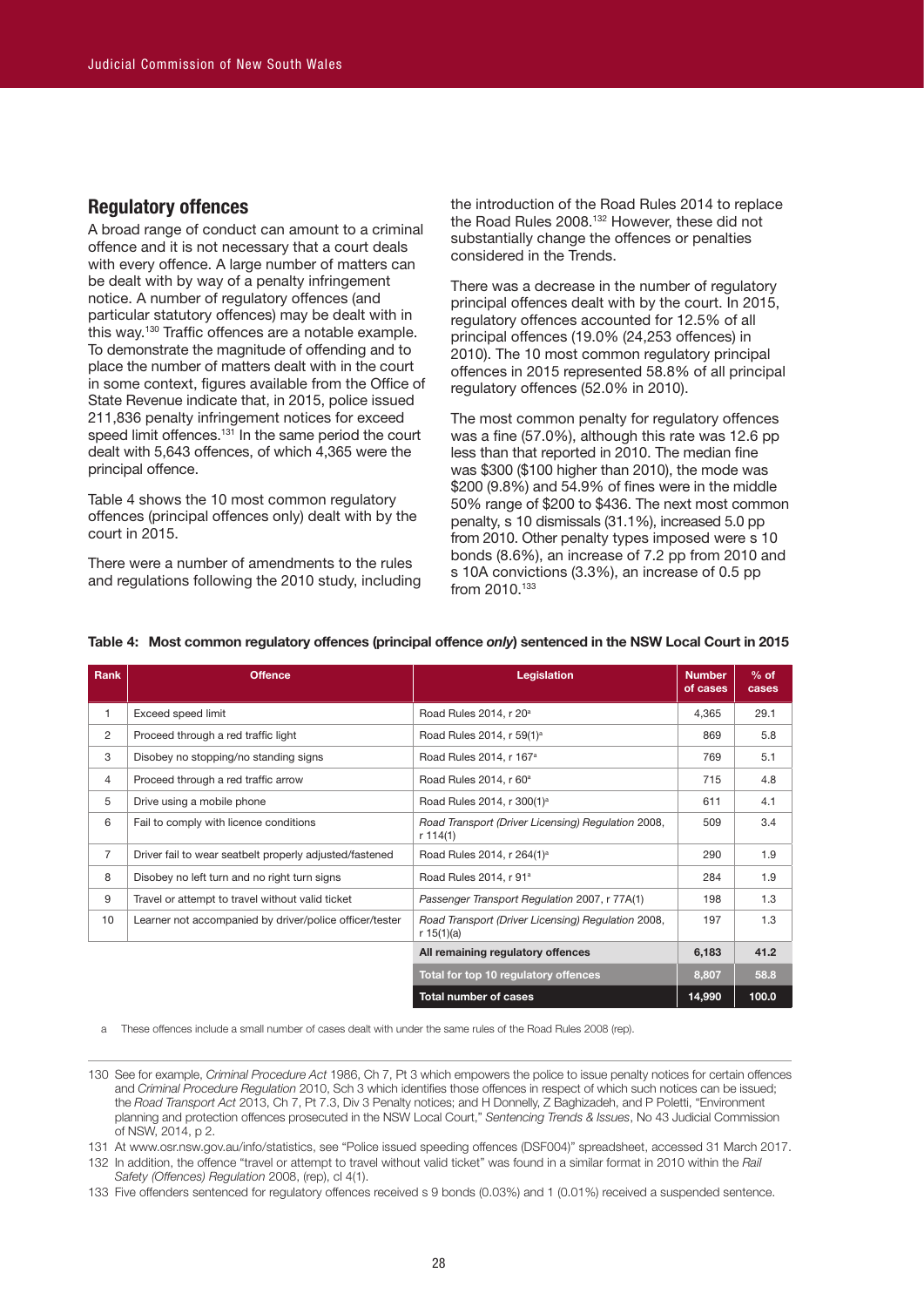# **Regulatory offences**

A broad range of conduct can amount to a criminal offence and it is not necessary that a court deals with every offence. A large number of matters can be dealt with by way of a penalty infringement notice. A number of regulatory offences (and particular statutory offences) may be dealt with in this way. 130 Traffic offences are a notable example. To demonstrate the magnitude of offending and to place the number of matters dealt with in the court in some context, figures available from the Office of State Revenue indicate that, in 2015, police issued 211,836 penalty infringement notices for exceed speed limit offences. 131 In the same period the court dealt with 5,643 offences, of which 4,365 were the principal offence.

Table 4 shows the 10 most common regulatory offences (principal offences only) dealt with by the court in 2015.

There were a number of amendments to the rules and regulations following the 2010 study, including

the introduction of the Road Rules 2014 to replace the Road Rules 2008. 132 However, these did not substantially change the offences or penalties considered in the Trends.

There was a decrease in the number of regulatory principal offences dealt with by the court. In 2015, regulatory offences accounted for 12.5% of all principal offences (19.0% (24,253 offences) in 2010). The 10 most common regulatory principal offences in 2015 represented 58.8% of all principal regulatory offences (52.0% in 2010).

The most common penalty for regulatory offences was a fine (57.0%), although this rate was 12.6 pp less than that reported in 2010. The median fine was \$300 (\$100 higher than 2010), the mode was \$200 (9.8%) and 54.9% of fines were in the middle 50% range of \$200 to \$436. The next most common penalty, s 10 dismissals (31.1%), increased 5.0 pp from 2010. Other penalty types imposed were s 10 bonds (8.6%), an increase of 7.2 pp from 2010 and s 10A convictions (3.3%), an increase of 0.5 pp from 2010.<sup>133</sup>

| Rank           | <b>Offence</b>                                          | Legislation                                                      | <b>Number</b><br>of cases | $%$ of<br>cases |
|----------------|---------------------------------------------------------|------------------------------------------------------------------|---------------------------|-----------------|
| 1              | Exceed speed limit                                      | Road Rules 2014, r 20 <sup>a</sup>                               | 4,365                     | 29.1            |
| 2              | Proceed through a red traffic light                     | Road Rules 2014, r 59(1) <sup>a</sup>                            | 869                       | 5.8             |
| 3              | Disobey no stopping/no standing signs                   | Road Rules 2014, r 167 <sup>a</sup>                              | 769                       | 5.1             |
| 4              | Proceed through a red traffic arrow                     | Road Rules 2014, r 60 <sup>a</sup>                               | 715                       | 4.8             |
| 5              | Drive using a mobile phone                              | Road Rules 2014, r 300(1) <sup>a</sup>                           | 611                       | 4.1             |
| 6              | Fail to comply with licence conditions                  | Road Transport (Driver Licensing) Regulation 2008,<br>r 114(1)   | 509                       | 3.4             |
| $\overline{7}$ | Driver fail to wear seatbelt properly adjusted/fastened | Road Rules 2014, r 264(1) <sup>a</sup>                           | 290                       | 1.9             |
| 8              | Disobey no left turn and no right turn signs            | Road Rules 2014, r 91 <sup>a</sup>                               | 284                       | 1.9             |
| 9              | Travel or attempt to travel without valid ticket        | Passenger Transport Regulation 2007, r 77A(1)                    | 198                       | 1.3             |
| 10             | Learner not accompanied by driver/police officer/tester | Road Transport (Driver Licensing) Regulation 2008,<br>r 15(1)(a) | 197                       | 1.3             |
|                |                                                         | All remaining regulatory offences                                | 6,183                     | 41.2            |
|                |                                                         | Total for top 10 regulatory offences                             | 8,807                     | 58.8            |
|                |                                                         | <b>Total number of cases</b>                                     | 14,990                    | 100.0           |

#### **Table 4: Most common regulatory offences (principal offence** *only***) sentenced in the NSW Local Court in 2015**

a These offences include a small number of cases dealt with under the same rules of the Road Rules 2008 (rep).

131 At www.osr.nsw.gov.au/info/statistics, see "Police issued speeding offences (DSF004)" spreadsheet, accessed 31 March 2017.

132 In addition, the offence "travel or attempt to travel without valid ticket" was found in a similar format in 2010 within the *Rail Safety (Offences) Regulation* 2008, (rep), cl 4(1).

133 Five offenders sentenced for regulatory offences received s 9 bonds (0.03%) and 1 (0.01%) received a suspended sentence.

<sup>130</sup> See for example, *Criminal Procedure Act* 1986, Ch 7, Pt 3 which empowers the police to issue penalty notices for certain offences and *Criminal Procedure Regulation* 2010, Sch 3 which identifies those offences in respect of which such notices can be issued; the *Road Transport Act* 2013, Ch 7, Pt 7.3, Div 3 Penalty notices; and H Donnelly, Z Baghizadeh, and P Poletti, "Environment planning and protection offences prosecuted in the NSW Local Court," *Sentencing Trends & Issues*, No 43 Judicial Commission of NSW, 2014, p 2.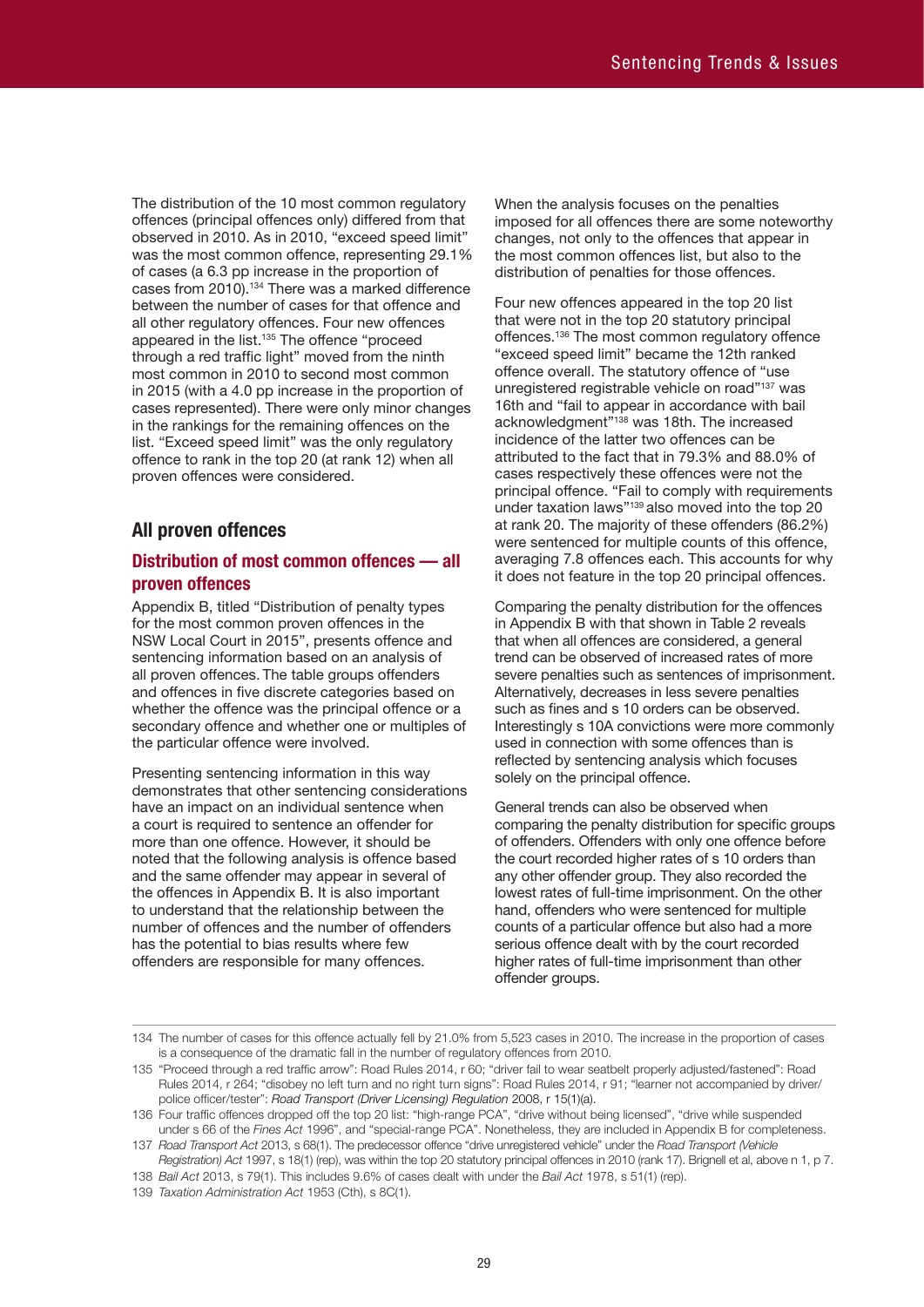The distribution of the 10 most common regulatory offences (principal offences only) differed from that observed in 2010. As in 2010, "exceed speed limit" was the most common offence, representing 29.1% of cases (a 6.3 pp increase in the proportion of cases from 2010). 134 There was a marked difference between the number of cases for that offence and all other regulatory offences. Four new offences appeared in the list. 135 The offence "proceed through a red traffic light" moved from the ninth most common in 2010 to second most common in 2015 (with a 4.0 pp increase in the proportion of cases represented). There were only minor changes in the rankings for the remaining offences on the list. "Exceed speed limit" was the only regulatory offence to rank in the top 20 (at rank 12) when all proven offences were considered.

# **All proven offences**

# **Distribution of most common offences — all proven offences**

Appendix B, titled "Distribution of penalty types for the most common proven offences in the NSW Local Court in 2015", presents offence and sentencing information based on an analysis of all proven offences. The table groups offenders and offences in five discrete categories based on whether the offence was the principal offence or a secondary offence and whether one or multiples of the particular offence were involved.

Presenting sentencing information in this way demonstrates that other sentencing considerations have an impact on an individual sentence when a court is required to sentence an offender for more than one offence. However, it should be noted that the following analysis is offence based and the same offender may appear in several of the offences in Appendix B. It is also important to understand that the relationship between the number of offences and the number of offenders has the potential to bias results where few offenders are responsible for many offences.

When the analysis focuses on the penalties imposed for all offences there are some noteworthy changes, not only to the offences that appear in the most common offences list, but also to the distribution of penalties for those offences.

Four new offences appeared in the top 20 list that were not in the top 20 statutory principal offences. 136 The most common regulatory offence "exceed speed limit" became the 12th ranked offence overall. The statutory offence of "use unregistered registrable vehicle on road"137 was 16th and "fail to appear in accordance with bail acknowledgment"138 was 18th. The increased incidence of the latter two offences can be attributed to the fact that in 79.3% and 88.0% of cases respectively these offences were not the principal offence. "Fail to comply with requirements under taxation laws"139 also moved into the top 20 at rank 20. The majority of these offenders (86.2%) were sentenced for multiple counts of this offence, averaging 7.8 offences each. This accounts for why it does not feature in the top 20 principal offences.

Comparing the penalty distribution for the offences in Appendix B with that shown in Table 2 reveals that when all offences are considered, a general trend can be observed of increased rates of more severe penalties such as sentences of imprisonment. Alternatively, decreases in less severe penalties such as fines and s 10 orders can be observed. Interestingly s 10A convictions were more commonly used in connection with some offences than is reflected by sentencing analysis which focuses solely on the principal offence.

General trends can also be observed when comparing the penalty distribution for specific groups of offenders. Offenders with only one offence before the court recorded higher rates of s 10 orders than any other offender group. They also recorded the lowest rates of full-time imprisonment. On the other hand, offenders who were sentenced for multiple counts of a particular offence but also had a more serious offence dealt with by the court recorded higher rates of full-time imprisonment than other offender groups.

<sup>134</sup> The number of cases for this offence actually fell by 21.0% from 5,523 cases in 2010. The increase in the proportion of cases is a consequence of the dramatic fall in the number of regulatory offences from 2010.

<sup>135</sup> "Proceed through a red traffic arrow": Road Rules 2014, r 60; "driver fail to wear seatbelt properly adjusted/fastened": Road Rules 2014, r 264; "disobey no left turn and no right turn signs": Road Rules 2014, r 91; "learner not accompanied by driver/ police officer/tester": *Road Transport (Driver Licensing) Regulation* 2008, r 15(1)(a).

<sup>136</sup> Four traffic offences dropped off the top 20 list: "high-range PCA", "drive without being licensed", "drive while suspended under s 66 of the *Fines Act* 1996", and "special-range PCA". Nonetheless, they are included in Appendix B for completeness.

<sup>137</sup> *Road Transport Act* 2013, s 68(1). The predecessor offence "drive unregistered vehicle" under the *Road Transport (Vehicle Registration) Act* 1997, s 18(1) (rep), was within the top 20 statutory principal offences in 2010 (rank 17). Brignell et al, above n 1, p 7.

<sup>138</sup> *Bail Act* 2013, s 79(1). This includes 9.6% of cases dealt with under the *Bail Act* 1978, s 51(1) (rep).

<sup>139</sup> *Taxation Administration Act* 1953 (Cth), s 8C(1).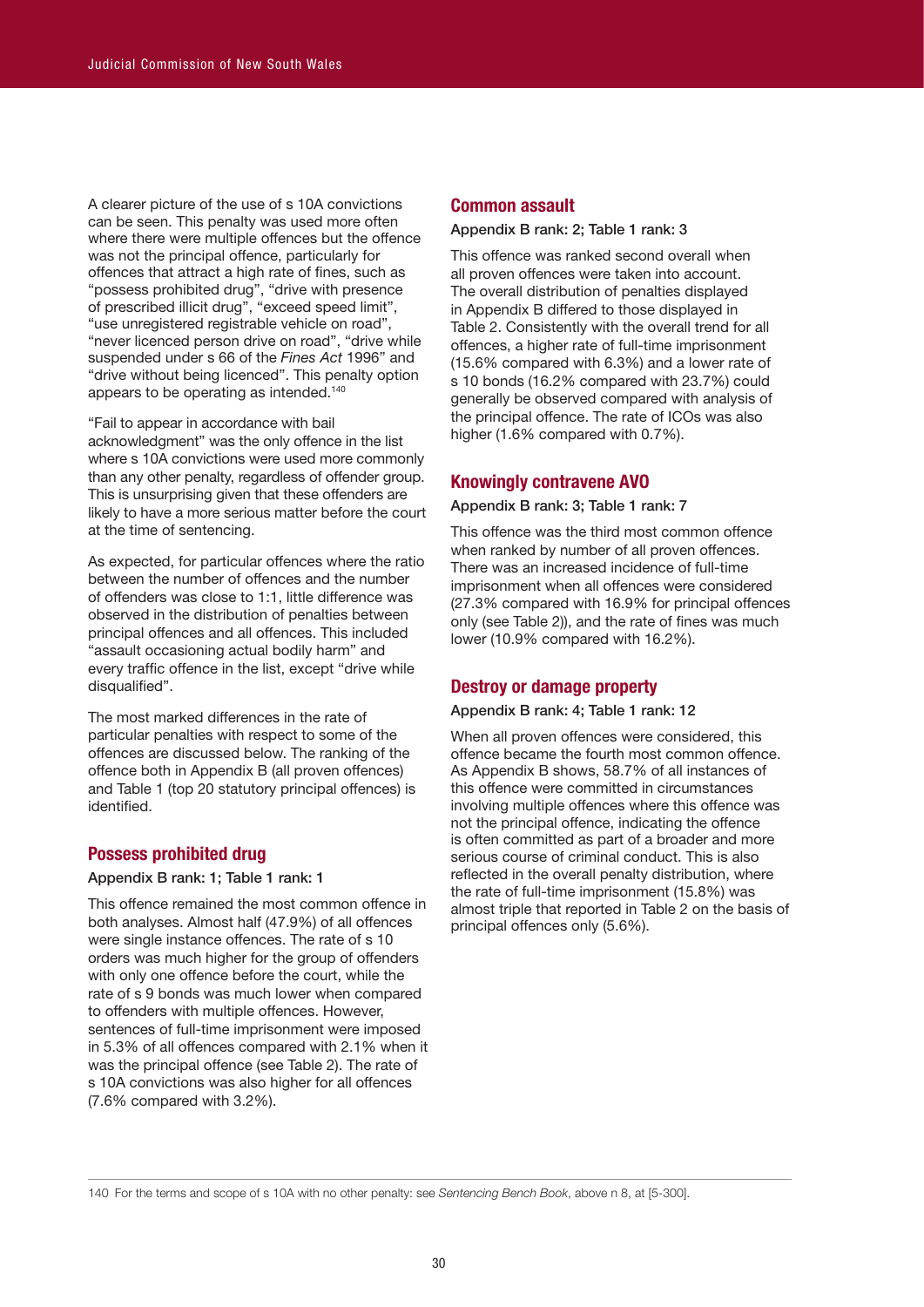A clearer picture of the use of s 10A convictions can be seen. This penalty was used more often where there were multiple offences but the offence was not the principal offence, particularly for offences that attract a high rate of fines, such as "possess prohibited drug", "drive with presence of prescribed illicit drug", "exceed speed limit", "use unregistered registrable vehicle on road", "never licenced person drive on road", "drive while suspended under s 66 of the *Fines Act* 1996" and "drive without being licenced". This penalty option appears to be operating as intended. 140

"Fail to appear in accordance with bail acknowledgment" was the only offence in the list where s 10A convictions were used more commonly than any other penalty, regardless of offender group. This is unsurprising given that these offenders are likely to have a more serious matter before the court at the time of sentencing.

As expected, for particular offences where the ratio between the number of offences and the number of offenders was close to 1:1, little difference was observed in the distribution of penalties between principal offences and all offences. This included "assault occasioning actual bodily harm" and every traffic offence in the list, except "drive while disqualified".

The most marked differences in the rate of particular penalties with respect to some of the offences are discussed below. The ranking of the offence both in Appendix B (all proven offences) and Table 1 (top 20 statutory principal offences) is identified.

# **Possess prohibited drug**

#### Appendix B rank: 1; Table 1 rank: 1

This offence remained the most common offence in both analyses. Almost half (47.9%) of all offences were single instance offences. The rate of s 10 orders was much higher for the group of offenders with only one offence before the court, while the rate of s 9 bonds was much lower when compared to offenders with multiple offences. However, sentences of full-time imprisonment were imposed in 5.3% of all offences compared with 2.1% when it was the principal offence (see Table 2). The rate of s 10A convictions was also higher for all offences (7.6% compared with 3.2%).

#### **Common assault**

#### Appendix B rank: 2; Table 1 rank: 3

This offence was ranked second overall when all proven offences were taken into account. The overall distribution of penalties displayed in Appendix B differed to those displayed in Table 2. Consistently with the overall trend for all offences, a higher rate of full-time imprisonment (15.6% compared with 6.3%) and a lower rate of s 10 bonds (16.2% compared with 23.7%) could generally be observed compared with analysis of the principal offence. The rate of ICOs was also higher (1.6% compared with 0.7%).

## **Knowingly contravene AVO**

#### Appendix B rank: 3; Table 1 rank: 7

This offence was the third most common offence when ranked by number of all proven offences. There was an increased incidence of full-time imprisonment when all offences were considered (27.3% compared with 16.9% for principal offences only (see Table 2)), and the rate of fines was much lower (10.9% compared with 16.2%).

#### **Destroy or damage property**

# Appendix B rank: 4; Table 1 rank: 12

When all proven offences were considered, this offence became the fourth most common offence. As Appendix B shows, 58.7% of all instances of this offence were committed in circumstances involving multiple offences where this offence was not the principal offence, indicating the offence is often committed as part of a broader and more serious course of criminal conduct. This is also reflected in the overall penalty distribution, where the rate of full-time imprisonment (15.8%) was almost triple that reported in Table 2 on the basis of principal offences only (5.6%).

140 For the terms and scope of s 10A with no other penalty: see *Sentencing Bench Book*, above n 8, at [5-300].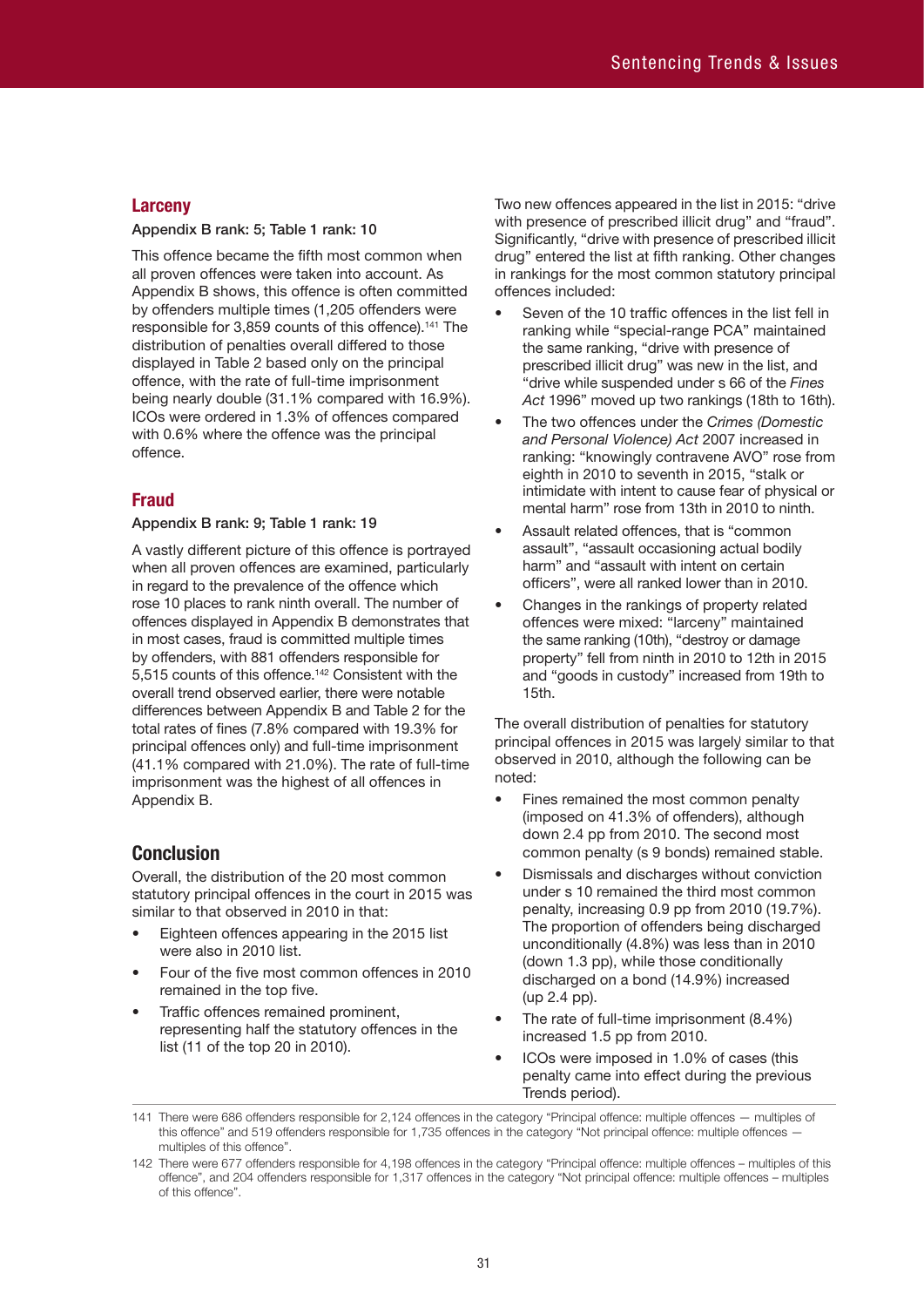# **Larceny**

#### Appendix B rank: 5; Table 1 rank: 10

This offence became the fifth most common when all proven offences were taken into account. As Appendix B shows, this offence is often committed by offenders multiple times (1,205 offenders were responsible for 3,859 counts of this offence). 141 The distribution of penalties overall differed to those displayed in Table 2 based only on the principal offence, with the rate of full-time imprisonment being nearly double (31.1% compared with 16.9%). ICOs were ordered in 1.3% of offences compared with 0.6% where the offence was the principal offence.

# **Fraud**

#### Appendix B rank: 9; Table 1 rank: 19

A vastly different picture of this offence is portrayed when all proven offences are examined, particularly in regard to the prevalence of the offence which rose 10 places to rank ninth overall. The number of offences displayed in Appendix B demonstrates that in most cases, fraud is committed multiple times by offenders, with 881 offenders responsible for 5,515 counts of this offence. 142 Consistent with the overall trend observed earlier, there were notable differences between Appendix B and Table 2 for the total rates of fines (7.8% compared with 19.3% for principal offences only) and full-time imprisonment (41.1% compared with 21.0%). The rate of full-time imprisonment was the highest of all offences in Appendix B.

# **Conclusion**

Overall, the distribution of the 20 most common statutory principal offences in the court in 2015 was similar to that observed in 2010 in that:

- Eighteen offences appearing in the 2015 list were also in 2010 list.
- Four of the five most common offences in 2010 remained in the top five.
- Traffic offences remained prominent, representing half the statutory offences in the list (11 of the top 20 in 2010).

Two new offences appeared in the list in 2015: "drive with presence of prescribed illicit drug" and "fraud". Significantly, "drive with presence of prescribed illicit drug" entered the list at fifth ranking. Other changes in rankings for the most common statutory principal offences included:

- Seven of the 10 traffic offences in the list fell in ranking while "special-range PCA" maintained the same ranking, "drive with presence of prescribed illicit drug" was new in the list, and "drive while suspended under s 66 of the *Fines Act* 1996" moved up two rankings (18th to 16th).
- The two offences under the *Crimes (Domestic and Personal Violence) Act* 2007 increased in ranking: "knowingly contravene AVO" rose from eighth in 2010 to seventh in 2015, "stalk or intimidate with intent to cause fear of physical or mental harm" rose from 13th in 2010 to ninth.
- Assault related offences, that is "common assault", "assault occasioning actual bodily harm" and "assault with intent on certain officers", were all ranked lower than in 2010.
- Changes in the rankings of property related offences were mixed: "larceny" maintained the same ranking (10th), "destroy or damage property" fell from ninth in 2010 to 12th in 2015 and "goods in custody" increased from 19th to 15th.

The overall distribution of penalties for statutory principal offences in 2015 was largely similar to that observed in 2010, although the following can be noted:

- Fines remained the most common penalty (imposed on 41.3% of offenders), although down 2.4 pp from 2010. The second most common penalty (s 9 bonds) remained stable.
- Dismissals and discharges without conviction under s 10 remained the third most common penalty, increasing 0.9 pp from 2010 (19.7%). The proportion of offenders being discharged unconditionally (4.8%) was less than in 2010 (down 1.3 pp), while those conditionally discharged on a bond (14.9%) increased (up 2.4 pp).
- The rate of full-time imprisonment (8.4%) increased 1.5 pp from 2010.
- ICOs were imposed in 1.0% of cases (this penalty came into effect during the previous Trends period).

141 There were 686 offenders responsible for 2,124 offences in the category "Principal offence: multiple offences — multiples of this offence" and 519 offenders responsible for 1,735 offences in the category "Not principal offence: multiple offences multiples of this offence".

<sup>142</sup> There were 677 offenders responsible for 4,198 offences in the category "Principal offence: multiple offences – multiples of this offence", and 204 offenders responsible for 1,317 offences in the category "Not principal offence: multiple offences – multiples of this offence".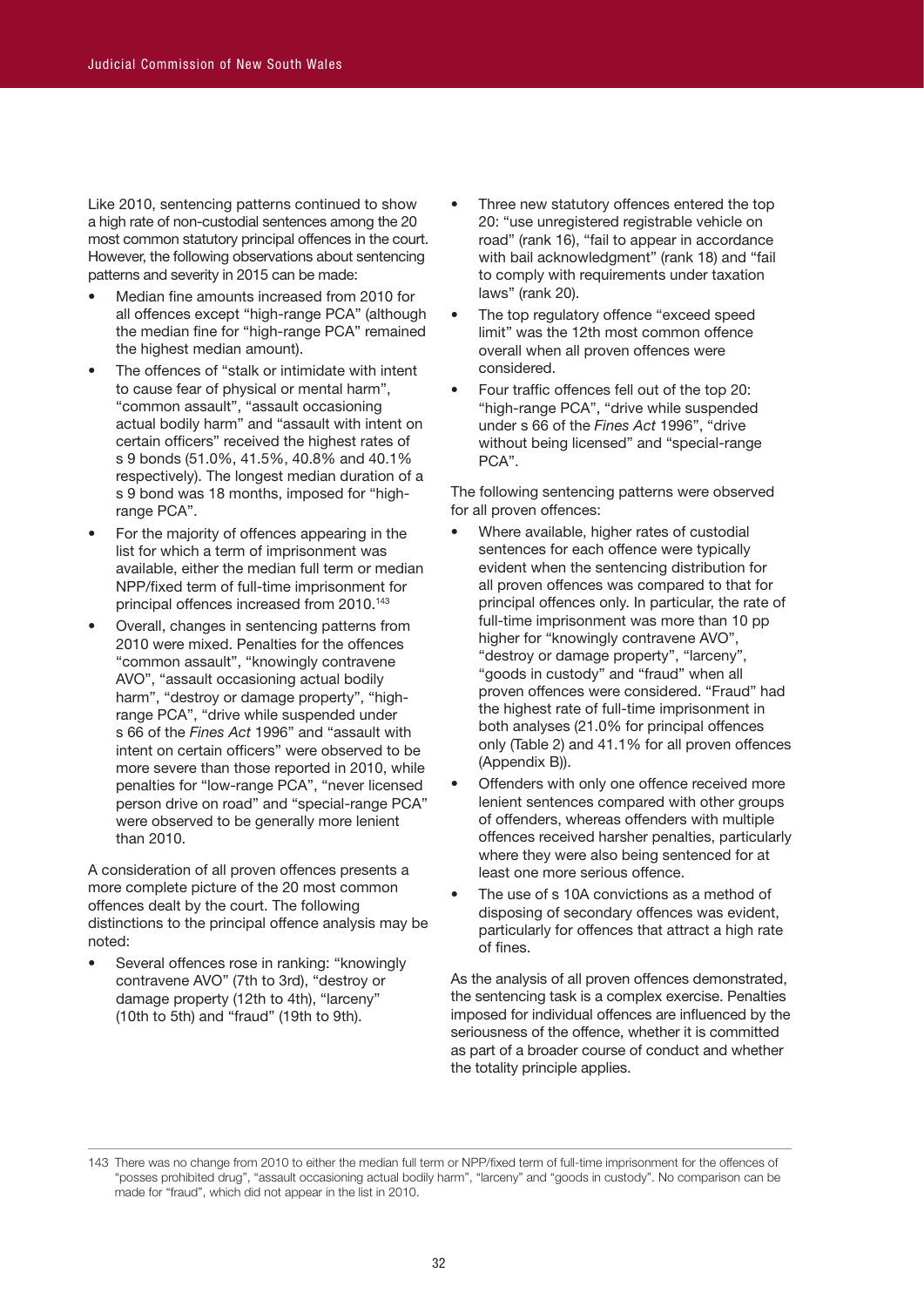Like 2010, sentencing patterns continued to show a high rate of non-custodial sentences among the 20 most common statutory principal offences in the court. However, the following observations about sentencing patterns and severity in 2015 can be made:

- Median fine amounts increased from 2010 for all offences except "high-range PCA" (although the median fine for "high-range PCA" remained the highest median amount).
- The offences of "stalk or intimidate with intent to cause fear of physical or mental harm", "common assault", "assault occasioning actual bodily harm" and "assault with intent on certain officers" received the highest rates of s 9 bonds (51.0%, 41.5%, 40.8% and 40.1% respectively). The longest median duration of a s 9 bond was 18 months, imposed for "highrange PCA".
- For the majority of offences appearing in the list for which a term of imprisonment was available, either the median full term or median NPP/fixed term of full-time imprisonment for principal offences increased from 2010. 143
- Overall, changes in sentencing patterns from 2010 were mixed. Penalties for the offences "common assault", "knowingly contravene AVO", "assault occasioning actual bodily harm", "destroy or damage property", "highrange PCA", "drive while suspended under s 66 of the *Fines Act* 1996" and "assault with intent on certain officers" were observed to be more severe than those reported in 2010, while penalties for "low-range PCA", "never licensed person drive on road" and "special-range PCA" were observed to be generally more lenient than 2010.

A consideration of all proven offences presents a more complete picture of the 20 most common offences dealt by the court. The following distinctions to the principal offence analysis may be noted:

• Several offences rose in ranking: "knowingly contravene AVO" (7th to 3rd), "destroy or damage property (12th to 4th), "larceny" (10th to 5th) and "fraud" (19th to 9th).

- Three new statutory offences entered the top 20: "use unregistered registrable vehicle on road" (rank 16), "fail to appear in accordance with bail acknowledgment" (rank 18) and "fail to comply with requirements under taxation laws" (rank 20).
- The top regulatory offence "exceed speed limit" was the 12th most common offence overall when all proven offences were considered.
- Four traffic offences fell out of the top 20: "high-range PCA", "drive while suspended under s 66 of the *Fines Act* 1996", "drive without being licensed" and "special-range PCA".

The following sentencing patterns were observed for all proven offences:

- Where available, higher rates of custodial sentences for each offence were typically evident when the sentencing distribution for all proven offences was compared to that for principal offences only. In particular, the rate of full-time imprisonment was more than 10 pp higher for "knowingly contravene AVO", "destroy or damage property", "larceny", "goods in custody" and "fraud" when all proven offences were considered. "Fraud" had the highest rate of full-time imprisonment in both analyses (21.0% for principal offences only (Table 2) and 41.1% for all proven offences (Appendix B)).
- Offenders with only one offence received more lenient sentences compared with other groups of offenders, whereas offenders with multiple offences received harsher penalties, particularly where they were also being sentenced for at least one more serious offence.
- The use of s 10A convictions as a method of disposing of secondary offences was evident, particularly for offences that attract a high rate of fines.

As the analysis of all proven offences demonstrated, the sentencing task is a complex exercise. Penalties imposed for individual offences are influenced by the seriousness of the offence, whether it is committed as part of a broader course of conduct and whether the totality principle applies.

<sup>143</sup> There was no change from 2010 to either the median full term or NPP/fixed term of full-time imprisonment for the offences of "posses prohibited drug", "assault occasioning actual bodily harm", "larceny" and "goods in custody". No comparison can be made for "fraud", which did not appear in the list in 2010.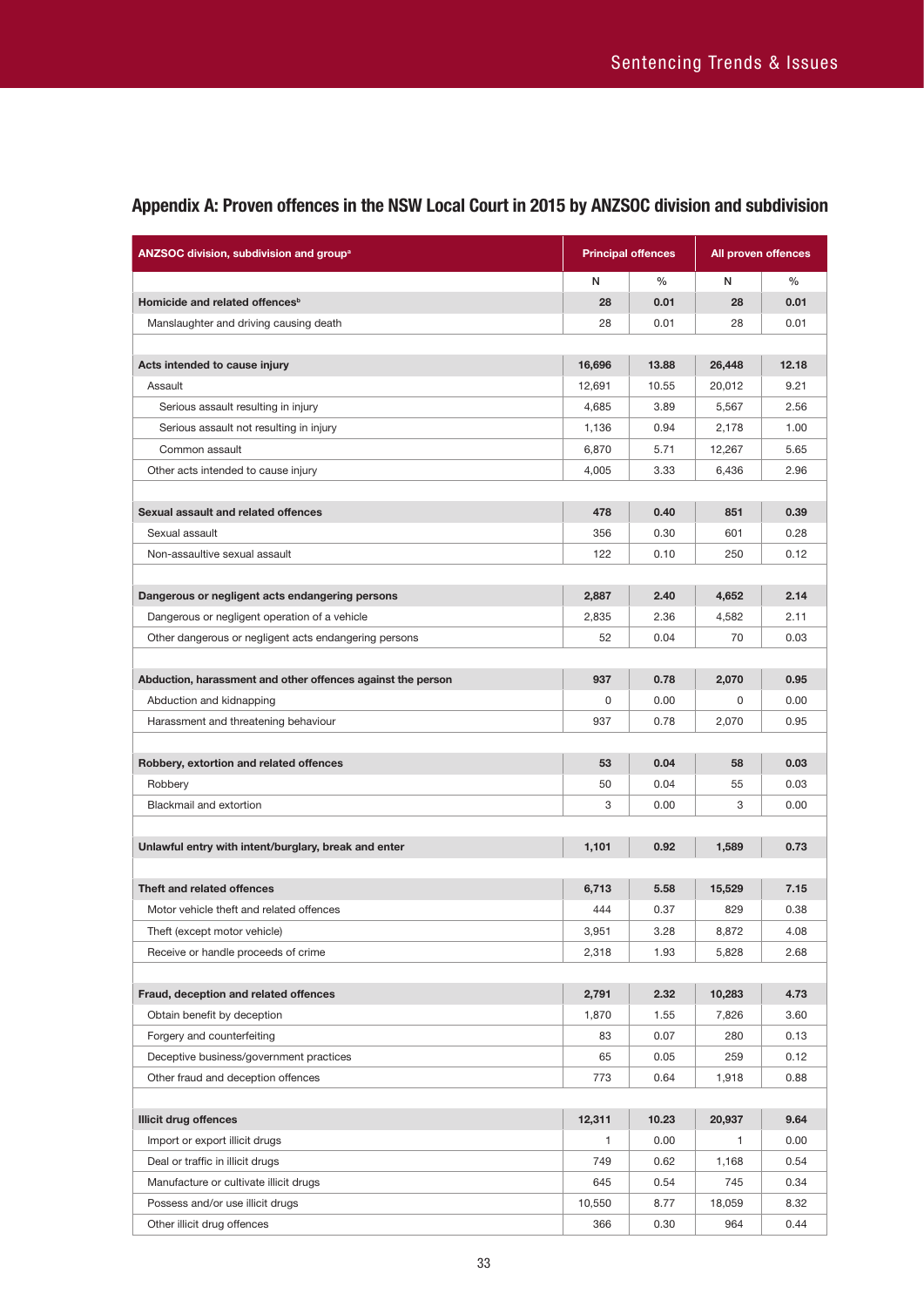| ANZSOC division, subdivision and group <sup>a</sup>         |        | <b>Principal offences</b> |              | All proven offences |
|-------------------------------------------------------------|--------|---------------------------|--------------|---------------------|
|                                                             | N      | $\frac{0}{0}$             | N            | $\frac{0}{0}$       |
| Homicide and related offences <sup>b</sup>                  | 28     | 0.01                      | 28           | 0.01                |
| Manslaughter and driving causing death                      | 28     | 0.01                      | 28           | 0.01                |
|                                                             |        |                           |              |                     |
| Acts intended to cause injury                               | 16,696 | 13.88                     | 26,448       | 12.18               |
| Assault                                                     | 12,691 | 10.55                     | 20,012       | 9.21                |
| Serious assault resulting in injury                         | 4,685  | 3.89                      | 5,567        | 2.56                |
| Serious assault not resulting in injury                     | 1,136  | 0.94                      | 2,178        | 1.00                |
| Common assault                                              | 6,870  | 5.71                      | 12,267       | 5.65                |
| Other acts intended to cause injury                         | 4,005  | 3.33                      | 6,436        | 2.96                |
|                                                             |        |                           |              |                     |
| Sexual assault and related offences                         | 478    | 0.40                      | 851          | 0.39                |
| Sexual assault                                              | 356    | 0.30                      | 601          | 0.28                |
| Non-assaultive sexual assault                               | 122    | 0.10                      | 250          | 0.12                |
|                                                             |        |                           |              |                     |
| Dangerous or negligent acts endangering persons             | 2,887  | 2.40                      | 4,652        | 2.14                |
| Dangerous or negligent operation of a vehicle               | 2,835  | 2.36                      | 4,582        | 2.11                |
| Other dangerous or negligent acts endangering persons       | 52     | 0.04                      | 70           | 0.03                |
|                                                             |        |                           |              |                     |
| Abduction, harassment and other offences against the person | 937    | 0.78                      | 2,070        | 0.95                |
| Abduction and kidnapping                                    | 0      | 0.00                      | 0            | 0.00                |
| Harassment and threatening behaviour                        | 937    | 0.78                      | 2,070        | 0.95                |
|                                                             |        |                           |              |                     |
| Robbery, extortion and related offences                     | 53     | 0.04                      | 58           | 0.03                |
| Robbery                                                     | 50     | 0.04                      | 55           | 0.03                |
| Blackmail and extortion                                     | 3      | 0.00                      | 3            | 0.00                |
|                                                             |        |                           |              |                     |
| Unlawful entry with intent/burglary, break and enter        | 1,101  | 0.92                      | 1,589        | 0.73                |
|                                                             |        |                           |              |                     |
| Theft and related offences                                  | 6,713  | 5.58                      | 15,529       | 7.15                |
| Motor vehicle theft and related offences                    | 444    | 0.37                      | 829          | 0.38                |
| Theft (except motor vehicle)                                | 3,951  | 3.28                      | 8,872        | 4.08                |
| Receive or handle proceeds of crime                         | 2,318  | 1.93                      | 5,828        | 2.68                |
|                                                             |        |                           |              |                     |
| Fraud, deception and related offences                       | 2,791  | 2.32                      | 10,283       | 4.73                |
| Obtain benefit by deception                                 | 1,870  | 1.55                      | 7,826        | 3.60                |
| Forgery and counterfeiting                                  | 83     | 0.07                      | 280          | 0.13                |
| Deceptive business/government practices                     | 65     | 0.05                      | 259          | 0.12                |
| Other fraud and deception offences                          | 773    | 0.64                      | 1,918        | 0.88                |
|                                                             |        |                           |              |                     |
| <b>Illicit drug offences</b>                                | 12,311 | 10.23                     | 20,937       | 9.64                |
| Import or export illicit drugs                              | 1      | 0.00                      | $\mathbf{1}$ | 0.00                |
| Deal or traffic in illicit drugs                            | 749    | 0.62                      | 1,168        | 0.54                |
| Manufacture or cultivate illicit drugs                      | 645    | 0.54                      | 745          | 0.34                |
| Possess and/or use illicit drugs                            | 10,550 | 8.77                      | 18,059       | 8.32                |
| Other illicit drug offences                                 | 366    | 0.30                      | 964          | 0.44                |

# **Appendix A: Proven offences in the NSW Local Court in 2015 by ANZSOC division and subdivision**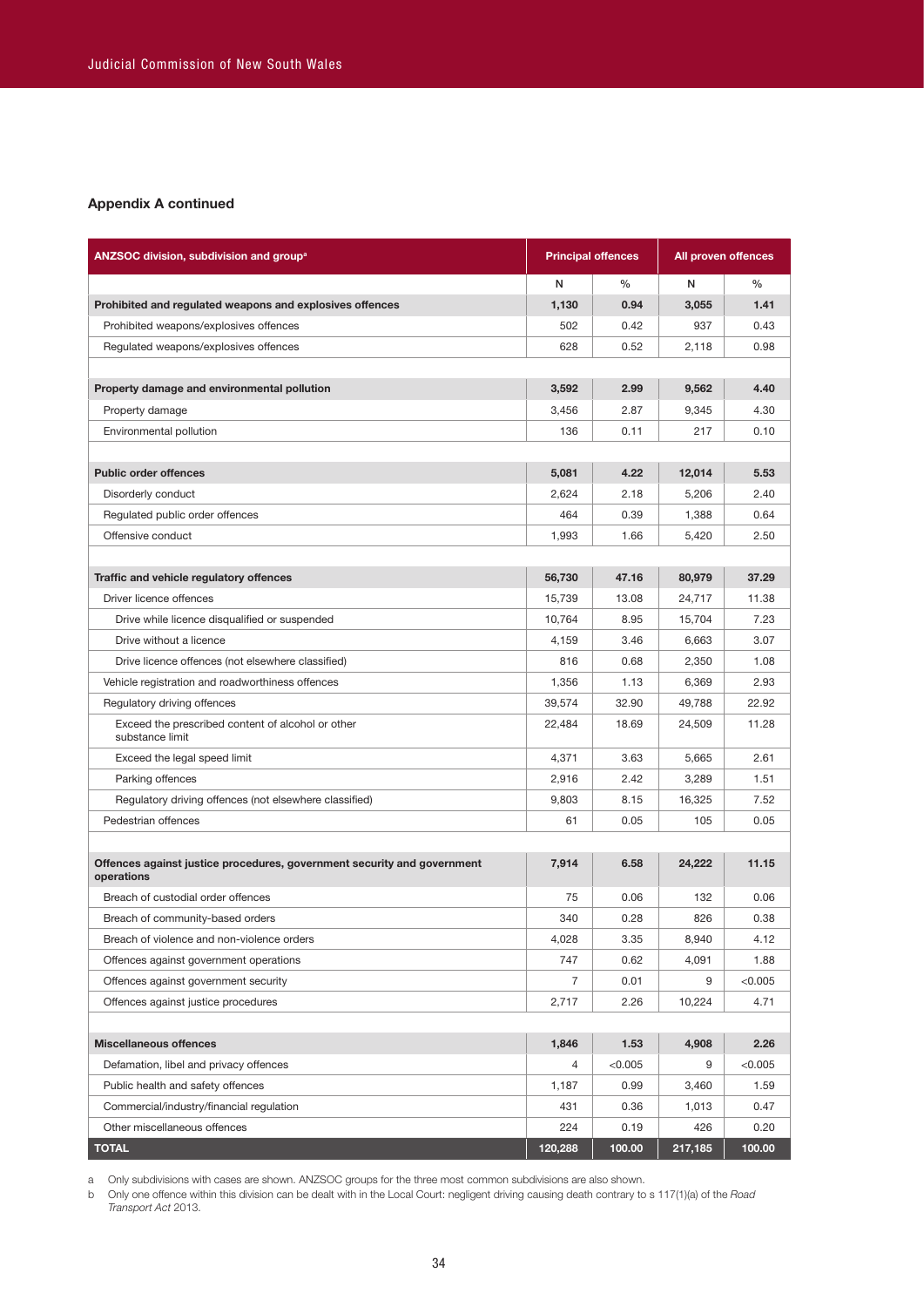#### **Appendix A continued**

| ANZSOC division, subdivision and group <sup>a</sup>                                   | <b>Principal offences</b> |         |         | All proven offences |
|---------------------------------------------------------------------------------------|---------------------------|---------|---------|---------------------|
|                                                                                       | N                         | $\%$    | N       | $\%$                |
| Prohibited and regulated weapons and explosives offences                              | 1,130                     | 0.94    | 3,055   | 1.41                |
| Prohibited weapons/explosives offences                                                | 502                       | 0.42    | 937     | 0.43                |
| Regulated weapons/explosives offences                                                 | 628                       | 0.52    | 2,118   | 0.98                |
|                                                                                       |                           |         |         |                     |
| Property damage and environmental pollution                                           | 3,592                     | 2.99    | 9,562   | 4.40                |
| Property damage                                                                       | 3,456                     | 2.87    | 9,345   | 4.30                |
| Environmental pollution                                                               | 136                       | 0.11    | 217     | 0.10                |
|                                                                                       |                           |         |         |                     |
| <b>Public order offences</b>                                                          | 5,081                     | 4.22    | 12,014  | 5.53                |
| Disorderly conduct                                                                    | 2,624                     | 2.18    | 5,206   | 2.40                |
| Regulated public order offences                                                       | 464                       | 0.39    | 1,388   | 0.64                |
| Offensive conduct                                                                     | 1,993                     | 1.66    | 5,420   | 2.50                |
|                                                                                       |                           |         |         |                     |
| Traffic and vehicle regulatory offences                                               | 56,730                    | 47.16   | 80,979  | 37.29               |
| Driver licence offences                                                               | 15,739                    | 13.08   | 24,717  | 11.38               |
| Drive while licence disqualified or suspended                                         | 10.764                    | 8.95    | 15,704  | 7.23                |
| Drive without a licence                                                               | 4,159                     | 3.46    | 6,663   | 3.07                |
| Drive licence offences (not elsewhere classified)                                     | 816                       | 0.68    | 2,350   | 1.08                |
| Vehicle registration and roadworthiness offences                                      | 1,356                     | 1.13    | 6,369   | 2.93                |
| Regulatory driving offences                                                           | 39,574                    | 32.90   | 49,788  | 22.92               |
| Exceed the prescribed content of alcohol or other<br>substance limit                  | 22,484                    | 18.69   | 24,509  | 11.28               |
| Exceed the legal speed limit                                                          | 4,371                     | 3.63    | 5,665   | 2.61                |
| Parking offences                                                                      | 2,916                     | 2.42    | 3,289   | 1.51                |
| Regulatory driving offences (not elsewhere classified)                                | 9,803                     | 8.15    | 16,325  | 7.52                |
| Pedestrian offences                                                                   | 61                        | 0.05    | 105     | 0.05                |
|                                                                                       |                           |         |         |                     |
| Offences against justice procedures, government security and government<br>operations | 7,914                     | 6.58    | 24,222  | 11.15               |
| Breach of custodial order offences                                                    | 75                        | 0.06    | 132     | 0.06                |
| Breach of community-based orders                                                      | 340                       | 0.28    | 826     | 0.38                |
| Breach of violence and non-violence orders                                            | 4,028                     | 3.35    | 8,940   | 4.12                |
| Offences against government operations                                                | 747                       | 0.62    | 4,091   | 1.88                |
| Offences against government security                                                  | 7                         | 0.01    | 9       | < 0.005             |
| Offences against justice procedures                                                   | 2,717                     | 2.26    | 10,224  | 4.71                |
|                                                                                       |                           |         |         |                     |
| <b>Miscellaneous offences</b>                                                         | 1,846                     | 1.53    | 4,908   | 2.26                |
| Defamation, libel and privacy offences                                                | 4                         | < 0.005 | 9       | < 0.005             |
| Public health and safety offences                                                     | 1,187                     | 0.99    | 3,460   | 1.59                |
| Commercial/industry/financial regulation                                              | 431                       | 0.36    | 1,013   | 0.47                |
| Other miscellaneous offences                                                          | 224                       | 0.19    | 426     | 0.20                |
| <b>TOTAL</b>                                                                          | 120,288                   | 100.00  | 217,185 | 100.00              |

a Only subdivisions with cases are shown. ANZSOC groups for the three most common subdivisions are also shown.

b Only one offence within this division can be dealt with in the Local Court: negligent driving causing death contrary to s 117(1)(a) of the *Road Transport Act* 2013.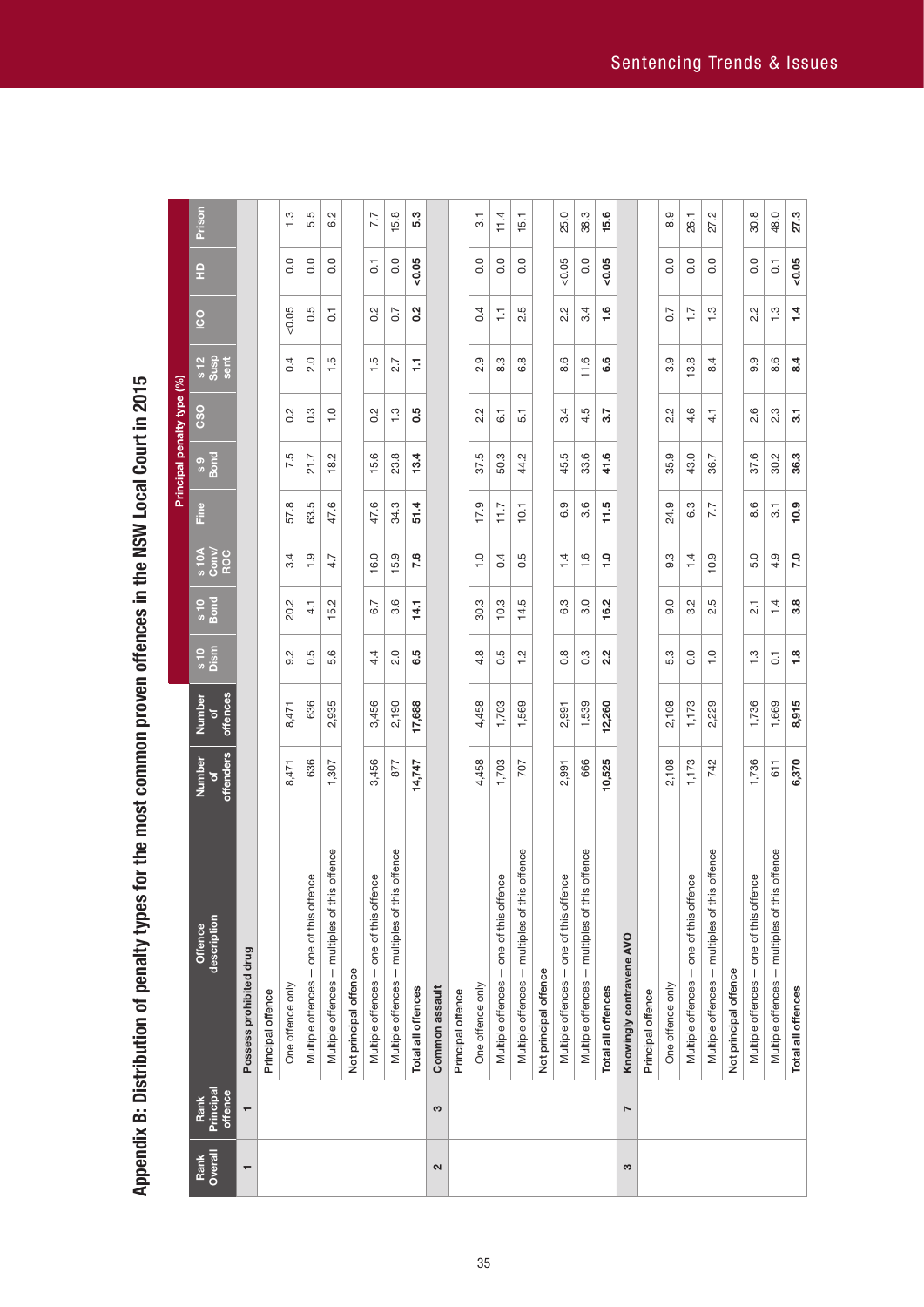Appendix B: Distribution of penalty types for the most common proven offences in the NSW Local Court in 2015 **Appendix B: Distribution of penalty types for the most common proven offences in the NSW Local Court in 2015**

|                 |                              |                                                  |                          |                          |                       |                 |                       |                | Principal penalty type (%) |                  |                        |                |                         |               |
|-----------------|------------------------------|--------------------------------------------------|--------------------------|--------------------------|-----------------------|-----------------|-----------------------|----------------|----------------------------|------------------|------------------------|----------------|-------------------------|---------------|
| Overall<br>Rank | Principal<br>offence<br>Rank | description<br>Offence                           | offenders<br>Number<br>ō | offences<br>Number<br>'ত | Dism<br>$\frac{1}{s}$ | $\frac{10}{10}$ | s 10A<br>Conv/<br>ROC | Line           | s 9<br>Bond                | CSO              | $\frac{12}{3}$<br>sent | <u>co</u>      | 읖                       | Prison        |
| $\mathbf$       | $\overline{\phantom{0}}$     | Possess prohibited drug                          |                          |                          |                       |                 |                       |                |                            |                  |                        |                |                         |               |
|                 |                              | Principal offence                                |                          |                          |                       |                 |                       |                |                            |                  |                        |                |                         |               |
|                 |                              | One offence only                                 | 8,471                    | 8,471                    | 5<br>တ                | 20.2            | 3.4                   | 57.8           | 7.5                        | 0.2              | 0.4                    | 0.05           | 0.0                     | $\frac{3}{2}$ |
|                 |                              | Multiple offences - one of this offence          | 636                      | 636                      | 0.5                   | 4.1             | $\frac{0}{1}$         | 63.5           | 21.7                       | 0.3              | 2.0                    | 0.5            | 0.0                     | 5.5           |
|                 |                              | offence<br>Multiple offences - multiples of this | 1,307                    | 2,935                    | 5.6                   | 5.2             | 4.7                   | 47.6           | 18.2                       | $\frac{0}{1}$    | 1.5                    | $\overline{C}$ | 0.0                     | 6.2           |
|                 |                              | Not principal offence                            |                          |                          |                       |                 |                       |                |                            |                  |                        |                |                         |               |
|                 |                              | Multiple offences - one of this offence          | 3,456                    | 3,456                    | 4.4                   | 6.7             | 16.0                  | 47.6           | 15.6                       | 0.2              | $\ddot{5}$             | 0.2            | $\overline{G}$          | 7.7           |
|                 |                              | offence<br>Multiple offences - multiples of this | 877                      | 2,190                    | 2.0                   | 3.6             | 15.9                  | 34.3           | 23.8                       | $\frac{3}{2}$    | 2.7                    | 0.7            | 0.0                     | 15.8          |
|                 |                              | Total all offences                               | 14,747                   | 17,688                   | 6.5                   | 14.1            | 7.6                   | 51.4           | 13.4                       | 0.5              | Ģ                      | 0.2            | $-0.05$                 | 5.3           |
| 2               | S                            | Common assault                                   |                          |                          |                       |                 |                       |                |                            |                  |                        |                |                         |               |
|                 |                              | Principal offence                                |                          |                          |                       |                 |                       |                |                            |                  |                        |                |                         |               |
|                 |                              | One offence only                                 | 4,458                    | 4,458                    | 4.8                   | 30.3            | $\frac{0}{1}$         | 17.9           | rù.<br>57.                 | 2.2              | Q,<br>2.               | 0.4            | 0.0                     | 3.1           |
|                 |                              | Multiple offences - one of this offence          | 1,703                    | 1,703                    | 0.5                   | 10.3            | 0.4                   | 11.7           | 50.3                       | $\overline{6}$ . | 8.3                    | Ξ              | 0.0                     | 11.4          |
|                 |                              | offence<br>Multiple offences - multiples of this | 707                      | 1,569                    | 1.2                   | 14.5            | 0.5                   | 10.1           | 44.2                       | 5.1              | 6.8                    | 2.5            | 0.0                     | 15.1          |
|                 |                              | Not principal offence                            |                          |                          |                       |                 |                       |                |                            |                  |                        |                |                         |               |
|                 |                              | Multiple offences - one of this offence          | 2,991                    | 2,991                    | $0.\overline{8}$      | 6.3             | 1.4                   | 6.9            | 45.5                       | 3.4              | 8.6                    | 2.2            | 0.05                    | 25.0          |
|                 |                              | offence<br>Multiple offences - multiples of this | 666                      | 1,539                    | 0.3                   | 3.0             | 1.6                   | 3.6            | 33.6                       | 4.5              | 11.6                   | 3.4            | 0.0                     | 38.3          |
|                 |                              | Total all offences                               | 10,525                   | 12,260                   | 2.2                   | 16.2            | $\frac{0}{1}$         | 11.5           | 41.6                       | 3.7              | 6.6                    | $\frac{6}{1}$  | $-0.05$                 | 15.6          |
| S               | $\overline{ }$               | Knowingly contravene AVO                         |                          |                          |                       |                 |                       |                |                            |                  |                        |                |                         |               |
|                 |                              | Principal offence                                |                          |                          |                       |                 |                       |                |                            |                  |                        |                |                         |               |
|                 |                              | One offence only                                 | 2,108                    | 2,108                    | 5.3                   | 0.0             | 9.3                   | 24.9           | 35.9                       | 2.2              | 3.9                    | 0.7            | 0.0                     | 8.9           |
|                 |                              | Multiple offences - one of this offence          | 1,173                    | 1,173                    | $\overline{0}$ .      | 3.2             | 1.4                   | 6.3            | 43.0                       | 4.6              | 3.8                    | $\ddot{ }$ :   | 0.0                     | 26.1          |
|                 |                              | offence<br>Multiple offences - multiples of this | 742                      | 2,229                    | $\frac{0}{1}$         | 2.5             | 10.9                  | 7.7            | 36.7                       | $\frac{1}{4}$    | 8.4                    | $\frac{3}{2}$  | 0.0                     | 27.2          |
|                 |                              | Not principal offence                            |                          |                          |                       |                 |                       |                |                            |                  |                        |                |                         |               |
|                 |                              | Multiple offences - one of this offence          | 1,736                    | 1,736                    | $\ddot{.}$            | $\overline{21}$ | 5.0                   | 8.6            | 37.6                       | 2.6              | 9.9                    | 2.2            | 0.0                     | 30.8          |
|                 |                              | Multiple offences - multiples of this offence    | 611                      | 1,669                    | $\overline{0}$ .      | 1.4             | 4.9                   | $\overline{3}$ | 30.2                       | 2.3              | 8.6                    | $\frac{3}{2}$  | $\overline{\textbf{c}}$ | 48.0          |
|                 |                              | Total all offences                               | 6,370                    | 8,915                    | 1.8                   | 3.8             | 7.0                   | 10.9           | 36.3                       | 31               | 8.4                    | 1.4            | $-0.05$                 | 27.3          |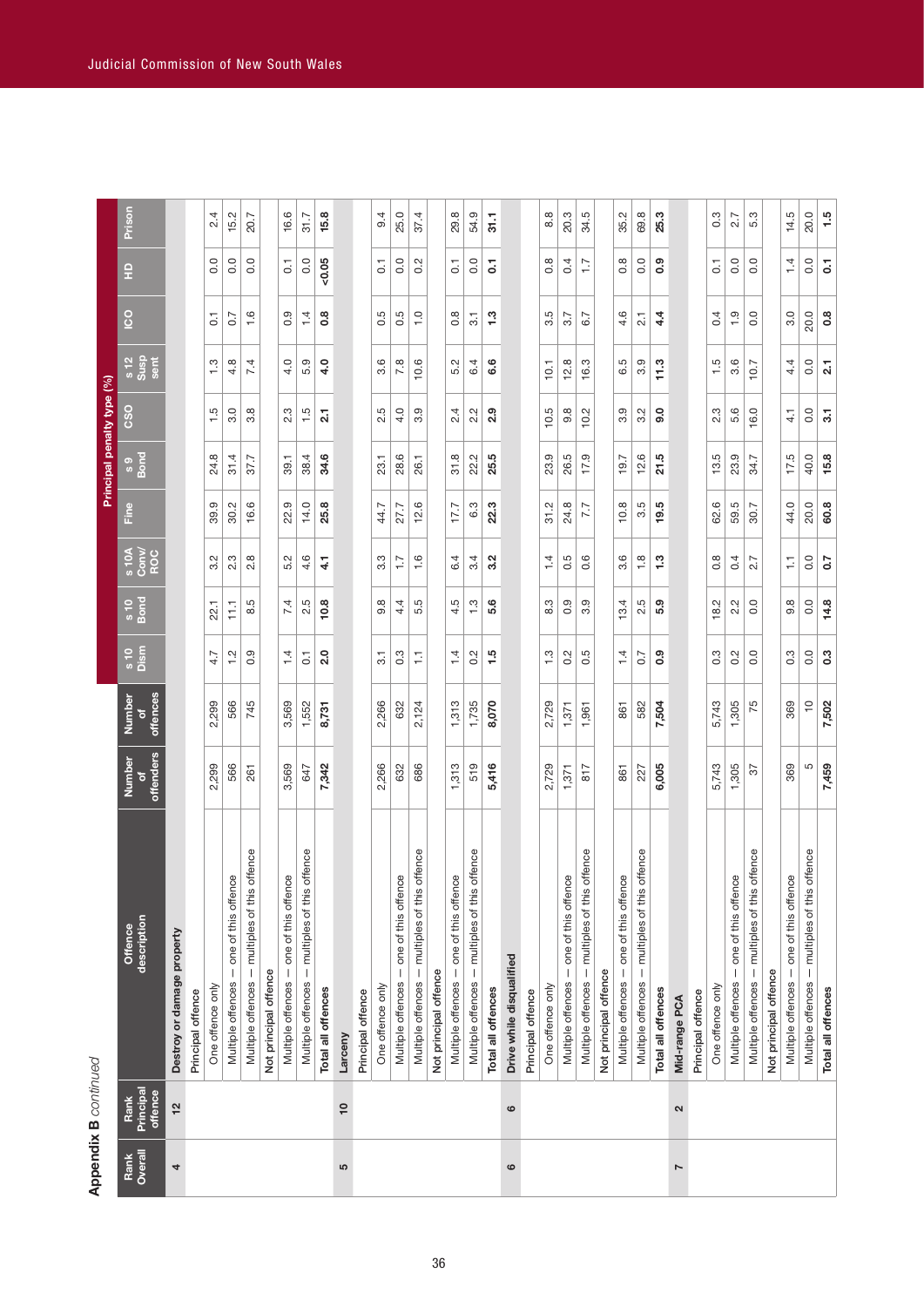|                 |                                   |                                                     |                                |                                          |                |                |                       |      | Principal penalty type (%) |                  |                      |                   |                  |               |
|-----------------|-----------------------------------|-----------------------------------------------------|--------------------------------|------------------------------------------|----------------|----------------|-----------------------|------|----------------------------|------------------|----------------------|-------------------|------------------|---------------|
| Overall<br>Rank | Principal<br>offence<br>Rank      | description<br>Offence                              | offenders<br>Number            | offences<br>Number<br>$\frac{1}{\sigma}$ | s 10<br>Dism   | $\frac{6}{10}$ | s 10A<br>Conv/<br>ROC | Fine | s 9<br>Bond                | င္တိ             | s 12<br>Susp<br>sent | <u>S</u>          | 읖                | Prison        |
| 4               | 12                                | Destroy or damage property                          |                                |                                          |                |                |                       |      |                            |                  |                      |                   |                  |               |
|                 |                                   | Principal offence                                   |                                |                                          |                |                |                       |      |                            |                  |                      |                   |                  |               |
|                 |                                   | One offence only                                    | 299<br>$\overline{\mathsf{N}}$ | 2,299                                    | 4.7            | 22.1           | 3.2                   | 39.9 | 24.8                       | 1.5              | 1.3                  | $\overline{c}$    | 0.0              | 2.4           |
|                 |                                   | Multiple offences - one of this offence             | 566                            | 566                                      | $\frac{2}{1}$  | Ξ              | 2.3                   | 30.2 | 31.4                       | 3.0              | 4.8                  | 0.7               | 0.0              | 15.2          |
|                 |                                   | offence<br>Multiple offences - multiples of this    | 261                            | 745                                      | 0.9            | rú<br>ထံ       | 2.8                   | 16.6 | 37.7                       | 3.8              | $\overline{74}$      | 1.6               | 0.0              | 20.7          |
|                 |                                   | Not principal offence                               |                                |                                          |                |                |                       |      |                            |                  |                      |                   |                  |               |
|                 |                                   | one of this offence<br>Multiple offences -          | 3,569                          | 3,569                                    | 1.4            | 7.4            | 5.2                   | 22.9 | 39.1                       | 2.3              | 4.0                  | တ<br>ö            | $\overline{0}$ . | 16.6          |
|                 |                                   | Multiple offences - multiples of this offence       | 647                            | 1,552                                    | $\overline{0}$ | rú<br>2.       | 4.6                   | 14.0 | 38.4                       | 1.5              | 5.9                  | 1.4               | 0.0              | <b>S1.7</b>   |
|                 |                                   | Total all offences                                  | 7,342                          | 8,731                                    | 2.0            | 10.8           | 4.1                   | 25.8 | 34.6                       | $\overline{a}$   | 4.0                  | $\frac{8}{1}$     | $-0.05$          | 15.8          |
| 5               | $\mathop{^{\mathsf{Q}}}\nolimits$ | Larceny                                             |                                |                                          |                |                |                       |      |                            |                  |                      |                   |                  |               |
|                 |                                   | Principal offence                                   |                                |                                          |                |                |                       |      |                            |                  |                      |                   |                  |               |
|                 |                                   | One offence only                                    | 2,266                          | 2,266                                    | $\overline{3}$ | 9.8            | $3.\overline{3}$      | 44.7 | 23.1                       | 2.5              | 3.6                  | Ю<br>ö            | 5                | 9.4           |
|                 |                                   | Multiple offences - one of this offence             | 632                            | 632                                      | 0.3            | 4.4            | $\overline{1.7}$      | 27.7 | 28.6                       | 4.0              | 7.8                  | 0.5               | 0.0              | 25.0          |
|                 |                                   | offence<br>Multiple offences - multiples of this    | 686                            | 2,124                                    | H              | 5.5            | 1.6                   | 12.6 | 26.1                       | 3.9              | 10.6                 | $\overline{1}$ .0 | 0.2              | 37.4          |
|                 |                                   | Not principal offence                               |                                |                                          |                |                |                       |      |                            |                  |                      |                   |                  |               |
|                 |                                   | one of this offence<br>Multiple offences -          | 313                            | 1,313                                    | $\frac{1}{4}$  | rú<br>4.       | 6.4                   | 17.7 | 31.8                       | 2.4              | 5<br>ທ່              | $\infty$<br>ö     | $\overline{c}$   | 29.8          |
|                 |                                   | offence<br>- multiples of this<br>Multiple offences | 519                            | 1,735                                    | 0.2            | $\frac{3}{1}$  | 3.4                   | 6.3  | 22.2                       | 2.2              | 6.4                  | $\overline{3}$ .  | 0.0              | 54.9          |
|                 |                                   | Total all offences                                  | 5,416                          | 8,070                                    | $\frac{5}{1}$  | 5.6            | 3.2                   | 22.3 | 25.5                       | 2.9              | 6.6                  | 1.3               | 5                | $\frac{1}{5}$ |
| ဖ               | $\circ$                           | Drive while disqualified                            |                                |                                          |                |                |                       |      |                            |                  |                      |                   |                  |               |
|                 |                                   | Principal offence                                   |                                |                                          |                |                |                       |      |                            |                  |                      |                   |                  |               |
|                 |                                   | One offence only                                    | 2,729                          | 2,729                                    | $\frac{3}{2}$  | 8.3            | 1.4                   | 31.2 | 23.9                       | 10.5             | 10.1                 | 5<br>က            | $0.\overline{8}$ | 8.8           |
|                 |                                   | Multiple offences - one of this offence             | 1,371                          | 1,371                                    | 0.2            | 0.9            | 0.5                   | 24.8 | 26.5                       | $9.\overline{8}$ | 12.8                 | 3.7               | 0.4              | 20.3          |
|                 |                                   | Multiple offences - multiples of this offence       | 817                            | 1,961                                    | 0.5            | 3.9            | 0.6                   | 7.7  | 17.9                       | 10.2             | 16.3                 | 6.7               | $\overline{1}$ : | 34.5          |
|                 |                                   | Not principal offence                               |                                |                                          |                |                |                       |      |                            |                  |                      |                   |                  |               |
|                 |                                   | Multiple offences - one of this offence             | 861                            | 861                                      | 1.4            | 13.4           | $3.\overline{6}$      | 10.8 | 19.7                       | 3.9              | 6.5                  | 4.6               | $0.\overline{8}$ | 35.2          |
|                 |                                   | offence<br>Multiple offences - multiples of this    | 227                            | 582                                      | 0.7            | r.<br>2.       | 1.8                   | 3.5  | 12.6                       | 3.2              | $3.\overline{9}$     | $\overline{2}$    | 0.0              | 69.8          |
|                 |                                   | Total all offences                                  | 6,005                          | 7,504                                    | 0.9            | 5.9            | 1.3                   | 19.5 | 21.5                       | 9.0              | 11.3                 | $4\overline{4}$   | 0.9              | 25.3          |
| Ņ               | 2                                 | Mid-range PCA                                       |                                |                                          |                |                |                       |      |                            |                  |                      |                   |                  |               |
|                 |                                   | Principal offence                                   |                                |                                          |                |                |                       |      |                            |                  |                      |                   |                  |               |
|                 |                                   | One offence only                                    | 5,743                          | 5,743                                    | 0.3            | 18.2           | $0.\overline{8}$      | 62.6 | 13.5                       | 2.3              | 1.5                  | 0.4               | $\overline{0}$   | 0.3           |
|                 |                                   | one of this offence<br>$\vert$<br>Multiple offences | 1,305                          | 1,305                                    | 0.2            | 2.2            | 0.4                   | 59.5 | 23.9                       | 5.6              | 3.6                  | 0.1               | 0.0              | 2.7           |
|                 |                                   | offence<br>multiples of this<br>Multiple offences   | 57                             | 75                                       | $\overline{0}$ | 0.0            | 2.7                   | 30.7 | 34.7                       | 16.0             | 10.7                 | 0.0               | 0.0              | 5.3           |
|                 |                                   | Not principal offence                               |                                |                                          |                |                |                       |      |                            |                  |                      |                   |                  |               |
|                 |                                   | Multiple offences - one of this offence             | 369                            | 369                                      | 0.3            | 9.8            | Ξ                     | 44.0 | 17.5                       | $\vec{4}$        | 4.4                  | 3.0               | 1.4              | 14.5          |
|                 |                                   | offence<br>Multiple offences - multiples of this    | 5                              | $\overline{C}$                           | 0.0            | 0.0            | 0.0                   | 20.0 | 40.0                       | 0.0              | 0.0                  | 20.0              | 0.0              | 20.0          |
|                 |                                   | Total all offences                                  | 7,459                          | 7,502                                    | 0.3            | 14.8           | $\sim$                | 60.8 | 15.8                       | $\overline{3}$   | $\overline{2}$ .     | 0.8               | $\overline{c}$   | 1.5           |
|                 |                                   |                                                     |                                |                                          |                |                |                       |      |                            |                  |                      |                   |                  |               |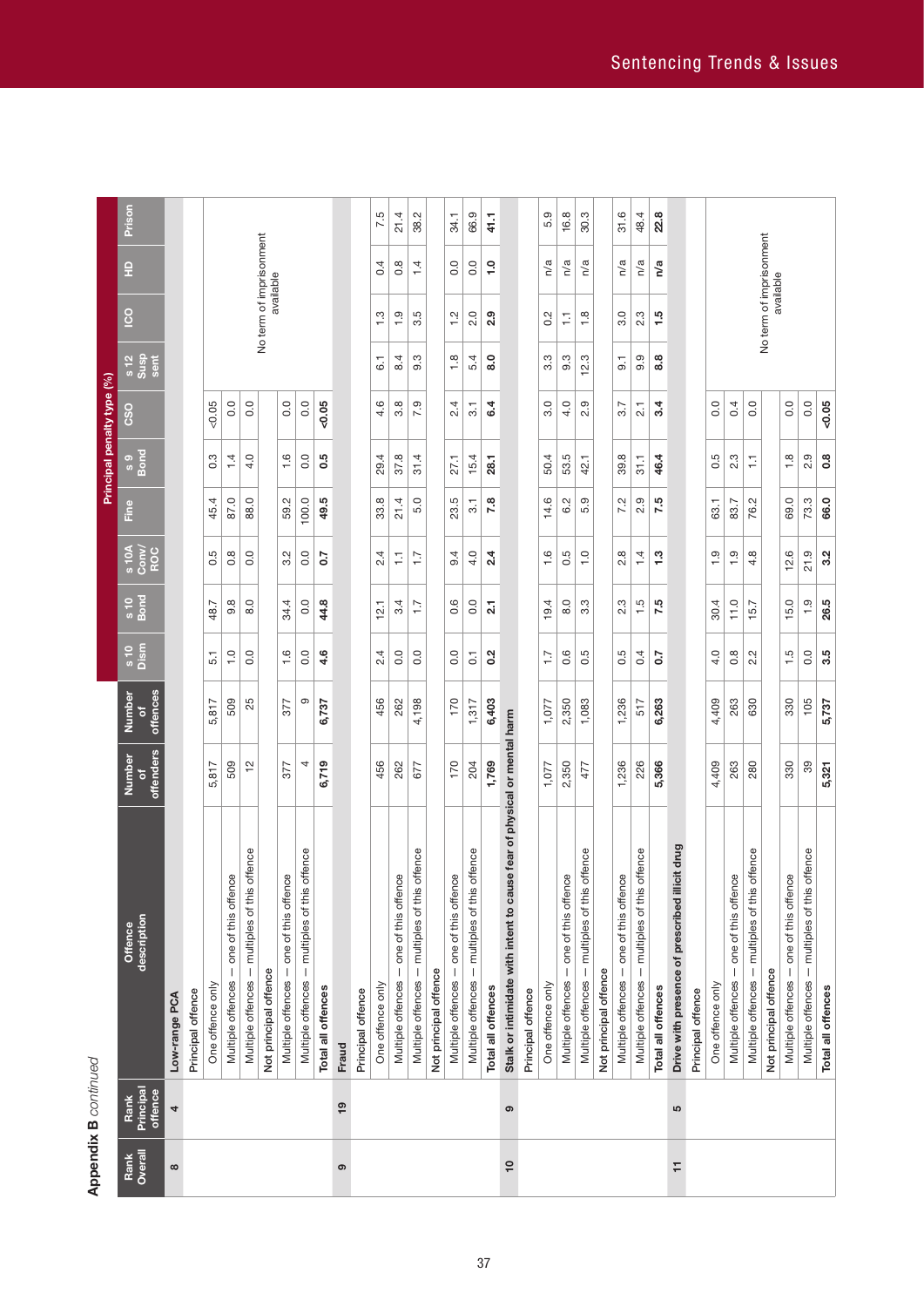# **Appendix B** continued **Appendix B** *continued*

| Drive with presence of prescribed illicit drug<br>Multiple offences - multiples of this offence<br>Multiple offences - multiples of this offence<br>Multiple offences - multiples of this offence<br>Multiple offences - multiples of this offence<br>Multiple offences - one of this offence<br>Multiple offences - multiples of this of<br>Multiple offences - one of this offence<br>Multiple offences - multiples of this off<br>Multiple offences - one of this offence<br>one of this offence<br>Stalk or intimidate with intent to cause<br>Multiple offences - one of this offence<br>Multiple offences - multiples of this off<br>one of this offence<br>Multiple offences - one of this offence<br>- multiples of this off<br>Multiple offences - one of this offence<br>description<br>Offence<br>Multiple offences -<br>Multiple offences -<br>Not principal offence<br>Not principal offence<br>Not principal offence<br>Not principal offence<br>Multiple offences<br>One offence only<br>One offence only<br>One offence only<br>One offence only<br>Total all offences<br>Total all offences<br>Total all offences<br>Principal offence<br>Principal offence<br>Principal offence<br>Principal offence<br>Low-range PCA<br>Fraud<br>Principal<br>offence<br>Rank<br>$\frac{1}{2}$<br>4<br>ၜ<br>5<br>Overall<br>Rank<br>$\frac{1}{2}$<br>F<br>$\infty$<br>ၜ |                                 |                     |                         |                 |                        |                                    |                           |                  | Principal penalty type (%) |                      |                                      |                  |        |
|----------------------------------------------------------------------------------------------------------------------------------------------------------------------------------------------------------------------------------------------------------------------------------------------------------------------------------------------------------------------------------------------------------------------------------------------------------------------------------------------------------------------------------------------------------------------------------------------------------------------------------------------------------------------------------------------------------------------------------------------------------------------------------------------------------------------------------------------------------------------------------------------------------------------------------------------------------------------------------------------------------------------------------------------------------------------------------------------------------------------------------------------------------------------------------------------------------------------------------------------------------------------------------------------------------------------------------------------------------------------------|---------------------------------|---------------------|-------------------------|-----------------|------------------------|------------------------------------|---------------------------|------------------|----------------------------|----------------------|--------------------------------------|------------------|--------|
|                                                                                                                                                                                                                                                                                                                                                                                                                                                                                                                                                                                                                                                                                                                                                                                                                                                                                                                                                                                                                                                                                                                                                                                                                                                                                                                                                                            |                                 | offenders<br>Number | offences<br>Number<br>đ | s 10<br>Dism    | $\frac{6}{10}$<br>Bond | $\frac{100 \text{ N}}{\text{ROC}}$ | Ě                         | s 9<br>Bond      | င္တိ                       | s 12<br>Susp<br>sent | $\overline{c}$                       | 읖                | Prison |
|                                                                                                                                                                                                                                                                                                                                                                                                                                                                                                                                                                                                                                                                                                                                                                                                                                                                                                                                                                                                                                                                                                                                                                                                                                                                                                                                                                            |                                 |                     |                         |                 |                        |                                    |                           |                  |                            |                      |                                      |                  |        |
|                                                                                                                                                                                                                                                                                                                                                                                                                                                                                                                                                                                                                                                                                                                                                                                                                                                                                                                                                                                                                                                                                                                                                                                                                                                                                                                                                                            |                                 |                     |                         |                 |                        |                                    |                           |                  |                            |                      |                                      |                  |        |
|                                                                                                                                                                                                                                                                                                                                                                                                                                                                                                                                                                                                                                                                                                                                                                                                                                                                                                                                                                                                                                                                                                                                                                                                                                                                                                                                                                            |                                 | 5,817               | 5,817                   | $\overline{51}$ | 48.7                   | 0.5                                | 45.4                      | $0.\overline{3}$ | &0.05                      |                      |                                      |                  |        |
|                                                                                                                                                                                                                                                                                                                                                                                                                                                                                                                                                                                                                                                                                                                                                                                                                                                                                                                                                                                                                                                                                                                                                                                                                                                                                                                                                                            |                                 | 509                 | 509                     | $\frac{0}{1}$   | $9.\overline{8}$       | $0.\overline{8}$                   | 87.0                      | 1.4              | 0.0                        |                      |                                      |                  |        |
|                                                                                                                                                                                                                                                                                                                                                                                                                                                                                                                                                                                                                                                                                                                                                                                                                                                                                                                                                                                                                                                                                                                                                                                                                                                                                                                                                                            | fence                           | 은                   | 25                      | 0.0             | 8.0                    | 0.0                                | 88.0                      | 4.0              | 0.0                        |                      |                                      |                  |        |
|                                                                                                                                                                                                                                                                                                                                                                                                                                                                                                                                                                                                                                                                                                                                                                                                                                                                                                                                                                                                                                                                                                                                                                                                                                                                                                                                                                            |                                 |                     |                         |                 |                        |                                    |                           |                  |                            |                      | No term of imprisonment<br>available |                  |        |
|                                                                                                                                                                                                                                                                                                                                                                                                                                                                                                                                                                                                                                                                                                                                                                                                                                                                                                                                                                                                                                                                                                                                                                                                                                                                                                                                                                            |                                 | 377                 | 377                     | $\frac{6}{1}$   | 34.4                   | 3.2                                | 59.2                      | 1.6              | 0.0                        |                      |                                      |                  |        |
|                                                                                                                                                                                                                                                                                                                                                                                                                                                                                                                                                                                                                                                                                                                                                                                                                                                                                                                                                                                                                                                                                                                                                                                                                                                                                                                                                                            | fence                           | 4                   | တ                       | $\overline{0}$  | 0.0                    | 0.0                                | 100.0                     | 0.0              | 0.0                        |                      |                                      |                  |        |
|                                                                                                                                                                                                                                                                                                                                                                                                                                                                                                                                                                                                                                                                                                                                                                                                                                                                                                                                                                                                                                                                                                                                                                                                                                                                                                                                                                            |                                 | 6,719               | 6,737                   | 4.6             | 44.8                   | 20                                 | 49.5                      | 0.5              | 0.05                       |                      |                                      |                  |        |
|                                                                                                                                                                                                                                                                                                                                                                                                                                                                                                                                                                                                                                                                                                                                                                                                                                                                                                                                                                                                                                                                                                                                                                                                                                                                                                                                                                            |                                 |                     |                         |                 |                        |                                    |                           |                  |                            |                      |                                      |                  |        |
|                                                                                                                                                                                                                                                                                                                                                                                                                                                                                                                                                                                                                                                                                                                                                                                                                                                                                                                                                                                                                                                                                                                                                                                                                                                                                                                                                                            |                                 |                     |                         |                 |                        |                                    |                           |                  |                            |                      |                                      |                  |        |
|                                                                                                                                                                                                                                                                                                                                                                                                                                                                                                                                                                                                                                                                                                                                                                                                                                                                                                                                                                                                                                                                                                                                                                                                                                                                                                                                                                            |                                 | 456                 | 456                     | 2.4             | 12.1                   | 2.4                                | 33.8                      | 29.4             | 4.6                        | $\overline{6}$       | $\frac{3}{1}$                        | 0.4              | 7.5    |
|                                                                                                                                                                                                                                                                                                                                                                                                                                                                                                                                                                                                                                                                                                                                                                                                                                                                                                                                                                                                                                                                                                                                                                                                                                                                                                                                                                            |                                 | 262                 | 262                     | 0.0             | 3.4                    | Ξ                                  | 21.4                      | 37.8             | $3.\overline{8}$           | 8.4                  | $\frac{0}{1}$                        | $0.\overline{8}$ | 21.4   |
|                                                                                                                                                                                                                                                                                                                                                                                                                                                                                                                                                                                                                                                                                                                                                                                                                                                                                                                                                                                                                                                                                                                                                                                                                                                                                                                                                                            |                                 | 677                 | 4,198                   | $\overline{0}$  | $\ddot{ }$ :           | ζĻ                                 | 5.0                       | 31.4             | 7.9                        | 9.3                  | 3.5                                  | 1.4              | 38.2   |
|                                                                                                                                                                                                                                                                                                                                                                                                                                                                                                                                                                                                                                                                                                                                                                                                                                                                                                                                                                                                                                                                                                                                                                                                                                                                                                                                                                            |                                 |                     |                         |                 |                        |                                    |                           |                  |                            |                      |                                      |                  |        |
|                                                                                                                                                                                                                                                                                                                                                                                                                                                                                                                                                                                                                                                                                                                                                                                                                                                                                                                                                                                                                                                                                                                                                                                                                                                                                                                                                                            |                                 | 170                 | 170                     | $\rm ^{0}$      | 0.6                    | 9.4                                | 23.5                      | 27.1             | 2.4                        | $\frac{8}{1}$        | $\frac{2}{1}$                        | $\overline{0}$ . | 34.1   |
|                                                                                                                                                                                                                                                                                                                                                                                                                                                                                                                                                                                                                                                                                                                                                                                                                                                                                                                                                                                                                                                                                                                                                                                                                                                                                                                                                                            |                                 | 204                 | 1,317                   | $\overline{0}$  | 0.0                    | 4.0                                | $\overline{\mathbf{3}}$ . | 15.4             | $\overline{3}$ .           | 5.4                  | 2.0                                  | 0.0              | 66.9   |
|                                                                                                                                                                                                                                                                                                                                                                                                                                                                                                                                                                                                                                                                                                                                                                                                                                                                                                                                                                                                                                                                                                                                                                                                                                                                                                                                                                            |                                 | 1,769               | 6,403                   | 0.2             | $\overline{21}$        | 24                                 | 7.8                       | 28.1             | 6.4                        | 8.0                  | 2.9                                  | $\ddot{ }$ .     | 41.1   |
|                                                                                                                                                                                                                                                                                                                                                                                                                                                                                                                                                                                                                                                                                                                                                                                                                                                                                                                                                                                                                                                                                                                                                                                                                                                                                                                                                                            | fear of physical or mental harm |                     |                         |                 |                        |                                    |                           |                  |                            |                      |                                      |                  |        |
|                                                                                                                                                                                                                                                                                                                                                                                                                                                                                                                                                                                                                                                                                                                                                                                                                                                                                                                                                                                                                                                                                                                                                                                                                                                                                                                                                                            |                                 |                     |                         |                 |                        |                                    |                           |                  |                            |                      |                                      |                  |        |
|                                                                                                                                                                                                                                                                                                                                                                                                                                                                                                                                                                                                                                                                                                                                                                                                                                                                                                                                                                                                                                                                                                                                                                                                                                                                                                                                                                            |                                 | 1,077               | 1,077                   | $\ddot{ }$ :    | 19.4                   | $\frac{6}{1}$                      | 14.6                      | 50.4             | 3.0                        | 3.3                  | 0.2                                  | n/a              | 5.9    |
|                                                                                                                                                                                                                                                                                                                                                                                                                                                                                                                                                                                                                                                                                                                                                                                                                                                                                                                                                                                                                                                                                                                                                                                                                                                                                                                                                                            |                                 | 2,350               | 2,350                   | 0.6             | 8.0                    | 0.5                                | 6.2                       | 53.5             | 4.0                        | 9.3                  | Ξ                                    | n/a              | 16.8   |
|                                                                                                                                                                                                                                                                                                                                                                                                                                                                                                                                                                                                                                                                                                                                                                                                                                                                                                                                                                                                                                                                                                                                                                                                                                                                                                                                                                            | fence                           | 477                 | 1,083                   | 0.5             | 3.3                    | $\frac{0}{1}$                      | 5.9                       | 42.1             | တ<br>2.                    | 12.3                 | 1.8                                  | n/a              | 30.3   |
|                                                                                                                                                                                                                                                                                                                                                                                                                                                                                                                                                                                                                                                                                                                                                                                                                                                                                                                                                                                                                                                                                                                                                                                                                                                                                                                                                                            |                                 |                     |                         |                 |                        |                                    |                           |                  |                            |                      |                                      |                  |        |
|                                                                                                                                                                                                                                                                                                                                                                                                                                                                                                                                                                                                                                                                                                                                                                                                                                                                                                                                                                                                                                                                                                                                                                                                                                                                                                                                                                            |                                 | 1,236               | 1,236                   | 0.5             | 2.3                    | 2.8                                | 7.2                       | 39.8             | 3.7                        | 5.1                  | 3.0                                  | n/a              | 31.6   |
|                                                                                                                                                                                                                                                                                                                                                                                                                                                                                                                                                                                                                                                                                                                                                                                                                                                                                                                                                                                                                                                                                                                                                                                                                                                                                                                                                                            |                                 | 226                 | 517                     | 0.4             | $\ddot{5}$             | $\ddot{4}$                         | 2.9                       | $\frac{1}{5}$    | $\overline{2}$ .           | 9.9                  | 2.3                                  | n/a              | 48.4   |
|                                                                                                                                                                                                                                                                                                                                                                                                                                                                                                                                                                                                                                                                                                                                                                                                                                                                                                                                                                                                                                                                                                                                                                                                                                                                                                                                                                            |                                 | 5,366               | 6,263                   | $\overline{0}$  | 7.5                    | 1.3                                | 7.5                       | 46.4             | 3.4                        | 8.8                  | 1.5                                  | n/a              | 22.8   |
|                                                                                                                                                                                                                                                                                                                                                                                                                                                                                                                                                                                                                                                                                                                                                                                                                                                                                                                                                                                                                                                                                                                                                                                                                                                                                                                                                                            |                                 |                     |                         |                 |                        |                                    |                           |                  |                            |                      |                                      |                  |        |
|                                                                                                                                                                                                                                                                                                                                                                                                                                                                                                                                                                                                                                                                                                                                                                                                                                                                                                                                                                                                                                                                                                                                                                                                                                                                                                                                                                            |                                 |                     |                         |                 |                        |                                    |                           |                  |                            |                      |                                      |                  |        |
|                                                                                                                                                                                                                                                                                                                                                                                                                                                                                                                                                                                                                                                                                                                                                                                                                                                                                                                                                                                                                                                                                                                                                                                                                                                                                                                                                                            |                                 | 4,409               | 4,409                   | 4.0             | 30.4                   | $\frac{0}{1}$                      | 63.1                      | 0.5              | 0.0                        |                      |                                      |                  |        |
|                                                                                                                                                                                                                                                                                                                                                                                                                                                                                                                                                                                                                                                                                                                                                                                                                                                                                                                                                                                                                                                                                                                                                                                                                                                                                                                                                                            |                                 | 263                 | 263                     | 0.8             | 11.0                   | $\frac{0}{1}$                      | 83.7                      | 2.3              | 0.4                        |                      |                                      |                  |        |
|                                                                                                                                                                                                                                                                                                                                                                                                                                                                                                                                                                                                                                                                                                                                                                                                                                                                                                                                                                                                                                                                                                                                                                                                                                                                                                                                                                            | fence                           | 280                 | 630                     | 2.2             | 15.7                   | 4.8                                | 76.2                      | H                | 0.0                        |                      |                                      |                  |        |
|                                                                                                                                                                                                                                                                                                                                                                                                                                                                                                                                                                                                                                                                                                                                                                                                                                                                                                                                                                                                                                                                                                                                                                                                                                                                                                                                                                            |                                 |                     |                         |                 |                        |                                    |                           |                  |                            |                      | No term of imprisonment<br>available |                  |        |
|                                                                                                                                                                                                                                                                                                                                                                                                                                                                                                                                                                                                                                                                                                                                                                                                                                                                                                                                                                                                                                                                                                                                                                                                                                                                                                                                                                            |                                 | 330                 | 330                     | $\frac{5}{1}$   | 15.0                   | 12.6                               | 69.0                      | $\frac{8}{1}$    | 0.0                        |                      |                                      |                  |        |
|                                                                                                                                                                                                                                                                                                                                                                                                                                                                                                                                                                                                                                                                                                                                                                                                                                                                                                                                                                                                                                                                                                                                                                                                                                                                                                                                                                            |                                 | 39                  | 105                     | $\overline{0}$  | $\frac{0}{1}$          | 21.9                               | 73.3                      | 2.9              | 0.0                        |                      |                                      |                  |        |
| Total all offences                                                                                                                                                                                                                                                                                                                                                                                                                                                                                                                                                                                                                                                                                                                                                                                                                                                                                                                                                                                                                                                                                                                                                                                                                                                                                                                                                         |                                 | 5,321               | 5,737                   | 3.5             | 26.5                   | 3.2                                | 66.0                      | $\frac{8}{1}$    | 0.05                       |                      |                                      |                  |        |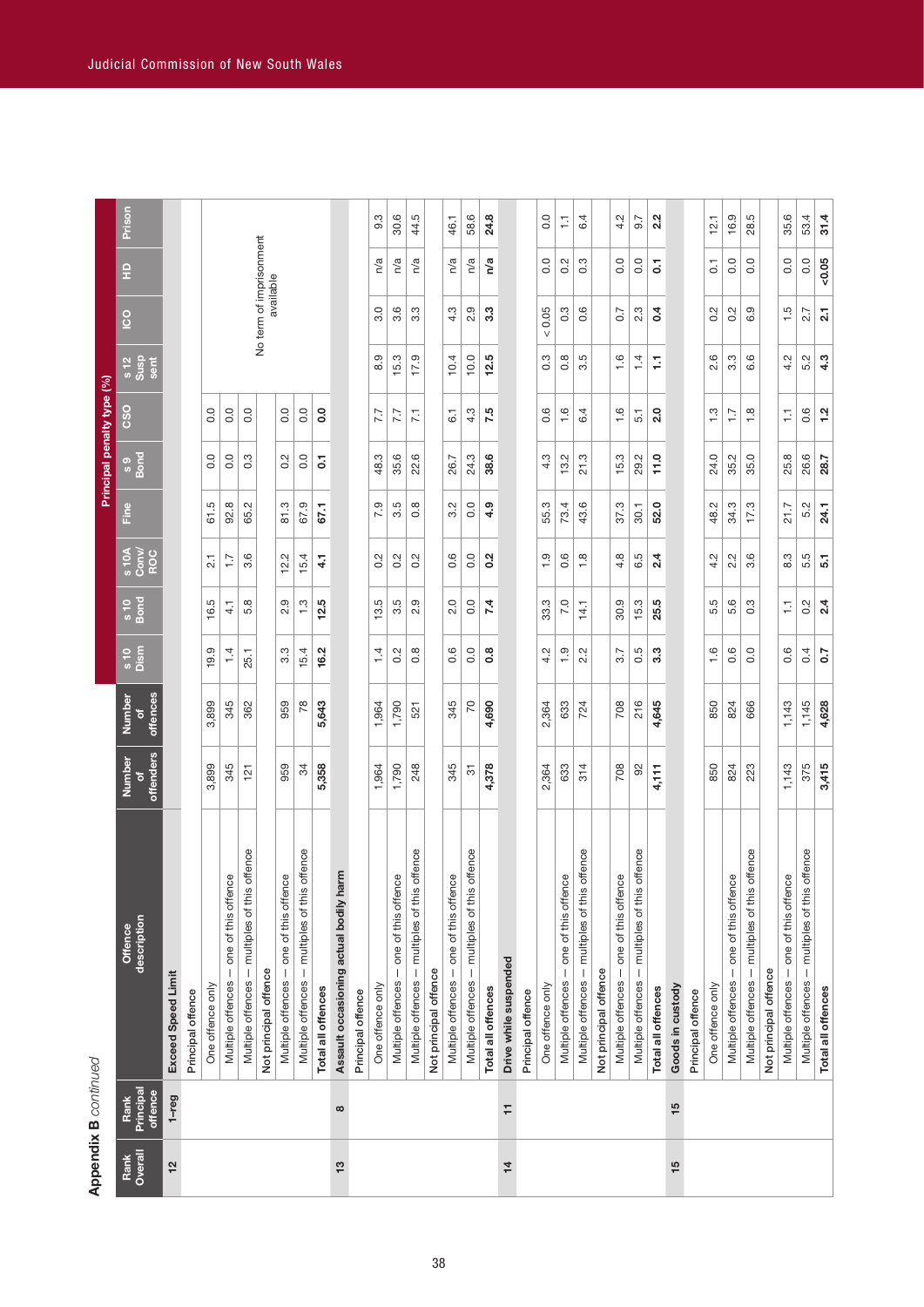| Overall<br>Rank<br>12 |                              |                                                     |                     |                                               |                              |                                   |                    |                  | Principal penalty type (%) |                  |                      |                         |                |        |
|-----------------------|------------------------------|-----------------------------------------------------|---------------------|-----------------------------------------------|------------------------------|-----------------------------------|--------------------|------------------|----------------------------|------------------|----------------------|-------------------------|----------------|--------|
|                       | Principal<br>offence<br>Rank | description<br>Offence                              | offenders<br>Number | offences<br>Number<br>$\overline{\mathbf{o}}$ | s 10<br>Dism                 | $\frac{6}{10}$ or $\frac{10}{10}$ | $\frac{10A}{1000}$ | Fine             | s 9<br>Bond                | CSO              | s 12<br>Susp<br>sent | So                      | 읖              | Prison |
|                       | $1 - r$ eg                   | <b>Exceed Speed Limit</b>                           |                     |                                               |                              |                                   |                    |                  |                            |                  |                      |                         |                |        |
|                       |                              | Principal offence                                   |                     |                                               |                              |                                   |                    |                  |                            |                  |                      |                         |                |        |
|                       |                              | One offence only                                    | 3,899               | 3,899                                         | 19.9                         | 16.5                              | $\overline{2.1}$   | 61.5             | 0.0                        | 0.0              |                      |                         |                |        |
|                       |                              | Multiple offences - one of this offence             | 345                 | 345                                           | 1.4                          | $\frac{1}{4}$                     | $\overline{1}$ :   | 92.8             | 0.0                        | 0.0              |                      |                         |                |        |
|                       |                              | offence<br>Multiple offences - multiples of this    | 121                 | 362                                           | 25.1                         | 5.8                               | 3.6                | 65.2             | 0.3                        | 0.0              |                      |                         |                |        |
|                       |                              | Not principal offence                               |                     |                                               |                              |                                   |                    |                  |                            |                  |                      | No term of imprisonment | available      |        |
|                       |                              | Multiple offences - one of this offence             | 959                 | 959                                           | $3.\overline{3}$             | 2.9                               | 12.2               | 81.3             | 0.2                        | 0.0              |                      |                         |                |        |
|                       |                              | offence<br>Multiple offences - multiples of this    | 34                  | 78                                            | 15.4                         | $\frac{3}{2}$                     | 15.4               | 67.9             | 0.0                        | 0.0              |                      |                         |                |        |
|                       |                              | Total all offences                                  | 5,358               | 5,643                                         | 16.2                         | 12.5                              | 14                 | 67.1             | 5                          | $\overline{0}$   |                      |                         |                |        |
| $\frac{3}{2}$         | œ                            | Assault occasioning actual bodily harm              |                     |                                               |                              |                                   |                    |                  |                            |                  |                      |                         |                |        |
|                       |                              | Principal offence                                   |                     |                                               |                              |                                   |                    |                  |                            |                  |                      |                         |                |        |
|                       |                              | One offence only                                    | 1,964               | 1,964                                         | $\ddot{ }$                   | 13.5                              | 0.2                | 7.9              | 48.3                       | 7.7              | $\frac{0}{8}$        | 3.0                     | n/a            | 9.3    |
|                       |                              | Multiple offences - one of this offence             | 1,790               | 1,790                                         | 0.2                          | $3.\overline{5}$                  | 0.2                | 3.5              | 35.6                       | 7.7              | 15.3                 | 3.6                     | n/a            | 30.6   |
|                       |                              | offence<br>Multiple offences - multiples of this    | 248                 | 521                                           | $0.\overline{8}$             | 2.9                               | $0.\overline{2}$   | $0.\overline{8}$ | 22.6                       | $\overline{7.1}$ | 17.9                 | $3.\overline{3}$        | n/a            | 44.5   |
|                       |                              | Not principal offence                               |                     |                                               |                              |                                   |                    |                  |                            |                  |                      |                         |                |        |
|                       |                              | e9<br>one of this offen<br>Multiple offences        | 345                 | 345                                           | 0.6                          | $\frac{0}{2}$                     | 0.6                | 3.2              | 26.7                       | $\overline{6}$   | 10.4                 | 4.3                     | n/a            | 46.1   |
|                       |                              | offence<br>- multiples of this<br>Multiple offences | 5                   | 20                                            | 0.0                          | 0.0                               | 0.0                | $\overline{0}$ . | 24.3                       | 4.3              | 10.0                 | 2.9                     | n/a            | 58.6   |
|                       |                              | Total all offences                                  | 4,378               | 4,690                                         | $0.\overline{8}$             | 7.4                               | 0.2                | 4.9              | 38.6                       | 7.5              | 12.5                 | 3.3                     | n/a            | 24.8   |
| $\frac{1}{4}$         | H                            | Drive while suspended                               |                     |                                               |                              |                                   |                    |                  |                            |                  |                      |                         |                |        |
|                       |                              | Principal offence                                   |                     |                                               |                              |                                   |                    |                  |                            |                  |                      |                         |                |        |
|                       |                              | One offence only                                    | 2,364               | 2,364                                         | 4.2                          | 33.3                              | $\frac{0}{1}$      | 55.3             | 4.3                        | 0.6              | $\frac{3}{2}$        | 0.05                    | 0.0            | 0.0    |
|                       |                              | - one of this offence<br>Multiple offences          | 633                 | 633                                           | 1.9                          | 7.0                               | 0.6                | 73.4             | 13.2                       | 1.6              | $0.\overline{8}$     | 0.3                     | 0.2            | H      |
|                       |                              | offence<br>Multiple offences - multiples of this    | 314                 | 724                                           | Ņ<br>$\overline{\mathbf{C}}$ | 14.1                              | 1.8                | 43.6             | 21.3                       | 6.4              | r.<br>က              | 0.6                     | 0.3            | 4<br>ق |
|                       |                              | Not principal offence                               |                     |                                               |                              |                                   |                    |                  |                            |                  |                      |                         |                |        |
|                       |                              | e9<br>Multiple offences - one of this offen         | 708                 | 708                                           | 3.7                          | 30.9                              | 4.8                | 37.3             | 15.3                       | 1.6              | $\frac{6}{1}$        | 0.7                     | 0.0            | 4.2    |
|                       |                              | offence<br>Multiple offences - multiples of this    | 92                  | 216                                           | 0.5                          | 15.3                              | 6.5                | 30.1             | 29.2                       | 5.1              | $\overline{4}$       | 2.3                     | 0.0            | $-6.7$ |
|                       |                              | Total all offences                                  | 4,111               | 4,645                                         | 3.3                          | 25.5                              | 2.4                | 52.0             | 11.0                       | 2.0              | Ş                    | 0.4                     | $\overline{0}$ | 2.2    |
| 15                    | 15                           | Goods in custody                                    |                     |                                               |                              |                                   |                    |                  |                            |                  |                      |                         |                |        |
|                       |                              | Principal offence                                   |                     |                                               |                              |                                   |                    |                  |                            |                  |                      |                         |                |        |
|                       |                              | One offence only                                    | 850                 | 850                                           | $\frac{6}{1}$                | 5.5                               | 4.2                | 48.2             | 24.0                       | $\frac{3}{2}$    | 2.6                  | 0.2                     | $\overline{0}$ | 12.1   |
|                       |                              | one of this offence<br>$\vert$<br>Multiple offences | 824                 | 824                                           | $0.\overline{6}$             | 5.6                               | $\sim$<br>2.       | 34.3             | 35.2                       | $\ddot{ }$ :     | $3.\overline{3}$     | 0.2                     | 0.0            | 16.9   |
|                       |                              | offence<br>multiples of this<br>Multiple offences - | 223                 | 666                                           | 0.0                          | 0.3                               | $\circ$<br>က       | 17.3             | 35.0                       | 1.8              | 6.6                  | 6.9                     | 0.0            | 28.5   |
|                       |                              | Not principal offence                               |                     |                                               |                              |                                   |                    |                  |                            |                  |                      |                         |                |        |
|                       |                              | e9<br>Multiple offences - one of this offen         | 1,143               | 1,143                                         | 0.6                          | Ų                                 | 8.3                | 21.7             | 25.8                       | Ξ                | 4.2                  | 1.5                     | 0.0            | 35.6   |
|                       |                              | offence<br>Multiple offences - multiples of this    | 375                 | 1,145                                         | 0.4                          | 0.2                               | 5.5                | 5.2              | 26.6                       | 0.6              | 5.2                  | 2.7                     | 0.0            | 53.4   |
|                       |                              | Total all offences                                  | 3,415               | 4,628                                         | $\overline{0}$               | 2.4                               | 5.1                | 24.1             | 28.7                       | 1.2              | 4.3                  | $\overline{2}$ .        | $-0.05$        | 31.4   |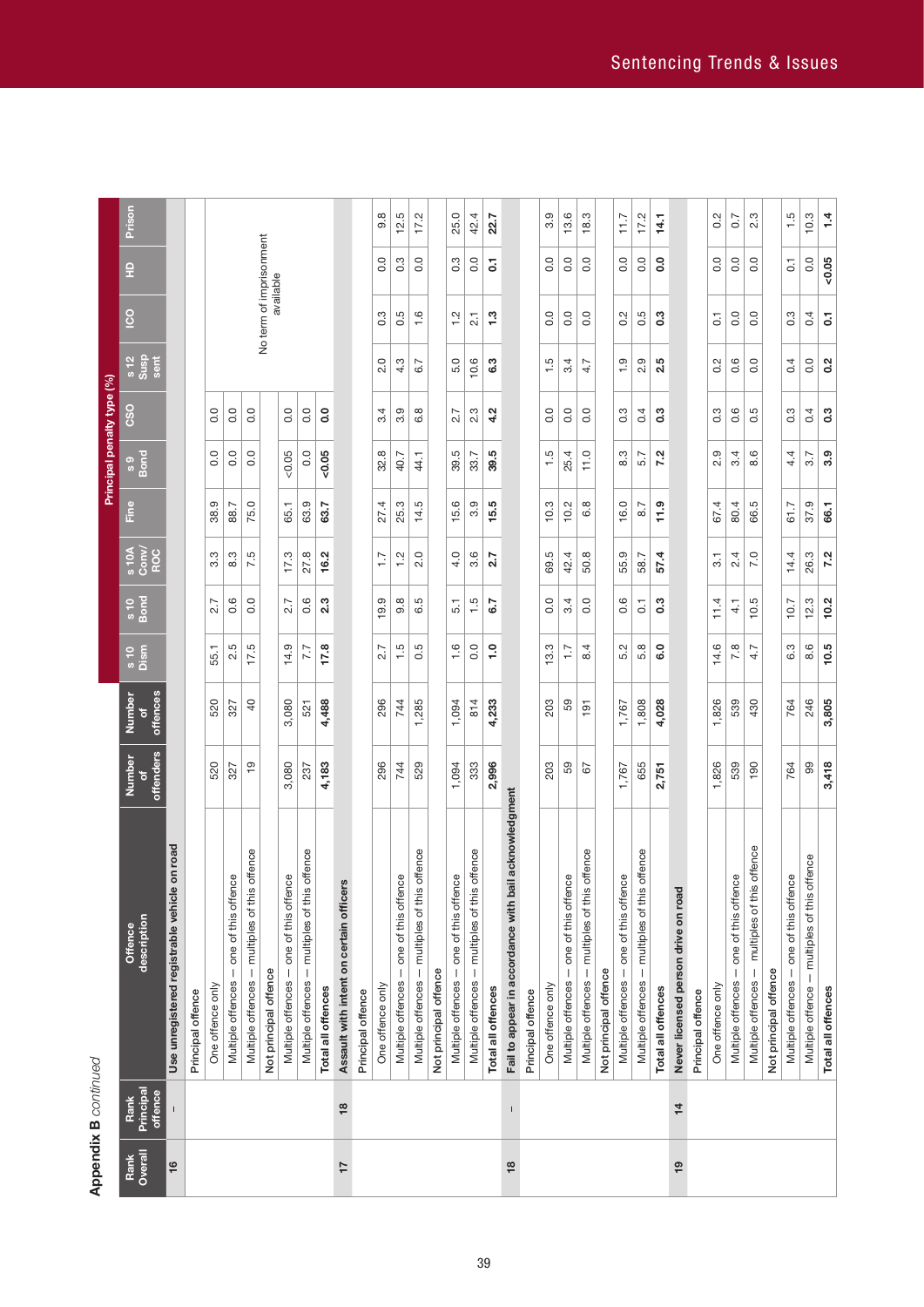# **Appendix B** continued **Appendix B** *continued*

| Overall<br>Rank<br>16 | Rank                     | Offence                                                  |                     | Number                          | s 10<br>Dism     |                  |                        | Fine |                | <b>CSO</b>       |                          | <u>ငိ</u>               | 읖              | Prison |
|-----------------------|--------------------------|----------------------------------------------------------|---------------------|---------------------------------|------------------|------------------|------------------------|------|----------------|------------------|--------------------------|-------------------------|----------------|--------|
|                       | Principal<br>offence     | description                                              | offenders<br>Number | offences<br>$\overline{\sigma}$ |                  | $\frac{6}{10}$   | $\frac{100}{3}$<br>ROC |      | s 9<br>Bond    |                  | $\frac{12}{\text{Suss}}$ |                         |                |        |
|                       |                          | Use unregistered registrable vehicle on road             |                     |                                 |                  |                  |                        |      |                |                  |                          |                         |                |        |
|                       |                          | Principal offence                                        |                     |                                 |                  |                  |                        |      |                |                  |                          |                         |                |        |
|                       |                          | One offence only                                         | 520                 | 520                             | 55.1             | 2.7              | 3.3                    | 38.9 | $\overline{0}$ | $\overline{0}$ . |                          |                         |                |        |
|                       |                          | Multiple offences - one of this offence                  | 327                 | 327                             | 2.5              | 0.6              | 8.3                    | 88.7 | 0.0            | 0.0              |                          |                         |                |        |
|                       |                          | Multiple offences - multiples of this offence            | <u>ဝ</u>            | $\overline{a}$                  | 17.5             | 0.0              | 7.5                    | 75.0 | 0.0            | 0.0              |                          |                         |                |        |
|                       |                          | Not principal offence                                    |                     |                                 |                  |                  |                        |      |                |                  |                          | No term of imprisonment | available      |        |
|                       |                          | one of this offence<br>Multiple offences                 | 3,080               | 3,080                           | 14.9             | 2.7              | 17.3                   | 65.1 | 0.05           | 0.0              |                          |                         |                |        |
|                       |                          | - multiples of this offence<br>Multiple offences         | 237                 | 521                             | 7.7              | 0.6              | 27.8                   | 63.9 | 0.0            | 0.0              |                          |                         |                |        |
|                       |                          | Total all offences                                       | 4,183               | 4,488                           | 17.8             | $2.\overline{3}$ | 16.2                   | 63.7 | 0.05           | $\overline{0}$   |                          |                         |                |        |
| $\overline{1}$        | $\overline{\phantom{a}}$ | Assault with intent on certain officers                  |                     |                                 |                  |                  |                        |      |                |                  |                          |                         |                |        |
|                       |                          | Principal offence                                        |                     |                                 |                  |                  |                        |      |                |                  |                          |                         |                |        |
|                       |                          | One offence only                                         | 296                 | 296                             | 2.7              | 19.9             | $\frac{7}{1}$          | 27.4 | 32.8           | 3.4              | 2.0                      | 0.3                     | $\overline{0}$ | 9.8    |
|                       |                          | Multiple offences - one of this offence                  | 744                 | 744                             | 1.5              | $9.\overline{8}$ | $\frac{2}{1}$          | 25.3 | 40.7           | 3.9              | 4.3                      | 0.5                     | 0.3            | 12.5   |
|                       |                          | Multiple offences - multiples of this offence            | 529                 | 1,285                           | 0.5              | 6.5              | 2.0                    | 14.5 | 44.1           | 6.8              | 6.7                      | 1.6                     | 0.0            | 17.2   |
|                       |                          | Not principal offence                                    |                     |                                 |                  |                  |                        |      |                |                  |                          |                         |                |        |
|                       |                          | one of this offence<br>Multiple offences                 | 1,094               | 1,094                           | $\frac{6}{1}$    | 5.1              | 4.0                    | 15.6 | 39.5           | 2.7              | 5.0                      | $\frac{2}{1}$           | 3.             | 25.0   |
|                       |                          | - multiples of this offence<br>Multiple offences         | 333                 | 814                             | $\overline{0}$   | 1.5              | 3.6                    | 3.9  | 33.7           | 2.3              | 10.6                     | $\overline{21}$         | 0.0            | 42.4   |
|                       |                          | Total all offences                                       | 2,996               | 4,233                           | $\frac{0}{1}$    | 6.7              | 2.7                    | 15.5 | 39.5           | 4.2              | 6.3                      | $\frac{3}{1}$           | 5              | 22.7   |
| $\frac{8}{3}$         | $\mathsf I$              | acknowledgment<br>Fail to appear in accordance with bail |                     |                                 |                  |                  |                        |      |                |                  |                          |                         |                |        |
|                       |                          | Principal offence                                        |                     |                                 |                  |                  |                        |      |                |                  |                          |                         |                |        |
|                       |                          | One offence only                                         | 203                 | 203                             | 13.3             | 0.0              | rö.<br>69.             | 10.3 | 1.5            | 0.0              | 1.5                      | 0.0                     | 0.0            | 3.9    |
|                       |                          | - one of this offence<br>Multiple offences               | 59                  | 59                              | $\overline{1}$ : | 3.4              | 42.4                   | 10.2 | 25.4           | 0.0              | 3.4                      | 0.0                     | 0.0            | 13.6   |
|                       |                          | Multiple offences - multiples of this offence            | 52                  | $\frac{5}{1}$                   | 4<br>œ           | 0.0              | 50.8                   | 6.8  | 11.0           | 0.0              | 4.7                      | 0.0                     | $\overline{0}$ | 18.3   |
|                       |                          | Not principal offence                                    |                     |                                 |                  |                  |                        |      |                |                  |                          |                         |                |        |
|                       |                          | one of this offence<br>Multiple offences                 | 1,767               | 1,767                           | 5.2              | 0.6              | 55.9                   | 16.0 | 8.3            | $0.\overline{3}$ | $\frac{0}{1}$            | 0.2                     | 0.0            | 7.7    |
|                       |                          | Multiple offences - multiples of this offence            | 655                 | 1,808                           | 5.8              | $\overline{c}$   | 58.7                   | 8.7  | 5.7            | 0.4              | 2.9                      | 0.5                     | $\overline{0}$ | 17.2   |
|                       |                          | Total all offences                                       | 2,751               | 4,028                           | <b>G.O</b>       | 0.3              | 57.4                   | 11.9 | 7.2            | 0.3              | 2.5                      | 0.3                     | <b>o</b> .o    | 14.1   |
| $\overline{19}$       | $\frac{1}{4}$            | Never licensed person drive on road                      |                     |                                 |                  |                  |                        |      |                |                  |                          |                         |                |        |
|                       |                          | Principal offence                                        |                     |                                 |                  |                  |                        |      |                |                  |                          |                         |                |        |
|                       |                          | One offence only                                         | 1,826               | 1,826                           | 14.6             | 11.4             | $\overline{3}$ .       | 67.4 | 2.9            | 0.3              | 0.2                      | $\overline{G}$          | 0.0            | 0.2    |
|                       |                          | Multiple offences - one of this offence                  | 539                 | 539                             | œ<br>N           | $\frac{1}{4}$    | 2.4                    | 80.4 | 3.4            | $0.\overline{6}$ | 0.6                      | 0.0                     | 0.0            | 0.7    |
|                       |                          | multiples of this offence<br>Multiple offences -         | 190                 | 430                             | 4.7              | 10.5             | 7.0                    | 66.5 | Q<br>ထံ        | 0.5              | 0.0                      | 0.0                     | 0.0            | 2.3    |
|                       |                          | Not principal offence                                    |                     |                                 |                  |                  |                        |      |                |                  |                          |                         |                |        |
|                       |                          | Multiple offences - one of this offence                  | 764                 | 764                             | 6.3              | 10.7             | 14.4                   | 61.7 | 4.4            | 0.3              | 0.4                      | 0.3                     | 5              | 1.5    |
|                       |                          | Multiple offence - multiples of this offence             | 8                   | 246                             | 8.6              | 12.3             | 26.3                   | 37.9 | 3.7            | 0.4              | 0.0                      | 0.4                     | 0.0            | 10.3   |
|                       |                          | Total all offences                                       | 3,418               | 3,805                           | 10.5             | 10.2             | 7.2                    | 66.1 | 3.9            | 0.3              | 0.2                      | $\overline{0}$          | $-0.05$        | 1.4    |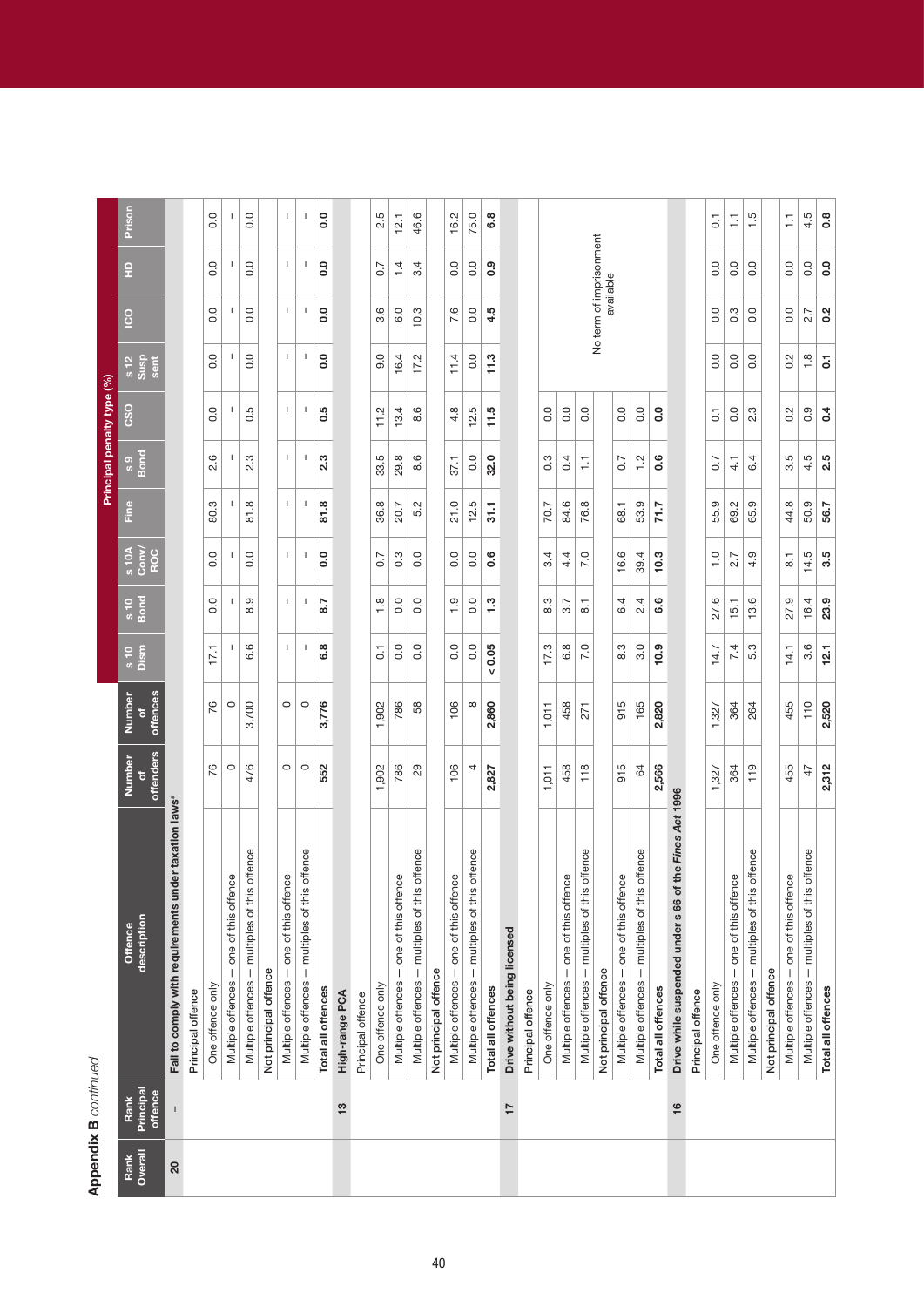| ī |
|---|
|   |
|   |
|   |
|   |

|                 |                              |                                                                   |                     |                         |                      |                                 |                       |              |                  | Principal penalty type (%) |                        |                                      |                                       |                  |
|-----------------|------------------------------|-------------------------------------------------------------------|---------------------|-------------------------|----------------------|---------------------------------|-----------------------|--------------|------------------|----------------------------|------------------------|--------------------------------------|---------------------------------------|------------------|
| Overall<br>Rank | Principal<br>offence<br>Rank | description<br>Offence                                            | offenders<br>Number | offences<br>Number<br>ō | s 10<br>Dism         | $\frac{6}{5}$ or $\frac{10}{5}$ | s 10A<br>Conv/<br>ROC | Line         | s 9<br>Bond      | C <sub>SO</sub>            | $\frac{12}{3}$<br>sent | <u>င်</u>                            | 읖                                     | Prison           |
| 20              |                              | Fail to comply with requirements under taxation laws <sup>ª</sup> |                     |                         |                      |                                 |                       |              |                  |                            |                        |                                      |                                       |                  |
|                 |                              | Principal offence                                                 |                     |                         |                      |                                 |                       |              |                  |                            |                        |                                      |                                       |                  |
|                 |                              | One offence only                                                  | 76                  | 76                      | 17,1                 | 0.0                             | $\overline{0}$        | 80.3         | Q<br>2.          | 0.0                        | 0.0                    | $\overline{0}$ .                     | 0.0                                   | $\overline{0}$ . |
|                 |                              | Multiple offences - one of this offence                           | $\circ$             | $\circ$                 | $\mathbf{I}$         | $\mathbf{I}$                    | $\mathbf{I}$          | $\mathsf{I}$ | $\mathbf{I}$     | 1                          | 1                      | 1                                    | $\mathsf{I}$                          | -1               |
|                 |                              | offence<br>Multiple offences - multiples of this                  | 476                 | 3,700                   | 6.6                  | 8.9                             | 0.0                   | 81.8         | 2.3              | 0.5                        | 0.0                    | 0.0                                  | 0.0                                   | 0.0              |
|                 |                              | Not principal offence                                             |                     |                         |                      |                                 |                       |              |                  |                            |                        |                                      |                                       |                  |
|                 |                              | Multiple offences - one of this offence                           | $\circ$             | $\circ$                 | T.                   | Τ.                              | T.                    | т.           | т.               | $\mathsf I$                | Τ.                     | $\mathbf{I}$                         | $\mathbf{I}$                          | т.               |
|                 |                              | offence<br>Multiple offences - multiples of this                  | $\circ$             | $\circ$                 | $\mathbf{I}$         | $\mathsf{I}$                    | $\mathbf{I}$          | $\mathsf{I}$ | $\mathbf{I}$     | $\mathsf{I}$               | $\mathsf{I}$           | $\mathbf{I}$                         | $\begin{array}{c} \hline \end{array}$ | $\mathsf{I}$     |
|                 |                              | Total all offences                                                | 552                 | 3,776                   | 6.8                  | 8.7                             | $\overline{0}$        | 81.8         | 2.3              | 0.5                        | 0.0                    | 0.0                                  | $\overline{0}$                        | <b>o</b> .0      |
|                 | $\frac{3}{2}$                | High-range PCA                                                    |                     |                         |                      |                                 |                       |              |                  |                            |                        |                                      |                                       |                  |
|                 |                              | Principal offence                                                 |                     |                         |                      |                                 |                       |              |                  |                            |                        |                                      |                                       |                  |
|                 |                              | One offence only                                                  | 1,902               | 1,902                   | $\overline{0}$ :     | $\frac{8}{1}$                   | 0.7                   | 36.8         | 33.5             | 11.2                       | 0.6                    | 3.6                                  | 0.7                                   | 2.5              |
|                 |                              | one of this offence<br>$\mid$<br>Multiple offences                | 786                 | 786                     | 0.0                  | 0.0                             | 0.3                   | 20.7         | 29.8             | 13.4                       | 16.4                   | 6.0                                  | 1.4                                   | 12.1             |
|                 |                              | offence<br>- multiples of this<br>Multiple offences               | 29                  | 58                      | 0.0                  | 0.0                             | 0.0                   | 5.2          | 8.6              | 6<br>∞                     | 17.2                   | 10.3                                 | 3.4                                   | 46.6             |
|                 |                              | Not principal offence                                             |                     |                         |                      |                                 |                       |              |                  |                            |                        |                                      |                                       |                  |
|                 |                              | Multiple offences - one of this offence                           | 106                 | 106                     | 0.0                  | $\frac{0}{1}$                   | $\overline{0}$ .      | 21.0         | 37.1             | 4.8                        | 11.4                   | 7.6                                  | $\overline{0}$                        | 16.2             |
|                 |                              | offence<br>Multiple offences - multiples of this                  | 4                   | $\infty$                | 0.0                  | 0.0                             | 0.0                   | 12.5         | 0.0              | 12.5                       | 0.0                    | 0.0                                  | 0.0                                   | 75.0             |
|                 |                              | Total all offences                                                | 2,827               | 2,860                   | 0.05<br>$\mathsf{v}$ | 1.3                             | 0.6                   | 31.1         | 32.0             | 11.5                       | 11.3                   | 4.5                                  | 0.9                                   | 6.8              |
|                 | 17                           | Drive without being licensed                                      |                     |                         |                      |                                 |                       |              |                  |                            |                        |                                      |                                       |                  |
|                 |                              | Principal offence                                                 |                     |                         |                      |                                 |                       |              |                  |                            |                        |                                      |                                       |                  |
|                 |                              | One offence only                                                  | 1,011               | 1,011                   | 17.3                 | 8.3                             | 3.4                   | 70.7         | $0.\overline{3}$ | 0.0                        |                        |                                      |                                       |                  |
|                 |                              | one of this offence<br>Multiple offences                          | 458                 | 458                     | 6.8                  | 3.7                             | 4.4                   | 84.6         | 0.4              | 0.0                        |                        |                                      |                                       |                  |
|                 |                              | offence<br>- multiples of this<br>Multiple offences               | 118                 | 271                     | 7.0                  | $\overline{\circ}$              | 7.0                   | 76.8         | H                | 0.0                        |                        |                                      |                                       |                  |
|                 |                              | Not principal offence                                             |                     |                         |                      |                                 |                       |              |                  |                            |                        | No term of imprisonment<br>available |                                       |                  |
|                 |                              | Multiple offences - one of this offence                           | 915                 | 915                     | 8.3                  | 6.4                             | 16.6                  | 68.1         | 0.7              | 0.0                        |                        |                                      |                                       |                  |
|                 |                              | offence<br>Multiple offences - multiples of this                  | 64                  | 165                     | 3.0                  | 2.4                             | 39.4                  | 53.9         | $\frac{1}{2}$    | 0.0                        |                        |                                      |                                       |                  |
|                 |                              | Total all offences                                                | 2,566               | 2,820                   | 10.9                 | 6.6                             | 10.3                  | 71.7         | 0.6              | $\rm ^{o}$                 |                        |                                      |                                       |                  |
|                 | $\frac{6}{5}$                | the Fines Act 1996<br>Drive while suspended under s 66 of         |                     |                         |                      |                                 |                       |              |                  |                            |                        |                                      |                                       |                  |
|                 |                              | Principal offence                                                 |                     |                         |                      |                                 |                       |              |                  |                            |                        |                                      |                                       |                  |
|                 |                              | One offence only                                                  | 1,327               | 1,327                   | 14.7                 | 27.6                            | $\frac{1}{1}$         | 55.9         | $\sim$           | $\overline{C}$             | 0.0                    | 0.0                                  | $\overline{0}$ .                      | $\overline{C}$   |
|                 |                              | Multiple offences - one of this offence                           | 364                 | 364                     | 7.4                  | 15.1                            | 2.7                   | 69.2         | 4.1              | 0.0                        | 0.0                    | 0.3                                  | 0.0                                   | H                |
|                 |                              | offence<br>Multiple offences - multiples of this                  | 119                 | 264                     | 5.3                  | 13.6                            | 4.9                   | 65.9         | 6.4              | 2.3                        | 0.0                    | 0.0                                  | 0.0                                   | 1.5              |
|                 |                              | Not principal offence                                             |                     |                         |                      |                                 |                       |              |                  |                            |                        |                                      |                                       |                  |
|                 |                              | Multiple offences - one of this offence                           | 455                 | 455                     | 14.1                 | 27.9                            | 5                     | 44.8         | ΓÚ<br>က          | 0.2                        | 0.2                    | $\overline{0}$                       | 0.0                                   | H                |
|                 |                              | offence<br>Multiple offences - multiples of this                  | 47                  | 110                     | 3.6                  | 16.4                            | 14.5                  | 50.9         | 4.5              | 0.9                        | $\frac{8}{1}$          | 2.7                                  | 0.0                                   | 4.5              |
|                 |                              | Total all offences                                                | 2,312               | 2,520                   | 12.1                 | 23.9                            | 3.5                   | 56.7         | 2.5              | $\overline{0}$ .4          | 5                      | 0.2                                  | $\overline{0}$                        | 0.8              |
|                 |                              |                                                                   |                     |                         |                      |                                 |                       |              |                  |                            |                        |                                      |                                       |                  |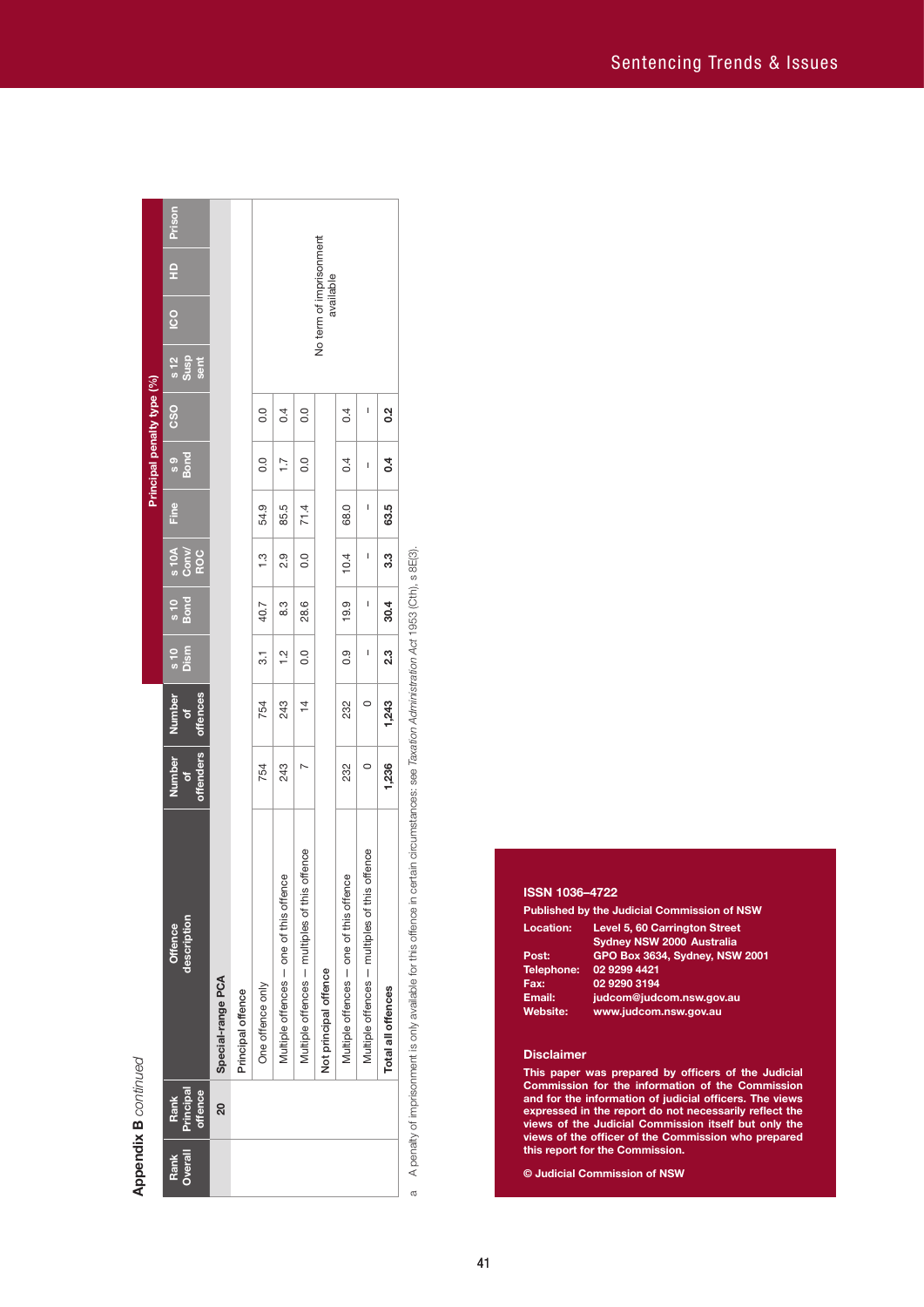**Appendix B** continued **Appendix B** *continued*

| 읖<br>available<br>$\overline{c}$<br>$\frac{12}{3}$<br>sent<br><b>CSO</b><br>$\frac{2}{3}$<br>$\overline{0}$<br>0.4<br>0.0<br>0.4<br>I<br>s 9<br>Bond<br>0.0<br>0.4<br>0.0<br>$\overline{1}$ .<br>0.4<br>I<br>Fine<br>63.5<br>54.9<br>85.5<br>68.0<br>I<br>71.4<br>$\frac{10A}{10A}$<br>Conw<br>ROC<br>3.3<br>2.9<br>0.0<br>10.4<br>$\overline{\phantom{a}}$<br>$\ddot{.}$<br>$\frac{10}{10}$<br>19.9<br>8.3<br>28.6<br>I<br>30.4<br>40.7<br>s 10<br>Dism<br>23<br>0.0<br>$\frac{2}{1}$<br>0.9<br>I<br>$\overline{3}$<br>offences<br>Number<br>1,243<br>$\frac{1}{4}$<br>$\circ$<br>754<br>243<br>232<br>ð<br>offenders<br><b>Number</b><br>1,236<br>243<br>232<br>754<br>$\circ$<br>O<br>Multiple offences - multiples of this offence<br>offence<br>Multiple offences - one of this offence<br>Multiple offences - one of this offence<br>Multiple offences - multiples of this<br>description<br><b>Offence</b><br>Not principal offence<br>Special-range PCA<br>One offence only<br>Total all offences<br>Principal offence<br>Principal<br>offence<br>Rank<br>ର<br>Overall<br>Rank | No term of imprisonment<br>A penalty of imprisonment is only available for this offence in certain circumstances: see Taxation Administration Act 1953 (Cth), s 8E(3). |  |  |  |  | Principal penalty type (%) |  |  |        |
|----------------------------------------------------------------------------------------------------------------------------------------------------------------------------------------------------------------------------------------------------------------------------------------------------------------------------------------------------------------------------------------------------------------------------------------------------------------------------------------------------------------------------------------------------------------------------------------------------------------------------------------------------------------------------------------------------------------------------------------------------------------------------------------------------------------------------------------------------------------------------------------------------------------------------------------------------------------------------------------------------------------------------------------------------------------------------------------|------------------------------------------------------------------------------------------------------------------------------------------------------------------------|--|--|--|--|----------------------------|--|--|--------|
|                                                                                                                                                                                                                                                                                                                                                                                                                                                                                                                                                                                                                                                                                                                                                                                                                                                                                                                                                                                                                                                                                        |                                                                                                                                                                        |  |  |  |  |                            |  |  | Prison |
|                                                                                                                                                                                                                                                                                                                                                                                                                                                                                                                                                                                                                                                                                                                                                                                                                                                                                                                                                                                                                                                                                        |                                                                                                                                                                        |  |  |  |  |                            |  |  |        |
|                                                                                                                                                                                                                                                                                                                                                                                                                                                                                                                                                                                                                                                                                                                                                                                                                                                                                                                                                                                                                                                                                        |                                                                                                                                                                        |  |  |  |  |                            |  |  |        |
|                                                                                                                                                                                                                                                                                                                                                                                                                                                                                                                                                                                                                                                                                                                                                                                                                                                                                                                                                                                                                                                                                        |                                                                                                                                                                        |  |  |  |  |                            |  |  |        |
|                                                                                                                                                                                                                                                                                                                                                                                                                                                                                                                                                                                                                                                                                                                                                                                                                                                                                                                                                                                                                                                                                        |                                                                                                                                                                        |  |  |  |  |                            |  |  |        |
|                                                                                                                                                                                                                                                                                                                                                                                                                                                                                                                                                                                                                                                                                                                                                                                                                                                                                                                                                                                                                                                                                        |                                                                                                                                                                        |  |  |  |  |                            |  |  |        |
|                                                                                                                                                                                                                                                                                                                                                                                                                                                                                                                                                                                                                                                                                                                                                                                                                                                                                                                                                                                                                                                                                        |                                                                                                                                                                        |  |  |  |  |                            |  |  |        |
|                                                                                                                                                                                                                                                                                                                                                                                                                                                                                                                                                                                                                                                                                                                                                                                                                                                                                                                                                                                                                                                                                        |                                                                                                                                                                        |  |  |  |  |                            |  |  |        |
|                                                                                                                                                                                                                                                                                                                                                                                                                                                                                                                                                                                                                                                                                                                                                                                                                                                                                                                                                                                                                                                                                        |                                                                                                                                                                        |  |  |  |  |                            |  |  |        |
|                                                                                                                                                                                                                                                                                                                                                                                                                                                                                                                                                                                                                                                                                                                                                                                                                                                                                                                                                                                                                                                                                        |                                                                                                                                                                        |  |  |  |  |                            |  |  |        |

# **ISSN 1036–4722**

|                   | <b>Published by the Judicial Commission of NSW</b> |
|-------------------|----------------------------------------------------|
| Location:         | Level 5, 60 Carrington Street                      |
|                   | <b>Sydney NSW 2000 Australia</b>                   |
| Post:             | GPO Box 3634, Sydney, NSW 2001                     |
| <b>Telephone:</b> | 02 9299 4421                                       |
| Fax:              | 02 9290 3194                                       |
| Email:            | judcom@judcom.nsw.gov.au                           |
| Website:          | www.judcom.nsw.gov.au                              |
|                   |                                                    |

#### **Disclaimer**

**This paper was prepared by officers of the Judicial Commission for the information of the Commission and for the information of judicial officers. The views expressed in the report do not necessarily reflect the views of the Judicial Commission itself but only the views of the officer of the Commission who prepared this report for the Commission.**

**© Judicial Commission of NSW**